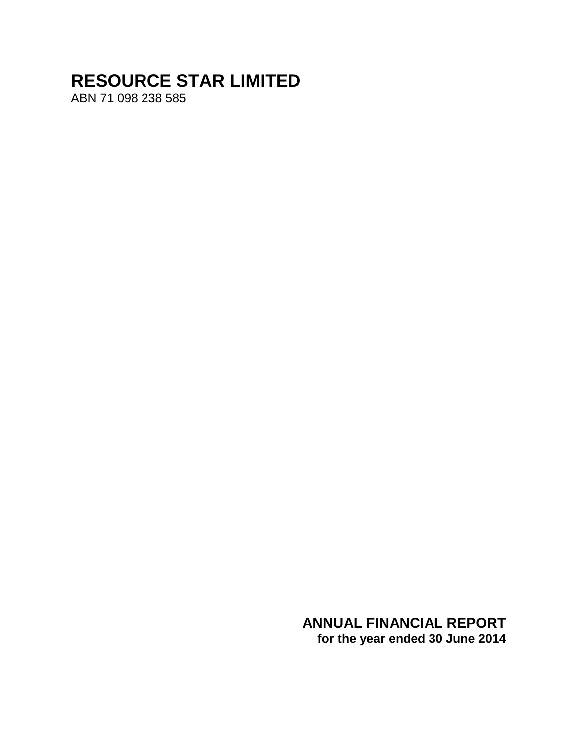# **RESOURCE STAR LIMITED**

ABN 71 098 238 585

**ANNUAL FINANCIAL REPORT for the year ended 30 June 2014**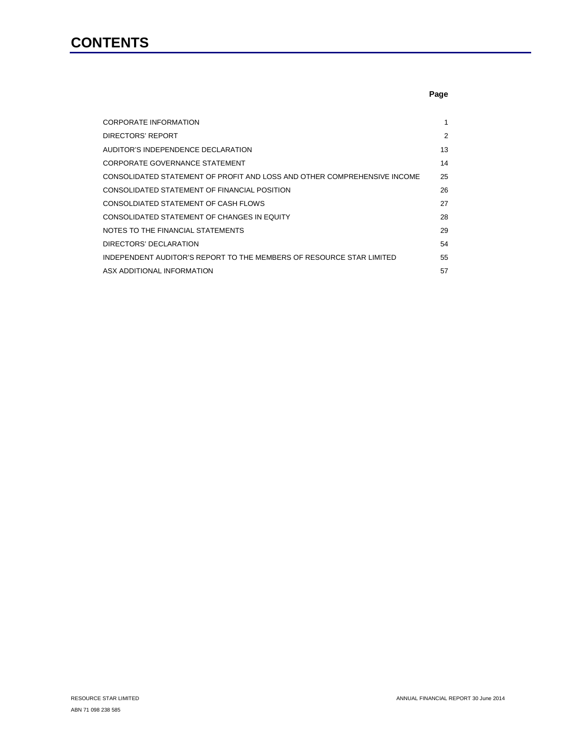## **CONTENTS**

## **Page**

| <b>CORPORATE INFORMATION</b>                                             | 1  |
|--------------------------------------------------------------------------|----|
| DIRECTORS' REPORT                                                        | 2  |
| AUDITOR'S INDEPENDENCE DECLARATION                                       | 13 |
| CORPORATE GOVERNANCE STATEMENT                                           | 14 |
| CONSOLIDATED STATEMENT OF PROFIT AND LOSS AND OTHER COMPREHENSIVE INCOME | 25 |
| CONSOLIDATED STATEMENT OF FINANCIAL POSITION                             | 26 |
| CONSOLDIATED STATEMENT OF CASH FLOWS                                     | 27 |
| CONSOLIDATED STATEMENT OF CHANGES IN EQUITY                              | 28 |
| NOTES TO THE FINANCIAL STATEMENTS                                        | 29 |
| DIRECTORS' DECLARATION                                                   | 54 |
| INDEPENDENT AUDITOR'S REPORT TO THE MEMBERS OF RESOURCE STAR LIMITED     | 55 |
| ASX ADDITIONAL INFORMATION                                               | 57 |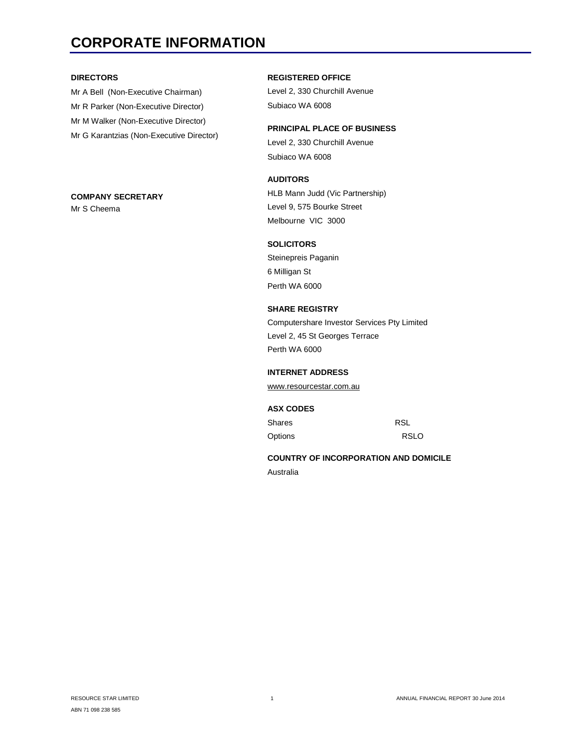## **CORPORATE INFORMATION**

### **DIRECTORS**

Mr A Bell (Non-Executive Chairman) Mr R Parker (Non-Executive Director) Mr M Walker (Non-Executive Director) Mr G Karantzias (Non-Executive Director)

## **COMPANY SECRETARY**

Mr S Cheema

## **REGISTERED OFFICE**

Level 2, 330 Churchill Avenue Subiaco WA 6008

**PRINCIPAL PLACE OF BUSINESS** Level 2, 330 Churchill Avenue Subiaco WA 6008

## **AUDITORS**

HLB Mann Judd (Vic Partnership) Level 9, 575 Bourke Street Melbourne VIC 3000

## **SOLICITORS**

Steinepreis Paganin 6 Milligan St Perth WA 6000

## **SHARE REGISTRY**

Computershare Investor Services Pty Limited Level 2, 45 St Georges Terrace Perth WA 6000

**INTERNET ADDRESS** 

www.resourcestar.com.au

**ASX CODES** 

Shares RSL Options RSLO

## **COUNTRY OF INCORPORATION AND DOMICILE**

Australia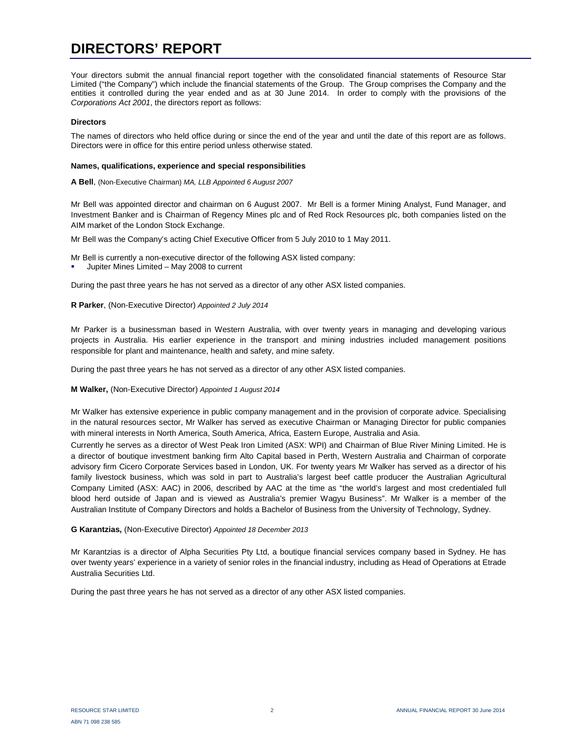## **DIRECTORS' REPORT**

Your directors submit the annual financial report together with the consolidated financial statements of Resource Star Limited ("the Company") which include the financial statements of the Group. The Group comprises the Company and the entities it controlled during the year ended and as at 30 June 2014. In order to comply with the provisions of the Corporations Act 2001, the directors report as follows:

#### **Directors**

The names of directors who held office during or since the end of the year and until the date of this report are as follows. Directors were in office for this entire period unless otherwise stated.

#### **Names, qualifications, experience and special responsibilities**

**A Bell**, (Non-Executive Chairman) MA, LLB Appointed 6 August 2007

Mr Bell was appointed director and chairman on 6 August 2007. Mr Bell is a former Mining Analyst, Fund Manager, and Investment Banker and is Chairman of Regency Mines plc and of Red Rock Resources plc, both companies listed on the AIM market of the London Stock Exchange.

Mr Bell was the Company's acting Chief Executive Officer from 5 July 2010 to 1 May 2011.

Mr Bell is currently a non-executive director of the following ASX listed company:

Jupiter Mines Limited – May 2008 to current

During the past three years he has not served as a director of any other ASX listed companies.

#### **R Parker**, (Non-Executive Director) Appointed 2 July 2014

Mr Parker is a businessman based in Western Australia, with over twenty years in managing and developing various projects in Australia. His earlier experience in the transport and mining industries included management positions responsible for plant and maintenance, health and safety, and mine safety.

During the past three years he has not served as a director of any other ASX listed companies.

### **M Walker,** (Non-Executive Director) Appointed 1 August 2014

Mr Walker has extensive experience in public company management and in the provision of corporate advice. Specialising in the natural resources sector, Mr Walker has served as executive Chairman or Managing Director for public companies with mineral interests in North America, South America, Africa, Eastern Europe, Australia and Asia.

Currently he serves as a director of West Peak Iron Limited (ASX: WPI) and Chairman of Blue River Mining Limited. He is a director of boutique investment banking firm Alto Capital based in Perth, Western Australia and Chairman of corporate advisory firm Cicero Corporate Services based in London, UK. For twenty years Mr Walker has served as a director of his family livestock business, which was sold in part to Australia's largest beef cattle producer the Australian Agricultural Company Limited (ASX: AAC) in 2006, described by AAC at the time as "the world's largest and most credentialed full blood herd outside of Japan and is viewed as Australia's premier Wagyu Business". Mr Walker is a member of the Australian Institute of Company Directors and holds a Bachelor of Business from the University of Technology, Sydney.

#### **G Karantzias,** (Non-Executive Director) Appointed 18 December 2013

Mr Karantzias is a director of Alpha Securities Pty Ltd, a boutique financial services company based in Sydney. He has over twenty years' experience in a variety of senior roles in the financial industry, including as Head of Operations at Etrade Australia Securities Ltd.

During the past three years he has not served as a director of any other ASX listed companies.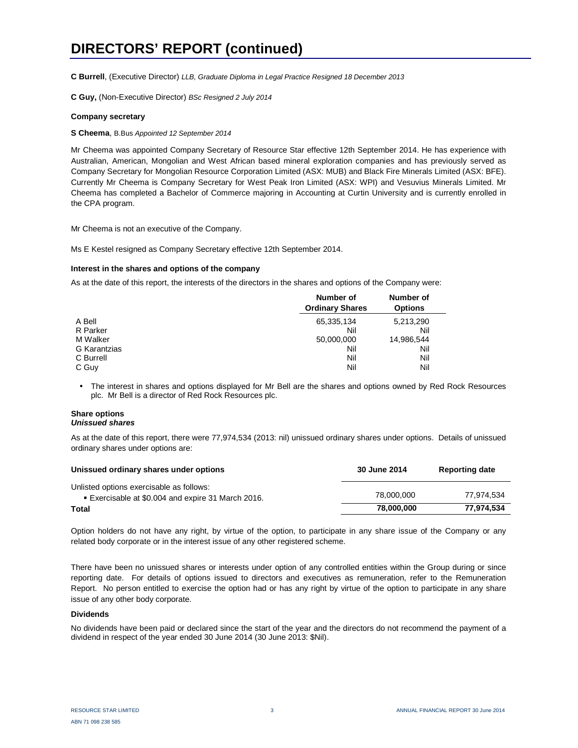## **DIRECTORS' REPORT (continued)**

**C Burrell**, (Executive Director) LLB, Graduate Diploma in Legal Practice Resigned 18 December 2013

**C Guy,** (Non-Executive Director) BSc Resigned 2 July 2014

#### **Company secretary**

**S Cheema**, B.Bus Appointed 12 September 2014

Mr Cheema was appointed Company Secretary of Resource Star effective 12th September 2014. He has experience with Australian, American, Mongolian and West African based mineral exploration companies and has previously served as Company Secretary for Mongolian Resource Corporation Limited (ASX: MUB) and Black Fire Minerals Limited (ASX: BFE). Currently Mr Cheema is Company Secretary for West Peak Iron Limited (ASX: WPI) and Vesuvius Minerals Limited. Mr Cheema has completed a Bachelor of Commerce majoring in Accounting at Curtin University and is currently enrolled in the CPA program.

Mr Cheema is not an executive of the Company.

Ms E Kestel resigned as Company Secretary effective 12th September 2014.

#### **Interest in the shares and options of the company**

As at the date of this report, the interests of the directors in the shares and options of the Company were:

|              | Number of              | Number of      |
|--------------|------------------------|----------------|
|              | <b>Ordinary Shares</b> | <b>Options</b> |
| A Bell       | 65,335,134             | 5,213,290      |
| R Parker     | Nil                    | Nil            |
| M Walker     | 50,000,000             | 14,986,544     |
| G Karantzias | Nil                    | Nil            |
| C Burrell    | Nil                    | Nil            |
| C Guy        | Nil                    | Nil            |

• The interest in shares and options displayed for Mr Bell are the shares and options owned by Red Rock Resources plc. Mr Bell is a director of Red Rock Resources plc.

#### **Share options Unissued shares**

As at the date of this report, there were 77,974,534 (2013: nil) unissued ordinary shares under options. Details of unissued ordinary shares under options are:

| Unissued ordinary shares under options                                                         | 30 June 2014 | <b>Reporting date</b> |
|------------------------------------------------------------------------------------------------|--------------|-----------------------|
| Unlisted options exercisable as follows:<br>■ Exercisable at \$0.004 and expire 31 March 2016. | 78,000,000   | 77.974.534            |
| Total                                                                                          | 78.000.000   | 77.974.534            |

Option holders do not have any right, by virtue of the option, to participate in any share issue of the Company or any related body corporate or in the interest issue of any other registered scheme.

There have been no unissued shares or interests under option of any controlled entities within the Group during or since reporting date. For details of options issued to directors and executives as remuneration, refer to the Remuneration Report. No person entitled to exercise the option had or has any right by virtue of the option to participate in any share issue of any other body corporate.

#### **Dividends**

No dividends have been paid or declared since the start of the year and the directors do not recommend the payment of a dividend in respect of the year ended 30 June 2014 (30 June 2013: \$Nil).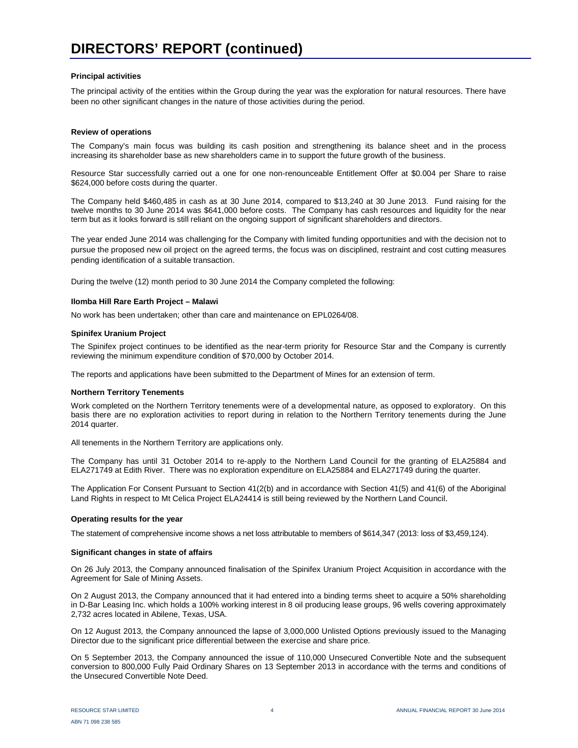#### **Principal activities**

The principal activity of the entities within the Group during the year was the exploration for natural resources. There have been no other significant changes in the nature of those activities during the period.

#### **Review of operations**

The Company's main focus was building its cash position and strengthening its balance sheet and in the process increasing its shareholder base as new shareholders came in to support the future growth of the business.

Resource Star successfully carried out a one for one non-renounceable Entitlement Offer at \$0.004 per Share to raise \$624,000 before costs during the quarter.

The Company held \$460,485 in cash as at 30 June 2014, compared to \$13,240 at 30 June 2013. Fund raising for the twelve months to 30 June 2014 was \$641,000 before costs. The Company has cash resources and liquidity for the near term but as it looks forward is still reliant on the ongoing support of significant shareholders and directors.

The year ended June 2014 was challenging for the Company with limited funding opportunities and with the decision not to pursue the proposed new oil project on the agreed terms, the focus was on disciplined, restraint and cost cutting measures pending identification of a suitable transaction.

During the twelve (12) month period to 30 June 2014 the Company completed the following:

#### **Ilomba Hill Rare Earth Project – Malawi**

No work has been undertaken; other than care and maintenance on EPL0264/08.

#### **Spinifex Uranium Project**

The Spinifex project continues to be identified as the near-term priority for Resource Star and the Company is currently reviewing the minimum expenditure condition of \$70,000 by October 2014.

The reports and applications have been submitted to the Department of Mines for an extension of term.

#### **Northern Territory Tenements**

Work completed on the Northern Territory tenements were of a developmental nature, as opposed to exploratory. On this basis there are no exploration activities to report during in relation to the Northern Territory tenements during the June 2014 quarter.

All tenements in the Northern Territory are applications only.

The Company has until 31 October 2014 to re-apply to the Northern Land Council for the granting of ELA25884 and ELA271749 at Edith River. There was no exploration expenditure on ELA25884 and ELA271749 during the quarter.

The Application For Consent Pursuant to Section 41(2(b) and in accordance with Section 41(5) and 41(6) of the Aboriginal Land Rights in respect to Mt Celica Project ELA24414 is still being reviewed by the Northern Land Council.

#### **Operating results for the year**

The statement of comprehensive income shows a net loss attributable to members of \$614,347 (2013: loss of \$3,459,124).

#### **Significant changes in state of affairs**

On 26 July 2013, the Company announced finalisation of the Spinifex Uranium Project Acquisition in accordance with the Agreement for Sale of Mining Assets.

On 2 August 2013, the Company announced that it had entered into a binding terms sheet to acquire a 50% shareholding in D-Bar Leasing Inc. which holds a 100% working interest in 8 oil producing lease groups, 96 wells covering approximately 2,732 acres located in Abilene, Texas, USA.

On 12 August 2013, the Company announced the lapse of 3,000,000 Unlisted Options previously issued to the Managing Director due to the significant price differential between the exercise and share price.

On 5 September 2013, the Company announced the issue of 110,000 Unsecured Convertible Note and the subsequent conversion to 800,000 Fully Paid Ordinary Shares on 13 September 2013 in accordance with the terms and conditions of the Unsecured Convertible Note Deed.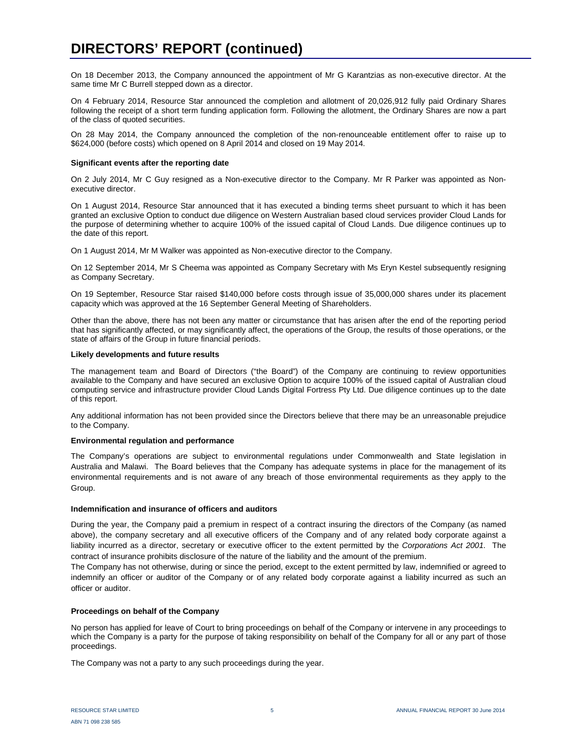## **DIRECTORS' REPORT (continued)**

On 18 December 2013, the Company announced the appointment of Mr G Karantzias as non-executive director. At the same time Mr C Burrell stepped down as a director.

On 4 February 2014, Resource Star announced the completion and allotment of 20,026,912 fully paid Ordinary Shares following the receipt of a short term funding application form. Following the allotment, the Ordinary Shares are now a part of the class of quoted securities.

On 28 May 2014, the Company announced the completion of the non-renounceable entitlement offer to raise up to \$624,000 (before costs) which opened on 8 April 2014 and closed on 19 May 2014.

#### **Significant events after the reporting date**

On 2 July 2014, Mr C Guy resigned as a Non-executive director to the Company. Mr R Parker was appointed as Nonexecutive director.

On 1 August 2014, Resource Star announced that it has executed a binding terms sheet pursuant to which it has been granted an exclusive Option to conduct due diligence on Western Australian based cloud services provider Cloud Lands for the purpose of determining whether to acquire 100% of the issued capital of Cloud Lands. Due diligence continues up to the date of this report.

On 1 August 2014, Mr M Walker was appointed as Non-executive director to the Company.

On 12 September 2014, Mr S Cheema was appointed as Company Secretary with Ms Eryn Kestel subsequently resigning as Company Secretary.

On 19 September, Resource Star raised \$140,000 before costs through issue of 35,000,000 shares under its placement capacity which was approved at the 16 September General Meeting of Shareholders.

Other than the above, there has not been any matter or circumstance that has arisen after the end of the reporting period that has significantly affected, or may significantly affect, the operations of the Group, the results of those operations, or the state of affairs of the Group in future financial periods.

#### **Likely developments and future results**

The management team and Board of Directors ("the Board") of the Company are continuing to review opportunities available to the Company and have secured an exclusive Option to acquire 100% of the issued capital of Australian cloud computing service and infrastructure provider Cloud Lands Digital Fortress Pty Ltd. Due diligence continues up to the date of this report.

Any additional information has not been provided since the Directors believe that there may be an unreasonable prejudice to the Company.

#### **Environmental regulation and performance**

The Company's operations are subject to environmental regulations under Commonwealth and State legislation in Australia and Malawi. The Board believes that the Company has adequate systems in place for the management of its environmental requirements and is not aware of any breach of those environmental requirements as they apply to the Group.

#### **Indemnification and insurance of officers and auditors**

During the year, the Company paid a premium in respect of a contract insuring the directors of the Company (as named above), the company secretary and all executive officers of the Company and of any related body corporate against a liability incurred as a director, secretary or executive officer to the extent permitted by the Corporations Act 2001. The contract of insurance prohibits disclosure of the nature of the liability and the amount of the premium.

The Company has not otherwise, during or since the period, except to the extent permitted by law, indemnified or agreed to indemnify an officer or auditor of the Company or of any related body corporate against a liability incurred as such an officer or auditor.

#### **Proceedings on behalf of the Company**

No person has applied for leave of Court to bring proceedings on behalf of the Company or intervene in any proceedings to which the Company is a party for the purpose of taking responsibility on behalf of the Company for all or any part of those proceedings.

The Company was not a party to any such proceedings during the year.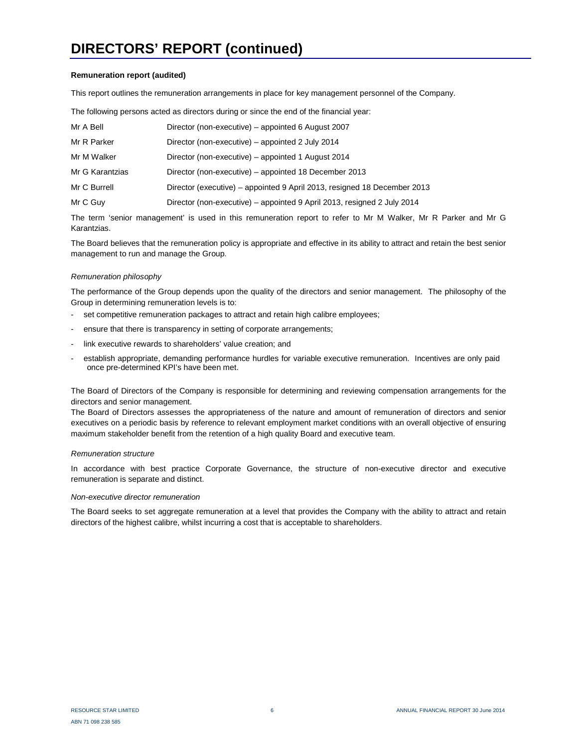## **DIRECTORS' REPORT (continued)**

#### **Remuneration report (audited)**

This report outlines the remuneration arrangements in place for key management personnel of the Company.

| The following persons acted as directors during or since the end of the financial year: |  |  |
|-----------------------------------------------------------------------------------------|--|--|
|                                                                                         |  |  |

| Mr A Bell       | Director (non-executive) – appointed 6 August 2007                       |
|-----------------|--------------------------------------------------------------------------|
| Mr R Parker     | Director (non-executive) – appointed 2 July 2014                         |
| Mr M Walker     | Director (non-executive) – appointed 1 August 2014                       |
| Mr G Karantzias | Director (non-executive) – appointed 18 December 2013                    |
| Mr C Burrell    | Director (executive) – appointed 9 April 2013, resigned 18 December 2013 |
| Mr C Guy        | Director (non-executive) - appointed 9 April 2013, resigned 2 July 2014  |

The term 'senior management' is used in this remuneration report to refer to Mr M Walker, Mr R Parker and Mr G Karantzias.

The Board believes that the remuneration policy is appropriate and effective in its ability to attract and retain the best senior management to run and manage the Group.

#### Remuneration philosophy

The performance of the Group depends upon the quality of the directors and senior management. The philosophy of the Group in determining remuneration levels is to:

- set competitive remuneration packages to attract and retain high calibre employees;
- ensure that there is transparency in setting of corporate arrangements;
- link executive rewards to shareholders' value creation; and
- establish appropriate, demanding performance hurdles for variable executive remuneration. Incentives are only paid once pre-determined KPI's have been met.

The Board of Directors of the Company is responsible for determining and reviewing compensation arrangements for the directors and senior management.

The Board of Directors assesses the appropriateness of the nature and amount of remuneration of directors and senior executives on a periodic basis by reference to relevant employment market conditions with an overall objective of ensuring maximum stakeholder benefit from the retention of a high quality Board and executive team.

#### Remuneration structure

In accordance with best practice Corporate Governance, the structure of non-executive director and executive remuneration is separate and distinct.

#### Non-executive director remuneration

The Board seeks to set aggregate remuneration at a level that provides the Company with the ability to attract and retain directors of the highest calibre, whilst incurring a cost that is acceptable to shareholders.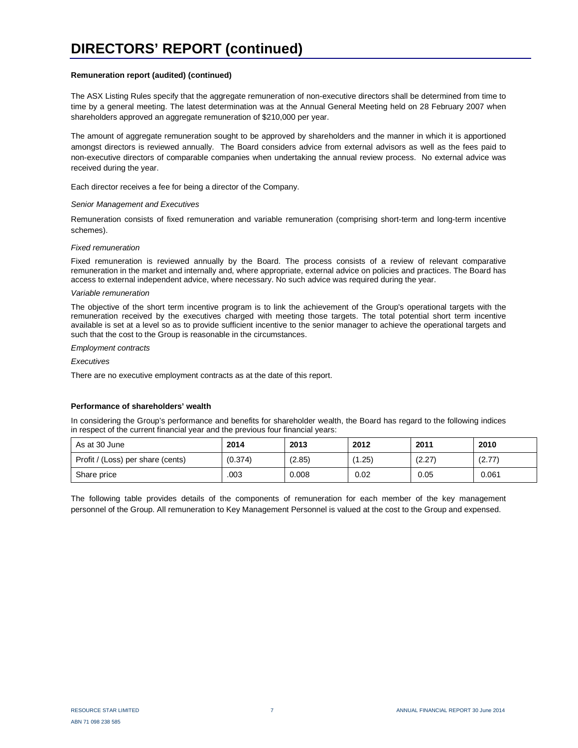#### **Remuneration report (audited) (continued)**

The ASX Listing Rules specify that the aggregate remuneration of non-executive directors shall be determined from time to time by a general meeting. The latest determination was at the Annual General Meeting held on 28 February 2007 when shareholders approved an aggregate remuneration of \$210,000 per year.

The amount of aggregate remuneration sought to be approved by shareholders and the manner in which it is apportioned amongst directors is reviewed annually. The Board considers advice from external advisors as well as the fees paid to non-executive directors of comparable companies when undertaking the annual review process. No external advice was received during the year.

Each director receives a fee for being a director of the Company.

#### Senior Management and Executives

Remuneration consists of fixed remuneration and variable remuneration (comprising short-term and long-term incentive schemes).

#### Fixed remuneration

Fixed remuneration is reviewed annually by the Board. The process consists of a review of relevant comparative remuneration in the market and internally and, where appropriate, external advice on policies and practices. The Board has access to external independent advice, where necessary. No such advice was required during the year.

#### Variable remuneration

The objective of the short term incentive program is to link the achievement of the Group's operational targets with the remuneration received by the executives charged with meeting those targets. The total potential short term incentive available is set at a level so as to provide sufficient incentive to the senior manager to achieve the operational targets and such that the cost to the Group is reasonable in the circumstances.

#### Employment contracts

#### **Executives**

There are no executive employment contracts as at the date of this report.

#### **Performance of shareholders' wealth**

In considering the Group's performance and benefits for shareholder wealth, the Board has regard to the following indices in respect of the current financial year and the previous four financial years:

| As at 30 June                     | 2014    | 2013   | 2012 | 2011   | 2010   |
|-----------------------------------|---------|--------|------|--------|--------|
| Profit / (Loss) per share (cents) | (0.374) | (2.85) | 1.25 | (2.27) | (2.77) |
| Share price                       | .003    | 0.008  | 0.02 | 0.05   | 0.061  |

The following table provides details of the components of remuneration for each member of the key management personnel of the Group. All remuneration to Key Management Personnel is valued at the cost to the Group and expensed.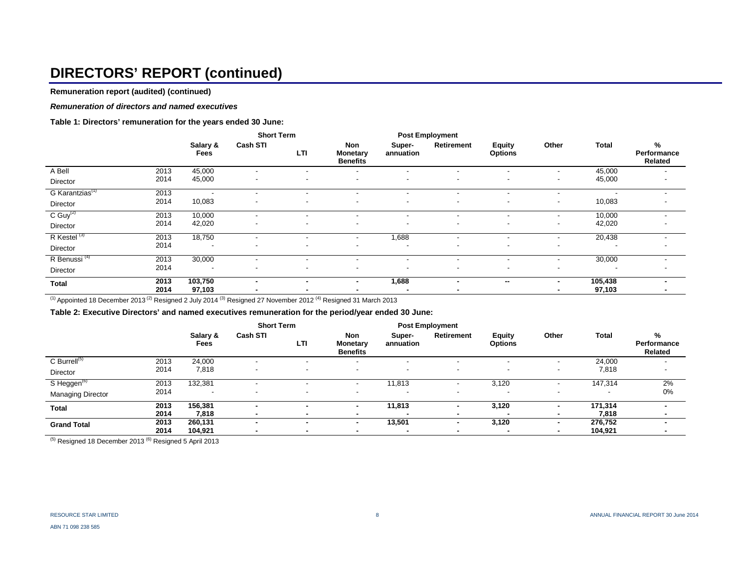## **DIRECTORS' REPORT (continued)**

#### **Remuneration report (audited) (continued)**

**Remuneration of directors and named executives** 

**Table 1: Directors' remuneration for the years ended 30 June:** 

|                             |      | <b>Short Term</b>        |                          |                          |                                           | <b>Post Employment</b>   |                          |                                 |                          |                          |                             |
|-----------------------------|------|--------------------------|--------------------------|--------------------------|-------------------------------------------|--------------------------|--------------------------|---------------------------------|--------------------------|--------------------------|-----------------------------|
|                             |      | Salary &<br>Fees         | <b>Cash STI</b>          | LTI                      | Non<br><b>Monetary</b><br><b>Benefits</b> | Super-<br>annuation      | Retirement               | <b>Equity</b><br><b>Options</b> | Other                    | <b>Total</b>             | %<br>Performance<br>Related |
| A Bell                      | 2013 | 45,000                   |                          |                          | $\overline{\phantom{a}}$                  |                          |                          |                                 |                          | 45,000                   | $\overline{\phantom{a}}$    |
| Director                    | 2014 | 45,000                   | $\overline{\phantom{a}}$ |                          | $\overline{\phantom{a}}$                  | $\overline{\phantom{a}}$ | $\overline{\phantom{a}}$ | ٠                               | ٠                        | 45,000                   | $\overline{\phantom{a}}$    |
| G Karantzias <sup>(1)</sup> | 2013 |                          |                          |                          |                                           |                          |                          |                                 |                          |                          | $\overline{\phantom{a}}$    |
| Director                    | 2014 | 10,083                   | $\overline{\phantom{a}}$ | $\overline{\phantom{a}}$ | $\overline{\phantom{a}}$                  | $\overline{\phantom{0}}$ | $\overline{\phantom{a}}$ | ٠                               | ٠                        | 10,083                   | $\overline{\phantom{a}}$    |
| $C$ Guy <sup>(2)</sup>      | 2013 | 10,000                   |                          |                          |                                           |                          |                          |                                 | -                        | 10,000                   | $\overline{\phantom{0}}$    |
| Director                    | 2014 | 42,020                   | $\overline{\phantom{a}}$ | $\overline{\phantom{0}}$ | $\overline{\phantom{a}}$                  | $\overline{\phantom{0}}$ | $\overline{\phantom{a}}$ | $\overline{\phantom{a}}$        | ٠                        | 42,020                   | $\overline{\phantom{a}}$    |
| R Kestel <sup>(3)</sup>     | 2013 | 18,750                   | $\overline{\phantom{a}}$ |                          | $\overline{\phantom{a}}$                  | 1,688                    | $\overline{\phantom{a}}$ |                                 | $\overline{\phantom{a}}$ | 20,438                   | $\overline{\phantom{a}}$    |
| Director                    | 2014 | $\overline{\phantom{a}}$ | $\overline{\phantom{a}}$ | $\overline{\phantom{a}}$ | $\overline{\phantom{a}}$                  | $\overline{\phantom{a}}$ | $\overline{\phantom{a}}$ | $\overline{\phantom{a}}$        | $\overline{\phantom{a}}$ | $\overline{\phantom{a}}$ | $\overline{\phantom{a}}$    |
| R Benussi <sup>(4)</sup>    | 2013 | 30,000                   |                          |                          |                                           |                          | $\overline{\phantom{a}}$ |                                 | $\overline{\phantom{a}}$ | 30,000                   | $\overline{\phantom{a}}$    |
| Director                    | 2014 | $\overline{\phantom{a}}$ | $\overline{\phantom{a}}$ | $\overline{\phantom{0}}$ | ٠                                         | $\overline{\phantom{0}}$ | $\overline{\phantom{a}}$ | $\overline{\phantom{a}}$        | $\overline{\phantom{a}}$ | $\overline{\phantom{a}}$ | ۰                           |
| <b>Total</b>                | 2013 | 103,750                  | $\blacksquare$           | $\blacksquare$           | ۰.                                        | 1,688                    | $\blacksquare$           | --                              | ۰.                       | 105,438                  | $\blacksquare$              |
|                             | 2014 | 97,103                   | ٠                        | $\overline{\phantom{a}}$ | ۰                                         | $\blacksquare$           | ٠                        |                                 | ۰                        | 97,103                   | ۰                           |

<sup>(1)</sup> Appointed 18 December 2013<sup>(2)</sup> Resigned 2 July 2014<sup>(3)</sup> Resigned 27 November 2012<sup>(4)</sup> Resigned 31 March 2013

**Table 2: Executive Directors' and named executives remuneration for the period/year ended 30 June:** 

|                            |      |                          | <b>Short Term</b>        |                          |                                           | <b>Post Employment</b>   |                          |                                 |       |              |                                |
|----------------------------|------|--------------------------|--------------------------|--------------------------|-------------------------------------------|--------------------------|--------------------------|---------------------------------|-------|--------------|--------------------------------|
|                            |      | Salary &<br>Fees         | Cash STI                 | LTI                      | Non<br><b>Monetary</b><br><b>Benefits</b> | Super-<br>annuation      | Retirement               | <b>Equity</b><br><b>Options</b> | Other | <b>Total</b> | $\%$<br>Performance<br>Related |
| $C$ Burrell <sup>(5)</sup> | 2013 | 24,000                   | $\overline{\phantom{a}}$ |                          |                                           |                          |                          |                                 |       | 24,000       |                                |
| Director                   | 2014 | 7,818                    | $\overline{\phantom{a}}$ | $\overline{\phantom{a}}$ | $\overline{\phantom{a}}$                  | $\overline{\phantom{0}}$ |                          |                                 |       | 7,818        |                                |
| S Heggen <sup>(6)</sup>    | 2013 | 132,381                  |                          |                          | $\overline{\phantom{0}}$                  | 11,813                   |                          | 3,120                           |       | 147,314      | 2%                             |
| <b>Managing Director</b>   | 2014 | $\overline{\phantom{a}}$ | $\overline{\phantom{a}}$ | $\overline{\phantom{a}}$ | $\overline{\phantom{a}}$                  | $\overline{\phantom{a}}$ |                          | $\overline{\phantom{a}}$        |       |              | 0%                             |
| <b>Total</b>               | 2013 | 156,381                  | $\blacksquare$           |                          | $\sim$                                    | 11,813                   | $\blacksquare$           | 3,120                           |       | 171,314      | $\sim$                         |
|                            | 2014 | 7,818                    | $\blacksquare$           |                          | $\overline{\phantom{0}}$                  |                          |                          |                                 |       | 7,818        |                                |
| <b>Grand Total</b>         | 2013 | 260.131                  | $\blacksquare$           | $\overline{\phantom{0}}$ | . .                                       | 13,501                   | $\overline{\phantom{a}}$ | 3,120                           |       | 276,752      | $\sim$                         |
|                            | 2014 | 104,921                  |                          |                          |                                           | $\overline{\phantom{a}}$ |                          |                                 |       | 104,921      |                                |

 $<sup>(5)</sup>$  Resigned 18 December 2013<sup>(6)</sup> Resigned 5 April 2013</sup>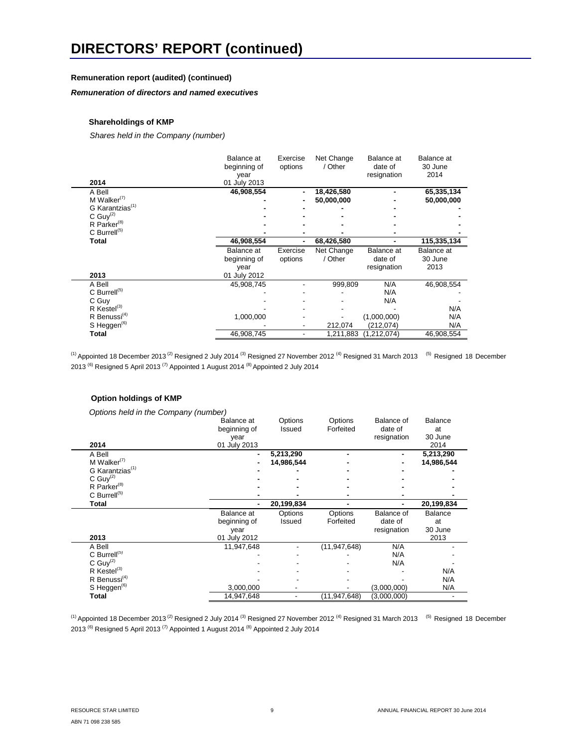### **Remuneration report (audited) (continued)**

### **Remuneration of directors and named executives**

#### **Shareholdings of KMP**

Shares held in the Company (number)

| 2014                        | Balance at<br>beginning of<br>year<br>01 July 2013 | Exercise<br>options | Net Change<br>/ Other | Balance at<br>date of<br>resignation | Balance at<br>30 June<br>2014 |
|-----------------------------|----------------------------------------------------|---------------------|-----------------------|--------------------------------------|-------------------------------|
| A Bell                      | 46,908,554                                         |                     | 18,426,580            |                                      | 65,335,134                    |
| M Walker <sup>(7)</sup>     |                                                    |                     | 50,000,000            |                                      | 50,000,000                    |
| G Karantzias <sup>(1)</sup> |                                                    |                     |                       |                                      |                               |
| $C$ Guy $^{(2)}$            |                                                    |                     |                       |                                      |                               |
| $R$ Parker $^{(8)}$         |                                                    |                     |                       |                                      |                               |
| C Burrell <sup>(5)</sup>    |                                                    |                     |                       |                                      |                               |
| Total                       | 46,908,554                                         |                     | 68,426,580            |                                      | 115,335,134                   |
|                             |                                                    |                     |                       |                                      |                               |
|                             | Balance at                                         | Exercise            | Net Change            | Balance at                           | Balance at                    |
|                             | beginning of                                       | options             | / Other               | date of                              | 30 June                       |
|                             | year                                               |                     |                       | resignation                          | 2013                          |
| 2013                        | 01 July 2012                                       |                     |                       |                                      |                               |
| A Bell                      | 45,908,745                                         |                     | 999,809               | N/A                                  | 46,908,554                    |
| C Burrell <sup>(5)</sup>    |                                                    |                     |                       | N/A                                  |                               |
| C Guy                       |                                                    |                     |                       | N/A                                  |                               |
| $R$ Kestel $^{(3)}$         |                                                    |                     |                       |                                      | N/A                           |
| R Benussi $(4)$             | 1,000,000                                          |                     |                       | (1,000,000)                          | N/A                           |
| S Heggen <sup>(6)</sup>     |                                                    |                     | 212,074               | (212,074)                            | N/A                           |

 $^{(1)}$  Appointed 18 December 2013<sup>(2)</sup> Resigned 2 July 2014<sup>(3)</sup> Resigned 27 November 2012<sup>(4)</sup> Resigned 31 March 2013 <sup>(5)</sup> Resigned 18 December 2013 <sup>(6)</sup> Resigned 5 April 2013<sup>(7)</sup> Appointed 1 August 2014<sup>(8)</sup> Appointed 2 July 2014

### **Option holdings of KMP**

Options held in the Company (number)

| $\sim$<br>2014              | Balance at<br>beginning of<br>year<br>01 July 2013 | Options<br>Issued | Options<br>Forfeited | Balance of<br>date of<br>resignation | Balance<br>at<br>30 June<br>2014 |
|-----------------------------|----------------------------------------------------|-------------------|----------------------|--------------------------------------|----------------------------------|
| A Bell                      |                                                    | 5,213,290         |                      |                                      | 5,213,290                        |
| M Walker <sup>(7)</sup>     |                                                    | 14,986,544        |                      |                                      | 14,986,544                       |
| G Karantzias <sup>(1)</sup> |                                                    |                   |                      |                                      |                                  |
| $C$ Guy $^{(2)}$            |                                                    |                   |                      |                                      |                                  |
| R Parker <sup>(8)</sup>     |                                                    |                   |                      |                                      |                                  |
| C Burrell <sup>(5)</sup>    |                                                    |                   |                      |                                      |                                  |
| Total                       |                                                    | 20,199,834        | ۰                    | ۰                                    | 20,199,834                       |
|                             | Balance at<br>beginning of                         | Options<br>Issued | Options<br>Forfeited | Balance of<br>date of                | Balance<br>at                    |
|                             | year                                               |                   |                      | resignation                          | 30 June                          |
| 2013                        | 01 July 2012                                       |                   |                      |                                      | 2013                             |
| A Bell                      | 11,947,648                                         |                   | (11, 947, 648)       | N/A                                  |                                  |
| $C$ Burrell <sup>(5)</sup>  |                                                    |                   |                      | N/A                                  |                                  |
| $C$ Guy $^{(2)}$            |                                                    |                   |                      | N/A                                  |                                  |
| R Kestel <sup>(3)</sup>     |                                                    |                   |                      |                                      | N/A                              |
| R Benussi <sup>(4)</sup>    |                                                    |                   |                      |                                      | N/A                              |
| S Heggen <sup>(6)</sup>     | 3,000,000                                          |                   |                      | (3,000,000)                          | N/A                              |
| Total                       | 14,947,648                                         |                   | (11, 947, 648)       | (3,000,000)                          |                                  |

 $^{(1)}$  Appointed 18 December 2013<sup>(2)</sup> Resigned 2 July 2014<sup>(3)</sup> Resigned 27 November 2012<sup>(4)</sup> Resigned 31 March 2013 (5) Resigned 18 December 2013 <sup>(6)</sup> Resigned 5 April 2013<sup>(7)</sup> Appointed 1 August 2014<sup>(8)</sup> Appointed 2 July 2014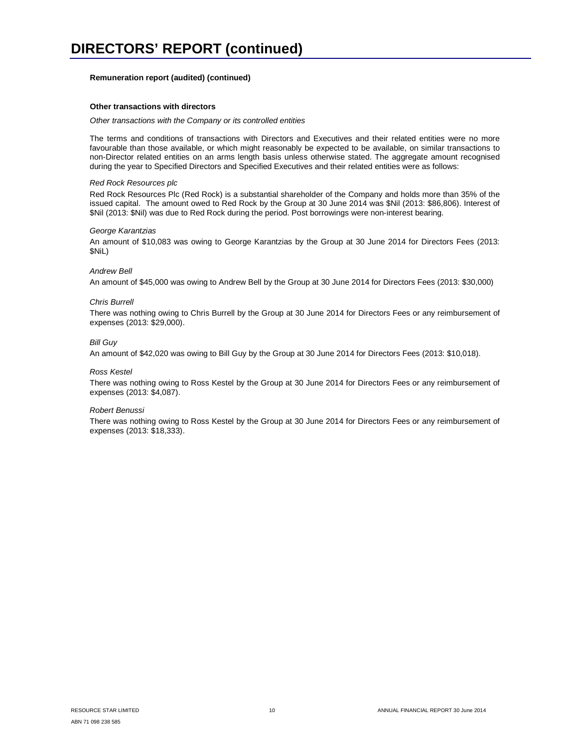#### **Remuneration report (audited) (continued)**

#### **Other transactions with directors**

Other transactions with the Company or its controlled entities

The terms and conditions of transactions with Directors and Executives and their related entities were no more favourable than those available, or which might reasonably be expected to be available, on similar transactions to non-Director related entities on an arms length basis unless otherwise stated. The aggregate amount recognised during the year to Specified Directors and Specified Executives and their related entities were as follows:

#### Red Rock Resources plc

Red Rock Resources Plc (Red Rock) is a substantial shareholder of the Company and holds more than 35% of the issued capital. The amount owed to Red Rock by the Group at 30 June 2014 was \$Nil (2013: \$86,806). Interest of \$Nil (2013: \$Nil) was due to Red Rock during the period. Post borrowings were non-interest bearing.

#### George Karantzias

An amount of \$10,083 was owing to George Karantzias by the Group at 30 June 2014 for Directors Fees (2013: \$NiL)

#### Andrew Bell

An amount of \$45,000 was owing to Andrew Bell by the Group at 30 June 2014 for Directors Fees (2013: \$30,000)

#### Chris Burrell

There was nothing owing to Chris Burrell by the Group at 30 June 2014 for Directors Fees or any reimbursement of expenses (2013: \$29,000).

#### Bill Guy

An amount of \$42,020 was owing to Bill Guy by the Group at 30 June 2014 for Directors Fees (2013: \$10,018).

#### Ross Kestel

There was nothing owing to Ross Kestel by the Group at 30 June 2014 for Directors Fees or any reimbursement of expenses (2013: \$4,087).

#### Robert Benussi

There was nothing owing to Ross Kestel by the Group at 30 June 2014 for Directors Fees or any reimbursement of expenses (2013: \$18,333).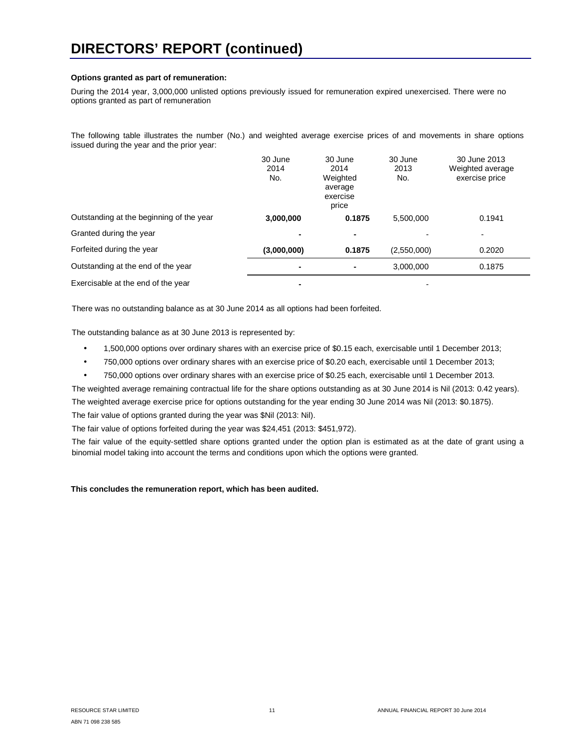#### **Options granted as part of remuneration:**

During the 2014 year, 3,000,000 unlisted options previously issued for remuneration expired unexercised. There were no options granted as part of remuneration

The following table illustrates the number (No.) and weighted average exercise prices of and movements in share options issued during the year and the prior year:

|                                          | 30 June<br>2014<br>No. | 30 June<br>2014<br>Weighted<br>average<br>exercise<br>price | 30 June<br>2013<br>No. | 30 June 2013<br>Weighted average<br>exercise price |
|------------------------------------------|------------------------|-------------------------------------------------------------|------------------------|----------------------------------------------------|
| Outstanding at the beginning of the year | 3,000,000              | 0.1875                                                      | 5.500.000              | 0.1941                                             |
| Granted during the year                  |                        | $\blacksquare$                                              |                        |                                                    |
| Forfeited during the year                | (3,000,000)            | 0.1875                                                      | (2,550,000)            | 0.2020                                             |
| Outstanding at the end of the year       | ۰                      | ٠                                                           | 3.000.000              | 0.1875                                             |
| Exercisable at the end of the year       | ۰                      |                                                             |                        |                                                    |

There was no outstanding balance as at 30 June 2014 as all options had been forfeited.

The outstanding balance as at 30 June 2013 is represented by:

- 1,500,000 options over ordinary shares with an exercise price of \$0.15 each, exercisable until 1 December 2013;
- 750,000 options over ordinary shares with an exercise price of \$0.20 each, exercisable until 1 December 2013;
- 750,000 options over ordinary shares with an exercise price of \$0.25 each, exercisable until 1 December 2013.

The weighted average remaining contractual life for the share options outstanding as at 30 June 2014 is Nil (2013: 0.42 years). The weighted average exercise price for options outstanding for the year ending 30 June 2014 was Nil (2013: \$0.1875). The fair value of options granted during the year was \$Nil (2013: Nil).

The fair value of options forfeited during the year was \$24,451 (2013: \$451,972).

The fair value of the equity-settled share options granted under the option plan is estimated as at the date of grant using a binomial model taking into account the terms and conditions upon which the options were granted.

**This concludes the remuneration report, which has been audited.**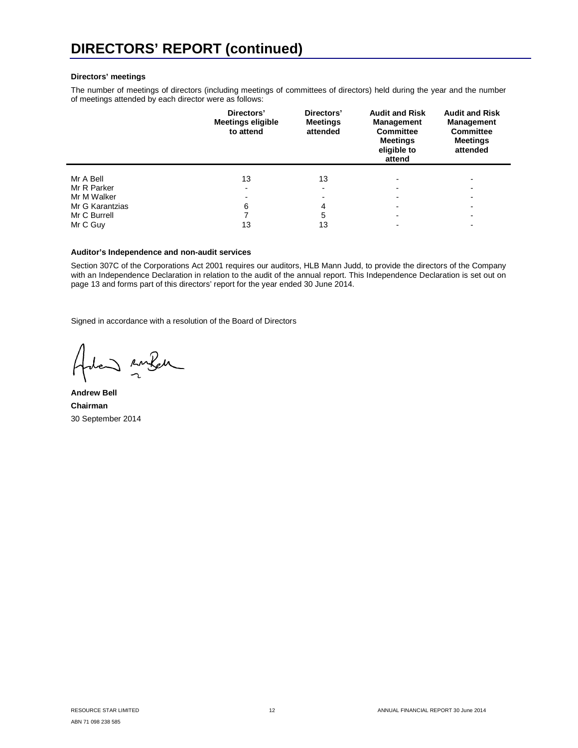### **Directors' meetings**

The number of meetings of directors (including meetings of committees of directors) held during the year and the number of meetings attended by each director were as follows:

|                 | Directors'<br><b>Meetings eligible</b><br>to attend | Directors'<br><b>Meetings</b><br>attended | <b>Audit and Risk</b><br><b>Management</b><br><b>Committee</b><br><b>Meetings</b><br>eligible to<br>attend | <b>Audit and Risk</b><br><b>Management</b><br><b>Committee</b><br><b>Meetings</b><br>attended |
|-----------------|-----------------------------------------------------|-------------------------------------------|------------------------------------------------------------------------------------------------------------|-----------------------------------------------------------------------------------------------|
|                 |                                                     |                                           |                                                                                                            |                                                                                               |
| Mr A Bell       | 13                                                  | 13                                        |                                                                                                            |                                                                                               |
| Mr R Parker     |                                                     |                                           |                                                                                                            |                                                                                               |
| Mr M Walker     |                                                     |                                           |                                                                                                            |                                                                                               |
| Mr G Karantzias | 6                                                   |                                           |                                                                                                            |                                                                                               |
| Mr C Burrell    |                                                     | 5                                         |                                                                                                            |                                                                                               |
| Mr C Guy        | 13                                                  | 13                                        |                                                                                                            |                                                                                               |

#### **Auditor's Independence and non-audit services**

Section 307C of the Corporations Act 2001 requires our auditors, HLB Mann Judd, to provide the directors of the Company with an Independence Declaration in relation to the audit of the annual report. This Independence Declaration is set out on page 13 and forms part of this directors' report for the year ended 30 June 2014.

Signed in accordance with a resolution of the Board of Directors

de senfer

**Andrew Bell Chairman**  30 September 2014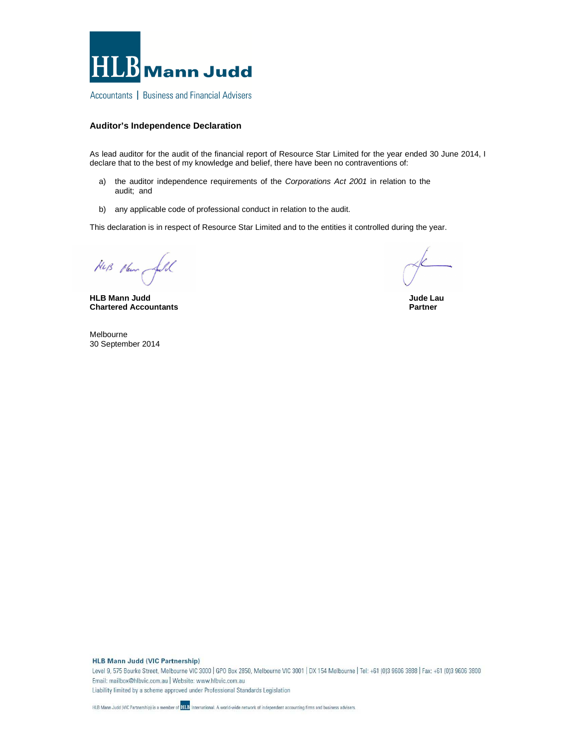

Accountants | Business and Financial Advisers

#### **Auditor's Independence Declaration**

As lead auditor for the audit of the financial report of Resource Star Limited for the year ended 30 June 2014, I declare that to the best of my knowledge and belief, there have been no contraventions of:

- a) the auditor independence requirements of the Corporations Act 2001 in relation to the audit; and
- b) any applicable code of professional conduct in relation to the audit.

This declaration is in respect of Resource Star Limited and to the entities it controlled during the year.

HUB Han fold

**HLB Mann Judd Jude Lau Chartered Accountants** 

Melbourne 30 September 2014

**HLB Mann Judd (VIC Partnership)** 

Level 9, 575 Bourke Street, Melbourne VIC 3000 | GPO Box 2850, Melbourne VIC 3001 | DX 154 Melbourne | Tel: +61 (0)3 9606 3888 | Fax: +61 (0)3 9606 3888 Email: mailbox@hlbvic.com.au | Website: www.hlbvic.com.au Liability limited by a scheme approved under Professional Standards Legislation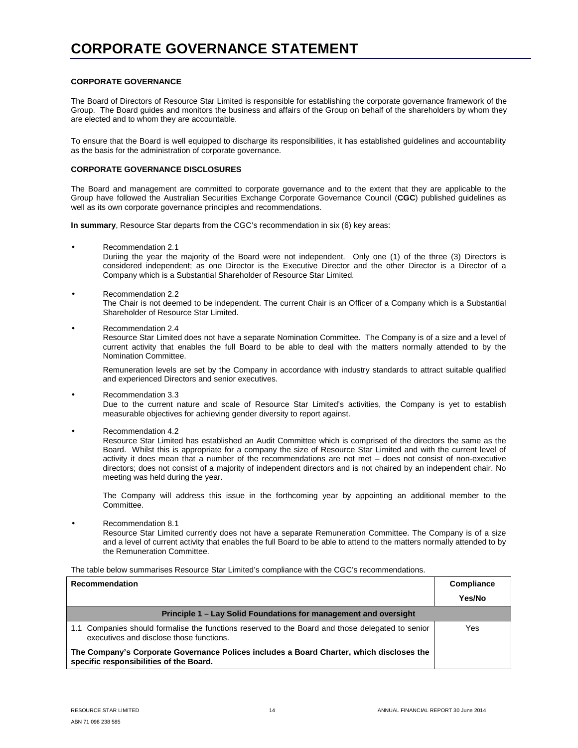#### **CORPORATE GOVERNANCE**

The Board of Directors of Resource Star Limited is responsible for establishing the corporate governance framework of the Group. The Board guides and monitors the business and affairs of the Group on behalf of the shareholders by whom they are elected and to whom they are accountable.

To ensure that the Board is well equipped to discharge its responsibilities, it has established guidelines and accountability as the basis for the administration of corporate governance.

#### **CORPORATE GOVERNANCE DISCLOSURES**

The Board and management are committed to corporate governance and to the extent that they are applicable to the Group have followed the Australian Securities Exchange Corporate Governance Council (**CGC**) published guidelines as well as its own corporate governance principles and recommendations.

**In summary**, Resource Star departs from the CGC's recommendation in six (6) key areas:

• Recommendation 2.1

Duriing the year the majority of the Board were not independent. Only one (1) of the three (3) Directors is considered independent; as one Director is the Executive Director and the other Director is a Director of a Company which is a Substantial Shareholder of Resource Star Limited.

• Recommendation 2.2

The Chair is not deemed to be independent. The current Chair is an Officer of a Company which is a Substantial Shareholder of Resource Star Limited.

• Recommendation 2.4

Resource Star Limited does not have a separate Nomination Committee. The Company is of a size and a level of current activity that enables the full Board to be able to deal with the matters normally attended to by the Nomination Committee.

Remuneration levels are set by the Company in accordance with industry standards to attract suitable qualified and experienced Directors and senior executives.

• Recommendation 3.3

Due to the current nature and scale of Resource Star Limited's activities, the Company is yet to establish measurable objectives for achieving gender diversity to report against.

• Recommendation 4.2

Resource Star Limited has established an Audit Committee which is comprised of the directors the same as the Board. Whilst this is appropriate for a company the size of Resource Star Limited and with the current level of activity it does mean that a number of the recommendations are not met – does not consist of non-executive directors; does not consist of a majority of independent directors and is not chaired by an independent chair. No meeting was held during the year.

The Company will address this issue in the forthcoming year by appointing an additional member to the Committee.

• Recommendation 8.1

Resource Star Limited currently does not have a separate Remuneration Committee. The Company is of a size and a level of current activity that enables the full Board to be able to attend to the matters normally attended to by the Remuneration Committee.

The table below summarises Resource Star Limited's compliance with the CGC's recommendations.

| Recommendation                                                                                                                               | Compliance |
|----------------------------------------------------------------------------------------------------------------------------------------------|------------|
|                                                                                                                                              | Yes/No     |
| Principle 1 – Lay Solid Foundations for management and oversight                                                                             |            |
| 1.1 Companies should formalise the functions reserved to the Board and those delegated to senior<br>executives and disclose those functions. | Yes        |
| The Company's Corporate Governance Polices includes a Board Charter, which discloses the<br>specific responsibilities of the Board.          |            |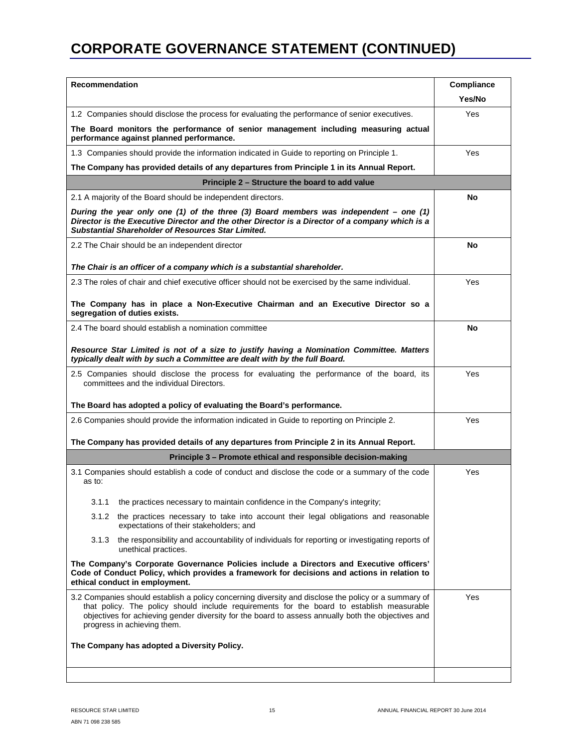| Recommendation                                                                                                                                                                                                                                                                                                                         | Compliance |
|----------------------------------------------------------------------------------------------------------------------------------------------------------------------------------------------------------------------------------------------------------------------------------------------------------------------------------------|------------|
|                                                                                                                                                                                                                                                                                                                                        | Yes/No     |
| 1.2 Companies should disclose the process for evaluating the performance of senior executives.                                                                                                                                                                                                                                         | Yes        |
| The Board monitors the performance of senior management including measuring actual<br>performance against planned performance.                                                                                                                                                                                                         |            |
| 1.3 Companies should provide the information indicated in Guide to reporting on Principle 1.                                                                                                                                                                                                                                           | Yes        |
| The Company has provided details of any departures from Principle 1 in its Annual Report.                                                                                                                                                                                                                                              |            |
| Principle 2 - Structure the board to add value                                                                                                                                                                                                                                                                                         |            |
| 2.1 A majority of the Board should be independent directors.                                                                                                                                                                                                                                                                           | No         |
| During the year only one (1) of the three (3) Board members was independent – one (1)<br>Director is the Executive Director and the other Director is a Director of a company which is a<br><b>Substantial Shareholder of Resources Star Limited.</b>                                                                                  |            |
| 2.2 The Chair should be an independent director                                                                                                                                                                                                                                                                                        | No         |
| The Chair is an officer of a company which is a substantial shareholder.                                                                                                                                                                                                                                                               |            |
| 2.3 The roles of chair and chief executive officer should not be exercised by the same individual.                                                                                                                                                                                                                                     | Yes        |
| The Company has in place a Non-Executive Chairman and an Executive Director so a<br>segregation of duties exists.                                                                                                                                                                                                                      |            |
| 2.4 The board should establish a nomination committee                                                                                                                                                                                                                                                                                  | No         |
| Resource Star Limited is not of a size to justify having a Nomination Committee. Matters<br>typically dealt with by such a Committee are dealt with by the full Board.                                                                                                                                                                 |            |
| 2.5 Companies should disclose the process for evaluating the performance of the board, its<br>committees and the individual Directors.                                                                                                                                                                                                 | Yes        |
| The Board has adopted a policy of evaluating the Board's performance.                                                                                                                                                                                                                                                                  |            |
| 2.6 Companies should provide the information indicated in Guide to reporting on Principle 2.                                                                                                                                                                                                                                           | Yes        |
| The Company has provided details of any departures from Principle 2 in its Annual Report.                                                                                                                                                                                                                                              |            |
| Principle 3 - Promote ethical and responsible decision-making                                                                                                                                                                                                                                                                          |            |
| 3.1 Companies should establish a code of conduct and disclose the code or a summary of the code<br>as to:                                                                                                                                                                                                                              | Yes        |
| the practices necessary to maintain confidence in the Company's integrity:<br>3.1.1                                                                                                                                                                                                                                                    |            |
| 3.1.2<br>the practices necessary to take into account their legal obligations and reasonable<br>expectations of their stakeholders; and                                                                                                                                                                                                |            |
| the responsibility and accountability of individuals for reporting or investigating reports of<br>3.1.3<br>unethical practices.                                                                                                                                                                                                        |            |
| The Company's Corporate Governance Policies include a Directors and Executive officers'<br>Code of Conduct Policy, which provides a framework for decisions and actions in relation to<br>ethical conduct in employment.                                                                                                               |            |
| 3.2 Companies should establish a policy concerning diversity and disclose the policy or a summary of<br>that policy. The policy should include requirements for the board to establish measurable<br>objectives for achieving gender diversity for the board to assess annually both the objectives and<br>progress in achieving them. | Yes        |
| The Company has adopted a Diversity Policy.                                                                                                                                                                                                                                                                                            |            |
|                                                                                                                                                                                                                                                                                                                                        |            |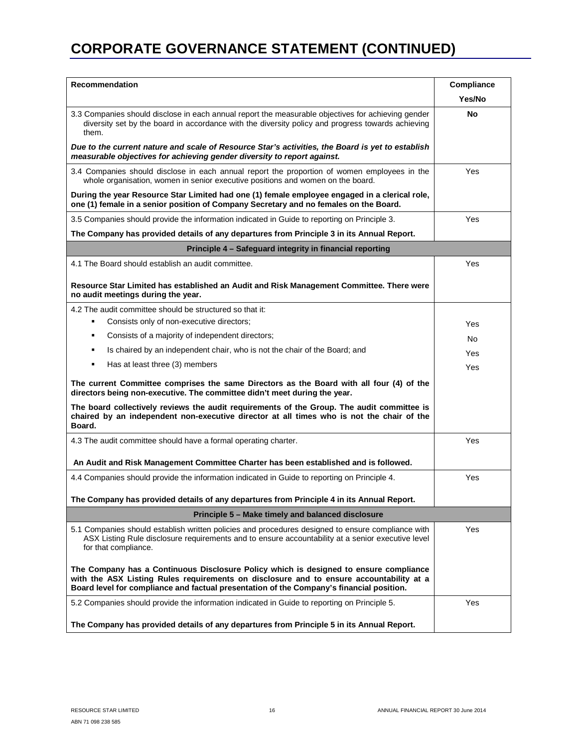| Recommendation                                                                                                                                                                                                                                                               | Compliance<br>Yes/No |
|------------------------------------------------------------------------------------------------------------------------------------------------------------------------------------------------------------------------------------------------------------------------------|----------------------|
| 3.3 Companies should disclose in each annual report the measurable objectives for achieving gender<br>diversity set by the board in accordance with the diversity policy and progress towards achieving<br>them.                                                             | No                   |
| Due to the current nature and scale of Resource Star's activities, the Board is yet to establish<br>measurable objectives for achieving gender diversity to report against.                                                                                                  |                      |
| 3.4 Companies should disclose in each annual report the proportion of women employees in the<br>whole organisation, women in senior executive positions and women on the board.                                                                                              | Yes                  |
| During the year Resource Star Limited had one (1) female employee engaged in a clerical role,<br>one (1) female in a senior position of Company Secretary and no females on the Board.                                                                                       |                      |
| 3.5 Companies should provide the information indicated in Guide to reporting on Principle 3.                                                                                                                                                                                 | Yes                  |
| The Company has provided details of any departures from Principle 3 in its Annual Report.                                                                                                                                                                                    |                      |
| Principle 4 - Safeguard integrity in financial reporting                                                                                                                                                                                                                     |                      |
| 4.1 The Board should establish an audit committee.                                                                                                                                                                                                                           | Yes                  |
| Resource Star Limited has established an Audit and Risk Management Committee. There were<br>no audit meetings during the year.                                                                                                                                               |                      |
| 4.2 The audit committee should be structured so that it:                                                                                                                                                                                                                     |                      |
| Consists only of non-executive directors;<br>٠                                                                                                                                                                                                                               | Yes                  |
| Consists of a majority of independent directors;                                                                                                                                                                                                                             | No                   |
| Is chaired by an independent chair, who is not the chair of the Board; and                                                                                                                                                                                                   | Yes                  |
| Has at least three (3) members                                                                                                                                                                                                                                               | Yes                  |
| The current Committee comprises the same Directors as the Board with all four (4) of the<br>directors being non-executive. The committee didn't meet during the year.                                                                                                        |                      |
| The board collectively reviews the audit requirements of the Group. The audit committee is<br>chaired by an independent non-executive director at all times who is not the chair of the<br>Board.                                                                            |                      |
| 4.3 The audit committee should have a formal operating charter.                                                                                                                                                                                                              | Yes                  |
|                                                                                                                                                                                                                                                                              |                      |
| An Audit and Risk Management Committee Charter has been established and is followed.                                                                                                                                                                                         |                      |
| 4.4 Companies should provide the information indicated in Guide to reporting on Principle 4.                                                                                                                                                                                 | Yes                  |
| The Company has provided details of any departures from Principle 4 in its Annual Report.                                                                                                                                                                                    |                      |
| Principle 5 - Make timely and balanced disclosure                                                                                                                                                                                                                            |                      |
| 5.1 Companies should establish written policies and procedures designed to ensure compliance with<br>ASX Listing Rule disclosure requirements and to ensure accountability at a senior executive level<br>for that compliance.                                               | Yes                  |
| The Company has a Continuous Disclosure Policy which is designed to ensure compliance<br>with the ASX Listing Rules requirements on disclosure and to ensure accountability at a<br>Board level for compliance and factual presentation of the Company's financial position. |                      |
| 5.2 Companies should provide the information indicated in Guide to reporting on Principle 5.                                                                                                                                                                                 | Yes                  |
| The Company has provided details of any departures from Principle 5 in its Annual Report.                                                                                                                                                                                    |                      |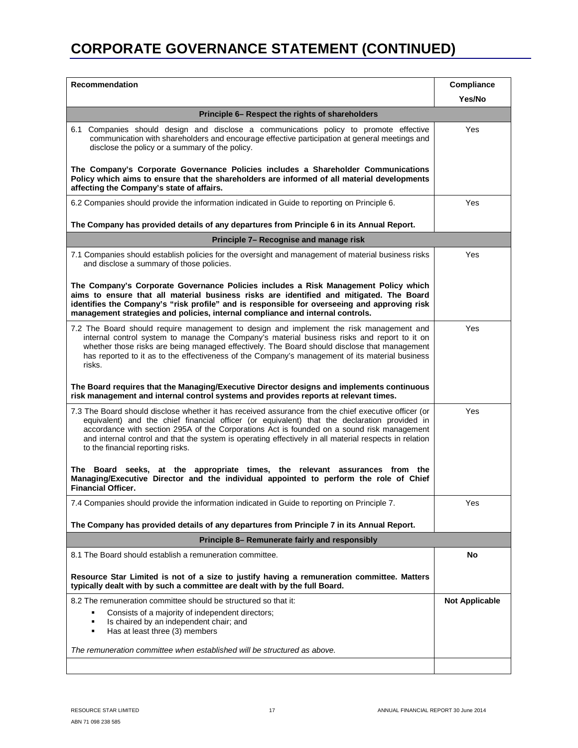| Recommendation                                                                                                                                                                                                                                                                                                                                                                                                                                    | Compliance            |
|---------------------------------------------------------------------------------------------------------------------------------------------------------------------------------------------------------------------------------------------------------------------------------------------------------------------------------------------------------------------------------------------------------------------------------------------------|-----------------------|
| Principle 6– Respect the rights of shareholders                                                                                                                                                                                                                                                                                                                                                                                                   | Yes/No                |
| 6.1 Companies should design and disclose a communications policy to promote effective<br>communication with shareholders and encourage effective participation at general meetings and<br>disclose the policy or a summary of the policy.<br>The Company's Corporate Governance Policies includes a Shareholder Communications                                                                                                                    | Yes                   |
| Policy which aims to ensure that the shareholders are informed of all material developments<br>affecting the Company's state of affairs.                                                                                                                                                                                                                                                                                                          |                       |
| 6.2 Companies should provide the information indicated in Guide to reporting on Principle 6.                                                                                                                                                                                                                                                                                                                                                      | Yes                   |
| The Company has provided details of any departures from Principle 6 in its Annual Report.                                                                                                                                                                                                                                                                                                                                                         |                       |
| Principle 7– Recognise and manage risk                                                                                                                                                                                                                                                                                                                                                                                                            |                       |
| 7.1 Companies should establish policies for the oversight and management of material business risks<br>and disclose a summary of those policies.                                                                                                                                                                                                                                                                                                  | Yes                   |
| The Company's Corporate Governance Policies includes a Risk Management Policy which<br>aims to ensure that all material business risks are identified and mitigated. The Board<br>identifies the Company's "risk profile" and is responsible for overseeing and approving risk<br>management strategies and policies, internal compliance and internal controls.                                                                                  |                       |
| 7.2 The Board should require management to design and implement the risk management and<br>internal control system to manage the Company's material business risks and report to it on<br>whether those risks are being managed effectively. The Board should disclose that management<br>has reported to it as to the effectiveness of the Company's management of its material business<br>risks.                                               | Yes                   |
| The Board requires that the Managing/Executive Director designs and implements continuous<br>risk management and internal control systems and provides reports at relevant times.                                                                                                                                                                                                                                                                 |                       |
| 7.3 The Board should disclose whether it has received assurance from the chief executive officer (or<br>equivalent) and the chief financial officer (or equivalent) that the declaration provided in<br>accordance with section 295A of the Corporations Act is founded on a sound risk management<br>and internal control and that the system is operating effectively in all material respects in relation<br>to the financial reporting risks. | Yes                   |
| The Board seeks, at the appropriate times, the relevant assurances from the<br>Managing/Executive Director and the individual appointed to perform the role of Chief<br><b>Financial Officer.</b>                                                                                                                                                                                                                                                 |                       |
| 7.4 Companies should provide the information indicated in Guide to reporting on Principle 7.                                                                                                                                                                                                                                                                                                                                                      | Yes                   |
| The Company has provided details of any departures from Principle 7 in its Annual Report.                                                                                                                                                                                                                                                                                                                                                         |                       |
| Principle 8– Remunerate fairly and responsibly                                                                                                                                                                                                                                                                                                                                                                                                    |                       |
| 8.1 The Board should establish a remuneration committee.                                                                                                                                                                                                                                                                                                                                                                                          | No                    |
| Resource Star Limited is not of a size to justify having a remuneration committee. Matters<br>typically dealt with by such a committee are dealt with by the full Board.                                                                                                                                                                                                                                                                          |                       |
| 8.2 The remuneration committee should be structured so that it:                                                                                                                                                                                                                                                                                                                                                                                   | <b>Not Applicable</b> |
| Consists of a majority of independent directors;                                                                                                                                                                                                                                                                                                                                                                                                  |                       |
| Is chaired by an independent chair; and<br>٠<br>Has at least three (3) members                                                                                                                                                                                                                                                                                                                                                                    |                       |
|                                                                                                                                                                                                                                                                                                                                                                                                                                                   |                       |
| The remuneration committee when established will be structured as above.                                                                                                                                                                                                                                                                                                                                                                          |                       |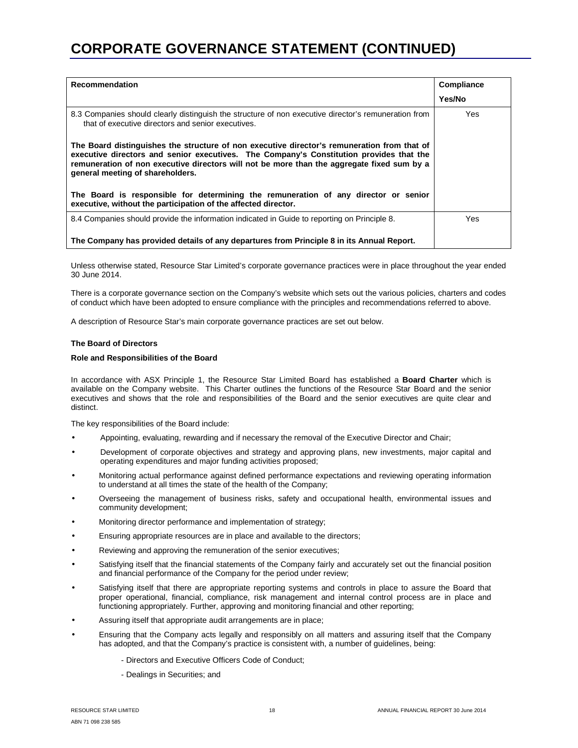| Recommendation                                                                                                                                                                                                                                                                                                           | Compliance |
|--------------------------------------------------------------------------------------------------------------------------------------------------------------------------------------------------------------------------------------------------------------------------------------------------------------------------|------------|
|                                                                                                                                                                                                                                                                                                                          | Yes/No     |
| 8.3 Companies should clearly distinguish the structure of non executive director's remuneration from<br>that of executive directors and senior executives.                                                                                                                                                               | Yes.       |
| The Board distinguishes the structure of non executive director's remuneration from that of<br>executive directors and senior executives. The Company's Constitution provides that the<br>remuneration of non executive directors will not be more than the aggregate fixed sum by a<br>general meeting of shareholders. |            |
| The Board is responsible for determining the remuneration of any director or senior<br>executive, without the participation of the affected director.                                                                                                                                                                    |            |
| 8.4 Companies should provide the information indicated in Guide to reporting on Principle 8.                                                                                                                                                                                                                             | Yes        |
| The Company has provided details of any departures from Principle 8 in its Annual Report.                                                                                                                                                                                                                                |            |

Unless otherwise stated, Resource Star Limited's corporate governance practices were in place throughout the year ended 30 June 2014.

There is a corporate governance section on the Company's website which sets out the various policies, charters and codes of conduct which have been adopted to ensure compliance with the principles and recommendations referred to above.

A description of Resource Star's main corporate governance practices are set out below.

#### **The Board of Directors**

#### **Role and Responsibilities of the Board**

In accordance with ASX Principle 1, the Resource Star Limited Board has established a **Board Charter** which is available on the Company website. This Charter outlines the functions of the Resource Star Board and the senior executives and shows that the role and responsibilities of the Board and the senior executives are quite clear and distinct.

The key responsibilities of the Board include:

- Appointing, evaluating, rewarding and if necessary the removal of the Executive Director and Chair;
- Development of corporate objectives and strategy and approving plans, new investments, major capital and operating expenditures and major funding activities proposed;
- Monitoring actual performance against defined performance expectations and reviewing operating information to understand at all times the state of the health of the Company;
- Overseeing the management of business risks, safety and occupational health, environmental issues and community development;
- Monitoring director performance and implementation of strategy;
- Ensuring appropriate resources are in place and available to the directors;
- Reviewing and approving the remuneration of the senior executives;
- Satisfying itself that the financial statements of the Company fairly and accurately set out the financial position and financial performance of the Company for the period under review;
- Satisfying itself that there are appropriate reporting systems and controls in place to assure the Board that proper operational, financial, compliance, risk management and internal control process are in place and functioning appropriately. Further, approving and monitoring financial and other reporting;
- Assuring itself that appropriate audit arrangements are in place;
- Ensuring that the Company acts legally and responsibly on all matters and assuring itself that the Company has adopted, and that the Company's practice is consistent with, a number of guidelines, being:
	- Directors and Executive Officers Code of Conduct;
	- Dealings in Securities; and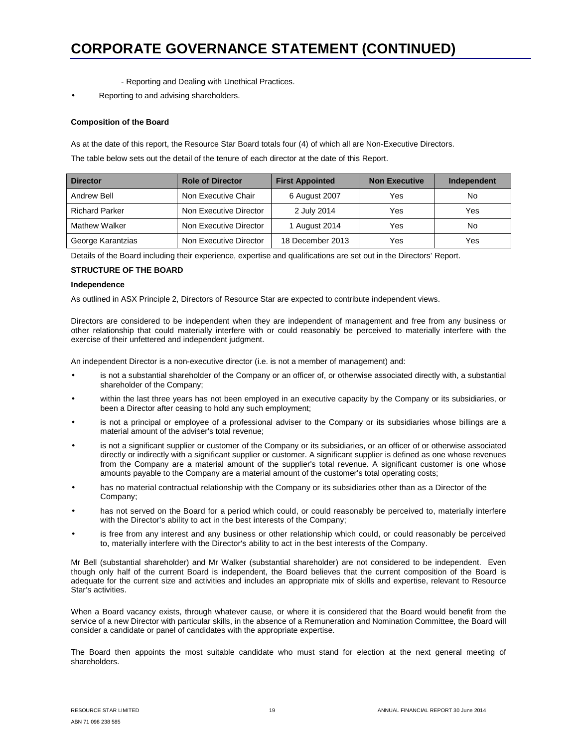- Reporting and Dealing with Unethical Practices.
- Reporting to and advising shareholders.

#### **Composition of the Board**

As at the date of this report, the Resource Star Board totals four (4) of which all are Non-Executive Directors.

The table below sets out the detail of the tenure of each director at the date of this Report.

| <b>Director</b>       | <b>Role of Director</b> | <b>First Appointed</b> | <b>Non Executive</b> | Independent |
|-----------------------|-------------------------|------------------------|----------------------|-------------|
| Andrew Bell           | Non Executive Chair     | 6 August 2007          | Yes                  | No          |
| <b>Richard Parker</b> | Non Executive Director  | 2 July 2014            | Yes                  | Yes         |
| <b>Mathew Walker</b>  | Non Executive Director  | 1 August 2014          | Yes                  | No          |
| George Karantzias     | Non Executive Director  | 18 December 2013       | Yes                  | Yes         |

Details of the Board including their experience, expertise and qualifications are set out in the Directors' Report.

#### **STRUCTURE OF THE BOARD**

#### **Independence**

As outlined in ASX Principle 2, Directors of Resource Star are expected to contribute independent views.

Directors are considered to be independent when they are independent of management and free from any business or other relationship that could materially interfere with or could reasonably be perceived to materially interfere with the exercise of their unfettered and independent judgment.

An independent Director is a non-executive director (i.e. is not a member of management) and:

- is not a substantial shareholder of the Company or an officer of, or otherwise associated directly with, a substantial shareholder of the Company;
- within the last three years has not been employed in an executive capacity by the Company or its subsidiaries, or been a Director after ceasing to hold any such employment;
- is not a principal or employee of a professional adviser to the Company or its subsidiaries whose billings are a material amount of the adviser's total revenue;
- is not a significant supplier or customer of the Company or its subsidiaries, or an officer of or otherwise associated directly or indirectly with a significant supplier or customer. A significant supplier is defined as one whose revenues from the Company are a material amount of the supplier's total revenue. A significant customer is one whose amounts payable to the Company are a material amount of the customer's total operating costs;
- has no material contractual relationship with the Company or its subsidiaries other than as a Director of the Company;
- has not served on the Board for a period which could, or could reasonably be perceived to, materially interfere with the Director's ability to act in the best interests of the Company;
- is free from any interest and any business or other relationship which could, or could reasonably be perceived to, materially interfere with the Director's ability to act in the best interests of the Company.

Mr Bell (substantial shareholder) and Mr Walker (substantial shareholder) are not considered to be independent. Even though only half of the current Board is independent, the Board believes that the current composition of the Board is adequate for the current size and activities and includes an appropriate mix of skills and expertise, relevant to Resource Star's activities.

When a Board vacancy exists, through whatever cause, or where it is considered that the Board would benefit from the service of a new Director with particular skills, in the absence of a Remuneration and Nomination Committee, the Board will consider a candidate or panel of candidates with the appropriate expertise.

The Board then appoints the most suitable candidate who must stand for election at the next general meeting of shareholders.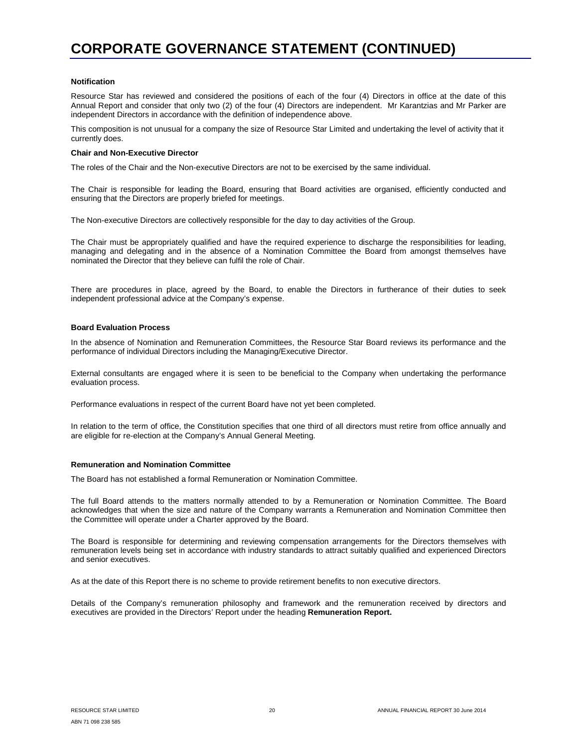#### **Notification**

Resource Star has reviewed and considered the positions of each of the four (4) Directors in office at the date of this Annual Report and consider that only two (2) of the four (4) Directors are independent. Mr Karantzias and Mr Parker are independent Directors in accordance with the definition of independence above.

This composition is not unusual for a company the size of Resource Star Limited and undertaking the level of activity that it currently does.

#### **Chair and Non-Executive Director**

The roles of the Chair and the Non-executive Directors are not to be exercised by the same individual.

The Chair is responsible for leading the Board, ensuring that Board activities are organised, efficiently conducted and ensuring that the Directors are properly briefed for meetings.

The Non-executive Directors are collectively responsible for the day to day activities of the Group.

The Chair must be appropriately qualified and have the required experience to discharge the responsibilities for leading, managing and delegating and in the absence of a Nomination Committee the Board from amongst themselves have nominated the Director that they believe can fulfil the role of Chair.

There are procedures in place, agreed by the Board, to enable the Directors in furtherance of their duties to seek independent professional advice at the Company's expense.

#### **Board Evaluation Process**

In the absence of Nomination and Remuneration Committees, the Resource Star Board reviews its performance and the performance of individual Directors including the Managing/Executive Director.

External consultants are engaged where it is seen to be beneficial to the Company when undertaking the performance evaluation process.

Performance evaluations in respect of the current Board have not yet been completed.

In relation to the term of office, the Constitution specifies that one third of all directors must retire from office annually and are eligible for re-election at the Company's Annual General Meeting.

#### **Remuneration and Nomination Committee**

The Board has not established a formal Remuneration or Nomination Committee.

The full Board attends to the matters normally attended to by a Remuneration or Nomination Committee. The Board acknowledges that when the size and nature of the Company warrants a Remuneration and Nomination Committee then the Committee will operate under a Charter approved by the Board.

The Board is responsible for determining and reviewing compensation arrangements for the Directors themselves with remuneration levels being set in accordance with industry standards to attract suitably qualified and experienced Directors and senior executives.

As at the date of this Report there is no scheme to provide retirement benefits to non executive directors.

Details of the Company's remuneration philosophy and framework and the remuneration received by directors and executives are provided in the Directors' Report under the heading **Remuneration Report.**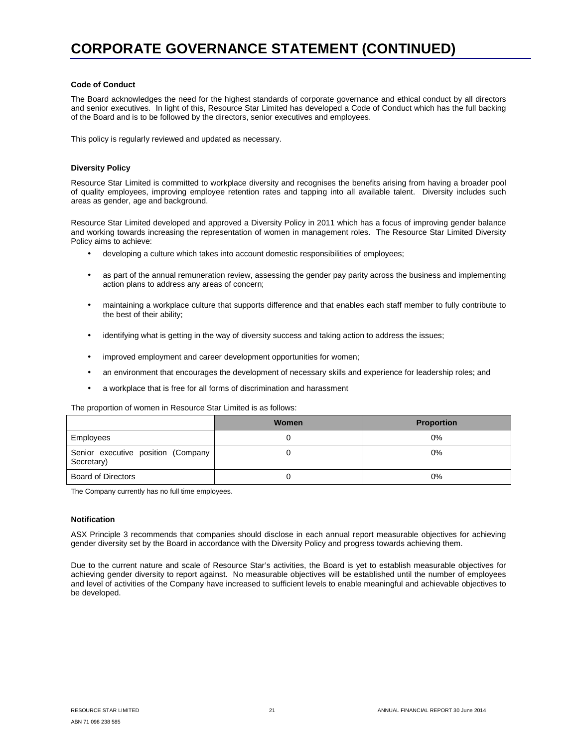#### **Code of Conduct**

The Board acknowledges the need for the highest standards of corporate governance and ethical conduct by all directors and senior executives. In light of this, Resource Star Limited has developed a Code of Conduct which has the full backing of the Board and is to be followed by the directors, senior executives and employees.

This policy is regularly reviewed and updated as necessary.

#### **Diversity Policy**

Resource Star Limited is committed to workplace diversity and recognises the benefits arising from having a broader pool of quality employees, improving employee retention rates and tapping into all available talent. Diversity includes such areas as gender, age and background.

Resource Star Limited developed and approved a Diversity Policy in 2011 which has a focus of improving gender balance and working towards increasing the representation of women in management roles. The Resource Star Limited Diversity Policy aims to achieve:

- developing a culture which takes into account domestic responsibilities of employees;
- as part of the annual remuneration review, assessing the gender pay parity across the business and implementing action plans to address any areas of concern;
- maintaining a workplace culture that supports difference and that enables each staff member to fully contribute to the best of their ability;
- identifying what is getting in the way of diversity success and taking action to address the issues;
- improved employment and career development opportunities for women;
- an environment that encourages the development of necessary skills and experience for leadership roles; and
- a workplace that is free for all forms of discrimination and harassment

#### The proportion of women in Resource Star Limited is as follows:

|                                                  | Women | <b>Proportion</b> |
|--------------------------------------------------|-------|-------------------|
| Employees                                        |       | $0\%$             |
| Senior executive position (Company<br>Secretary) |       | $0\%$             |
| <b>Board of Directors</b>                        |       | $0\%$             |

The Company currently has no full time employees.

#### **Notification**

ASX Principle 3 recommends that companies should disclose in each annual report measurable objectives for achieving gender diversity set by the Board in accordance with the Diversity Policy and progress towards achieving them.

Due to the current nature and scale of Resource Star's activities, the Board is yet to establish measurable objectives for achieving gender diversity to report against. No measurable objectives will be established until the number of employees and level of activities of the Company have increased to sufficient levels to enable meaningful and achievable objectives to be developed.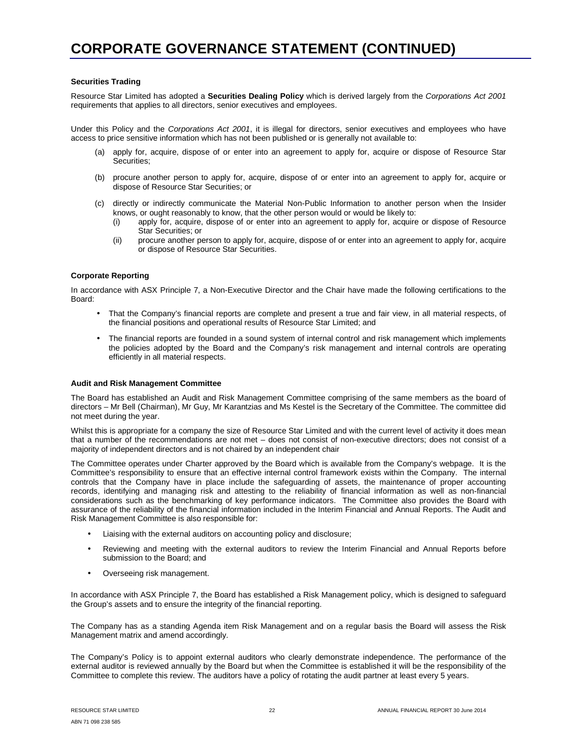#### **Securities Trading**

Resource Star Limited has adopted a **Securities Dealing Policy** which is derived largely from the Corporations Act 2001 requirements that applies to all directors, senior executives and employees.

Under this Policy and the Corporations Act 2001, it is illegal for directors, senior executives and employees who have access to price sensitive information which has not been published or is generally not available to:

- (a) apply for, acquire, dispose of or enter into an agreement to apply for, acquire or dispose of Resource Star Securities;
- (b) procure another person to apply for, acquire, dispose of or enter into an agreement to apply for, acquire or dispose of Resource Star Securities; or
- (c) directly or indirectly communicate the Material Non-Public Information to another person when the Insider knows, or ought reasonably to know, that the other person would or would be likely to:
	- (i) apply for, acquire, dispose of or enter into an agreement to apply for, acquire or dispose of Resource Star Securities; or
	- (ii) procure another person to apply for, acquire, dispose of or enter into an agreement to apply for, acquire or dispose of Resource Star Securities.

#### **Corporate Reporting**

In accordance with ASX Principle 7, a Non-Executive Director and the Chair have made the following certifications to the Board:

- That the Company's financial reports are complete and present a true and fair view, in all material respects, of the financial positions and operational results of Resource Star Limited; and
- The financial reports are founded in a sound system of internal control and risk management which implements the policies adopted by the Board and the Company's risk management and internal controls are operating efficiently in all material respects.

#### **Audit and Risk Management Committee**

The Board has established an Audit and Risk Management Committee comprising of the same members as the board of directors – Mr Bell (Chairman), Mr Guy, Mr Karantzias and Ms Kestel is the Secretary of the Committee. The committee did not meet during the year.

Whilst this is appropriate for a company the size of Resource Star Limited and with the current level of activity it does mean that a number of the recommendations are not met – does not consist of non-executive directors; does not consist of a majority of independent directors and is not chaired by an independent chair

The Committee operates under Charter approved by the Board which is available from the Company's webpage. It is the Committee's responsibility to ensure that an effective internal control framework exists within the Company. The internal controls that the Company have in place include the safeguarding of assets, the maintenance of proper accounting records, identifying and managing risk and attesting to the reliability of financial information as well as non-financial considerations such as the benchmarking of key performance indicators. The Committee also provides the Board with assurance of the reliability of the financial information included in the Interim Financial and Annual Reports. The Audit and Risk Management Committee is also responsible for:

- Liaising with the external auditors on accounting policy and disclosure;
- Reviewing and meeting with the external auditors to review the Interim Financial and Annual Reports before submission to the Board; and
- Overseeing risk management.

In accordance with ASX Principle 7, the Board has established a Risk Management policy, which is designed to safeguard the Group's assets and to ensure the integrity of the financial reporting.

The Company has as a standing Agenda item Risk Management and on a regular basis the Board will assess the Risk Management matrix and amend accordingly.

The Company's Policy is to appoint external auditors who clearly demonstrate independence. The performance of the external auditor is reviewed annually by the Board but when the Committee is established it will be the responsibility of the Committee to complete this review. The auditors have a policy of rotating the audit partner at least every 5 years.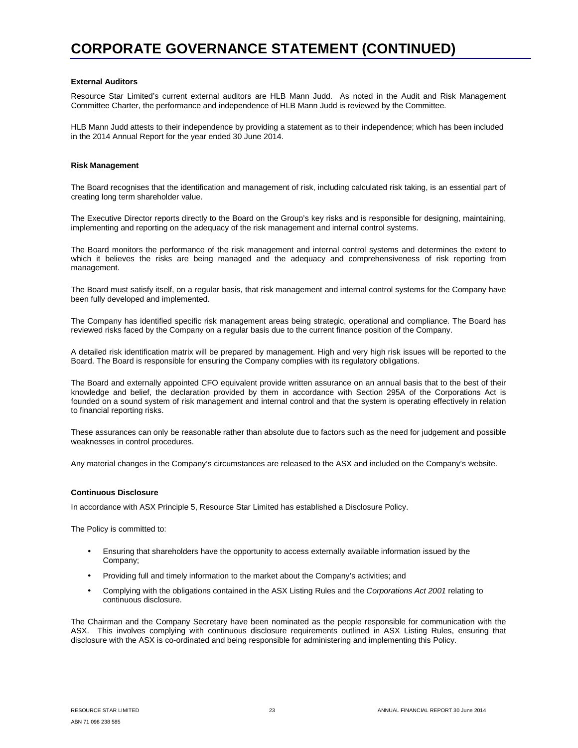#### **External Auditors**

Resource Star Limited's current external auditors are HLB Mann Judd. As noted in the Audit and Risk Management Committee Charter, the performance and independence of HLB Mann Judd is reviewed by the Committee.

HLB Mann Judd attests to their independence by providing a statement as to their independence; which has been included in the 2014 Annual Report for the year ended 30 June 2014.

#### **Risk Management**

The Board recognises that the identification and management of risk, including calculated risk taking, is an essential part of creating long term shareholder value.

The Executive Director reports directly to the Board on the Group's key risks and is responsible for designing, maintaining, implementing and reporting on the adequacy of the risk management and internal control systems.

The Board monitors the performance of the risk management and internal control systems and determines the extent to which it believes the risks are being managed and the adequacy and comprehensiveness of risk reporting from management.

The Board must satisfy itself, on a regular basis, that risk management and internal control systems for the Company have been fully developed and implemented.

The Company has identified specific risk management areas being strategic, operational and compliance. The Board has reviewed risks faced by the Company on a regular basis due to the current finance position of the Company.

A detailed risk identification matrix will be prepared by management. High and very high risk issues will be reported to the Board. The Board is responsible for ensuring the Company complies with its regulatory obligations.

The Board and externally appointed CFO equivalent provide written assurance on an annual basis that to the best of their knowledge and belief, the declaration provided by them in accordance with Section 295A of the Corporations Act is founded on a sound system of risk management and internal control and that the system is operating effectively in relation to financial reporting risks.

These assurances can only be reasonable rather than absolute due to factors such as the need for judgement and possible weaknesses in control procedures.

Any material changes in the Company's circumstances are released to the ASX and included on the Company's website.

#### **Continuous Disclosure**

In accordance with ASX Principle 5, Resource Star Limited has established a Disclosure Policy.

The Policy is committed to:

- Ensuring that shareholders have the opportunity to access externally available information issued by the Company;
- Providing full and timely information to the market about the Company's activities; and
- Complying with the obligations contained in the ASX Listing Rules and the Corporations Act 2001 relating to continuous disclosure.

The Chairman and the Company Secretary have been nominated as the people responsible for communication with the ASX. This involves complying with continuous disclosure requirements outlined in ASX Listing Rules, ensuring that disclosure with the ASX is co-ordinated and being responsible for administering and implementing this Policy.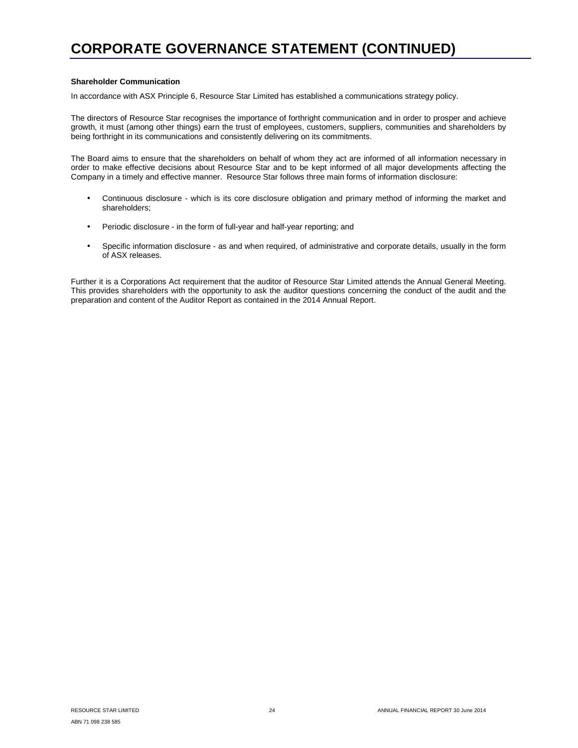#### **Shareholder Communication**

In accordance with ASX Principle 6, Resource Star Limited has established a communications strategy policy.

The directors of Resource Star recognises the importance of forthright communication and in order to prosper and achieve growth, it must (among other things) earn the trust of employees, customers, suppliers, communities and shareholders by being forthright in its communications and consistently delivering on its commitments.

The Board aims to ensure that the shareholders on behalf of whom they act are informed of all information necessary in order to make effective decisions about Resource Star and to be kept informed of all major developments affecting the Company in a timely and effective manner. Resource Star follows three main forms of information disclosure:

- Continuous disclosure which is its core disclosure obligation and primary method of informing the market and shareholders;
- Periodic disclosure in the form of full-year and half-year reporting; and
- Specific information disclosure as and when required, of administrative and corporate details, usually in the form of ASX releases.

Further it is a Corporations Act requirement that the auditor of Resource Star Limited attends the Annual General Meeting. This provides shareholders with the opportunity to ask the auditor questions concerning the conduct of the audit and the preparation and content of the Auditor Report as contained in the 2014 Annual Report.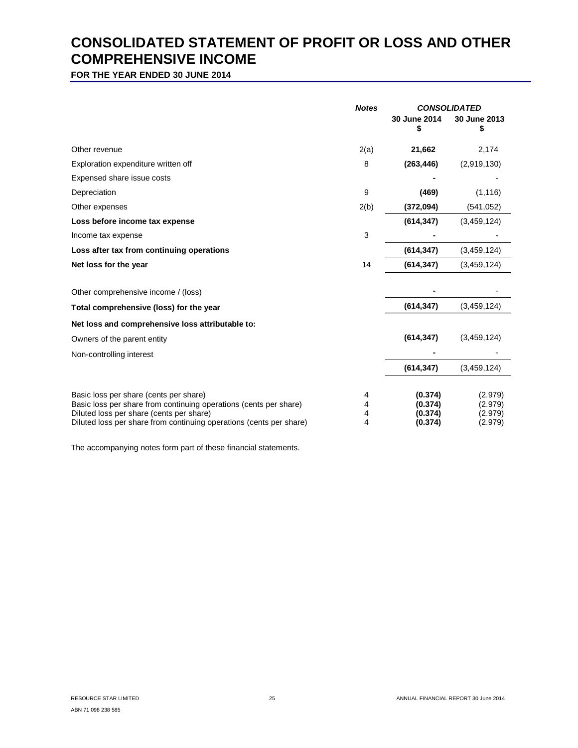## **CONSOLIDATED STATEMENT OF PROFIT OR LOSS AND OTHER COMPREHENSIVE INCOME**

**FOR THE YEAR ENDED 30 JUNE 2014** 

|                                                                                                                                                                                                                                | <b>Notes</b> |                                          | <b>CONSOLIDATED</b>                      |  |
|--------------------------------------------------------------------------------------------------------------------------------------------------------------------------------------------------------------------------------|--------------|------------------------------------------|------------------------------------------|--|
|                                                                                                                                                                                                                                |              | 30 June 2014<br>\$                       | 30 June 2013<br>\$                       |  |
| Other revenue                                                                                                                                                                                                                  | 2(a)         | 21,662                                   | 2,174                                    |  |
| Exploration expenditure written off                                                                                                                                                                                            | 8            | (263, 446)                               | (2,919,130)                              |  |
| Expensed share issue costs                                                                                                                                                                                                     |              |                                          |                                          |  |
| Depreciation                                                                                                                                                                                                                   | 9            | (469)                                    | (1, 116)                                 |  |
| Other expenses                                                                                                                                                                                                                 | 2(b)         | (372,094)                                | (541, 052)                               |  |
| Loss before income tax expense                                                                                                                                                                                                 |              | (614, 347)                               | (3,459,124)                              |  |
| Income tax expense                                                                                                                                                                                                             | 3            |                                          |                                          |  |
| Loss after tax from continuing operations                                                                                                                                                                                      |              | (614, 347)                               | (3,459,124)                              |  |
| Net loss for the year                                                                                                                                                                                                          | 14           | (614, 347)                               | (3,459,124)                              |  |
| Other comprehensive income / (loss)                                                                                                                                                                                            |              |                                          |                                          |  |
| Total comprehensive (loss) for the year                                                                                                                                                                                        |              | (614, 347)                               | (3, 459, 124)                            |  |
| Net loss and comprehensive loss attributable to:                                                                                                                                                                               |              |                                          |                                          |  |
| Owners of the parent entity                                                                                                                                                                                                    |              | (614, 347)                               | (3, 459, 124)                            |  |
| Non-controlling interest                                                                                                                                                                                                       |              |                                          |                                          |  |
|                                                                                                                                                                                                                                |              | (614, 347)                               | (3,459,124)                              |  |
| Basic loss per share (cents per share)<br>Basic loss per share from continuing operations (cents per share)<br>Diluted loss per share (cents per share)<br>Diluted loss per share from continuing operations (cents per share) | 4<br>4<br>4  | (0.374)<br>(0.374)<br>(0.374)<br>(0.374) | (2.979)<br>(2.979)<br>(2.979)<br>(2.979) |  |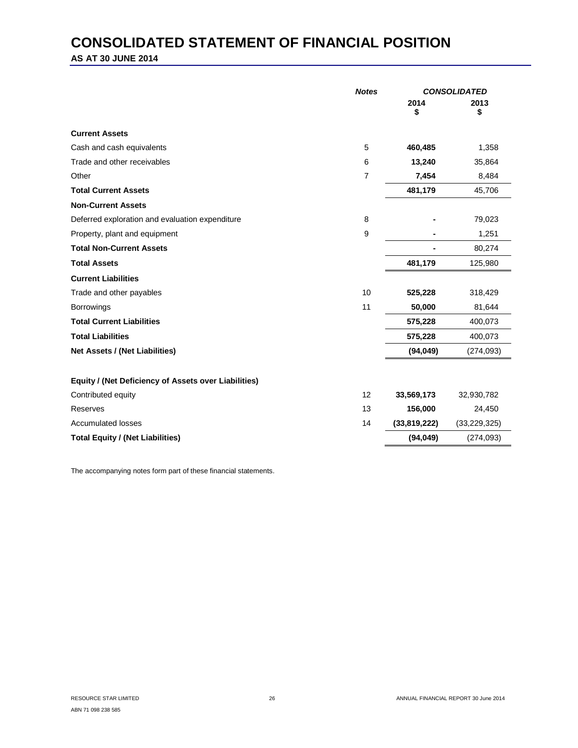## **CONSOLIDATED STATEMENT OF FINANCIAL POSITION**

**AS AT 30 JUNE 2014** 

|                                                      | <b>Notes</b>   |              | <b>CONSOLIDATED</b> |
|------------------------------------------------------|----------------|--------------|---------------------|
|                                                      |                | 2014<br>\$   | 2013<br>\$          |
| <b>Current Assets</b>                                |                |              |                     |
| Cash and cash equivalents                            | 5              | 460,485      | 1,358               |
| Trade and other receivables                          | 6              | 13,240       | 35,864              |
| Other                                                | $\overline{7}$ | 7,454        | 8,484               |
| <b>Total Current Assets</b>                          |                | 481,179      | 45,706              |
| <b>Non-Current Assets</b>                            |                |              |                     |
| Deferred exploration and evaluation expenditure      | 8              |              | 79,023              |
| Property, plant and equipment                        | 9              |              | 1,251               |
| <b>Total Non-Current Assets</b>                      |                |              | 80,274              |
| <b>Total Assets</b>                                  |                | 481,179      | 125,980             |
| <b>Current Liabilities</b>                           |                |              |                     |
| Trade and other payables                             | 10             | 525,228      | 318,429             |
| Borrowings                                           | 11             | 50,000       | 81,644              |
| <b>Total Current Liabilities</b>                     |                | 575,228      | 400,073             |
| <b>Total Liabilities</b>                             |                | 575,228      | 400,073             |
| Net Assets / (Net Liabilities)                       |                | (94, 049)    | (274, 093)          |
| Equity / (Net Deficiency of Assets over Liabilities) |                |              |                     |
| Contributed equity                                   | 12             | 33,569,173   | 32,930,782          |
| Reserves                                             | 13             | 156,000      | 24,450              |
| <b>Accumulated losses</b>                            | 14             | (33,819,222) | (33, 229, 325)      |
| <b>Total Equity / (Net Liabilities)</b>              |                | (94, 049)    | (274, 093)          |
|                                                      |                |              |                     |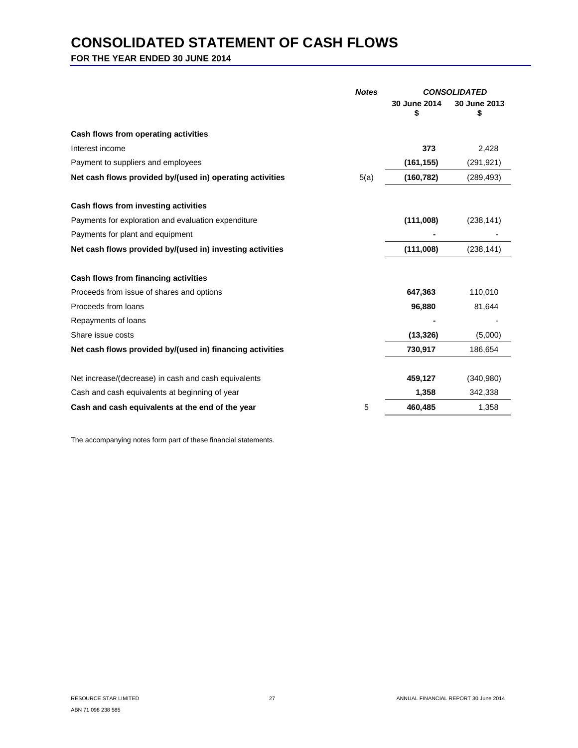## **CONSOLIDATED STATEMENT OF CASH FLOWS**

**FOR THE YEAR ENDED 30 JUNE 2014** 

|                                                           | <b>Notes</b> |                    | <b>CONSOLIDATED</b> |
|-----------------------------------------------------------|--------------|--------------------|---------------------|
|                                                           |              | 30 June 2014<br>\$ | 30 June 2013<br>\$  |
| Cash flows from operating activities                      |              |                    |                     |
| Interest income                                           |              | 373                | 2,428               |
| Payment to suppliers and employees                        |              | (161, 155)         | (291, 921)          |
| Net cash flows provided by/(used in) operating activities | 5(a)         | (160, 782)         | (289, 493)          |
| Cash flows from investing activities                      |              |                    |                     |
| Payments for exploration and evaluation expenditure       |              | (111,008)          | (238, 141)          |
| Payments for plant and equipment                          |              |                    |                     |
| Net cash flows provided by/(used in) investing activities |              | (111,008)          | (238, 141)          |
| Cash flows from financing activities                      |              |                    |                     |
| Proceeds from issue of shares and options                 |              | 647,363            | 110,010             |
| Proceeds from loans                                       |              | 96,880             | 81,644              |
| Repayments of loans                                       |              |                    |                     |
| Share issue costs                                         |              | (13, 326)          | (5,000)             |
| Net cash flows provided by/(used in) financing activities |              | 730,917            | 186,654             |
| Net increase/(decrease) in cash and cash equivalents      |              | 459,127            | (340,980)           |
| Cash and cash equivalents at beginning of year            |              | 1,358              | 342,338             |
| Cash and cash equivalents at the end of the year          | 5            | 460,485            | 1,358               |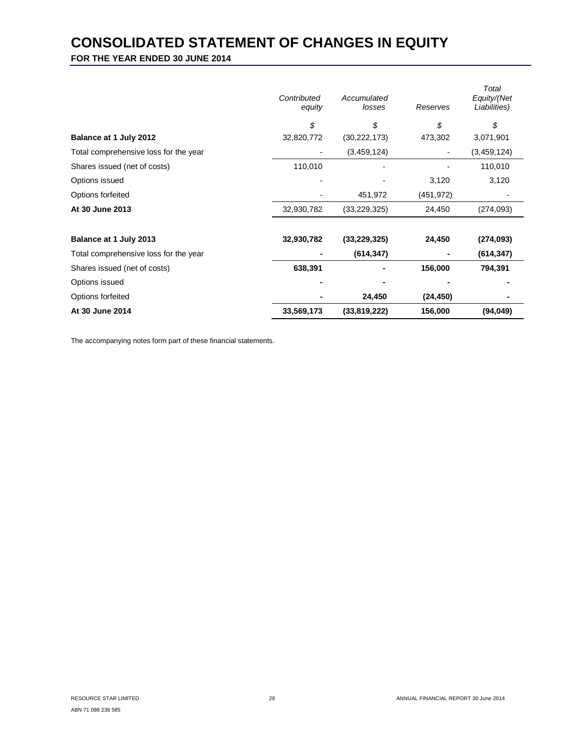## **CONSOLIDATED STATEMENT OF CHANGES IN EQUITY**

**FOR THE YEAR ENDED 30 JUNE 2014**

|                                       | Contributed<br>equity | Accumulated<br>losses | Reserves   | Total<br>Equity/(Net<br>Liabilities) |
|---------------------------------------|-----------------------|-----------------------|------------|--------------------------------------|
|                                       | \$                    | \$                    | \$         | \$                                   |
| Balance at 1 July 2012                | 32,820,772            | (30, 222, 173)        | 473,302    | 3,071,901                            |
| Total comprehensive loss for the year |                       | (3,459,124)           |            | (3, 459, 124)                        |
| Shares issued (net of costs)          | 110,010               |                       |            | 110,010                              |
| Options issued                        |                       |                       | 3,120      | 3,120                                |
| Options forfeited                     |                       | 451,972               | (451, 972) |                                      |
| At 30 June 2013                       | 32,930,782            | (33, 229, 325)        | 24,450     | (274, 093)                           |
| Balance at 1 July 2013                | 32,930,782            | (33, 229, 325)        | 24,450     | (274, 093)                           |
| Total comprehensive loss for the year |                       | (614, 347)            |            | (614, 347)                           |
| Shares issued (net of costs)          | 638,391               |                       | 156,000    | 794,391                              |
| Options issued                        |                       |                       |            |                                      |
| Options forfeited                     |                       | 24,450                | (24, 450)  |                                      |
| At 30 June 2014                       | 33,569,173            | (33,819,222)          | 156,000    | (94, 049)                            |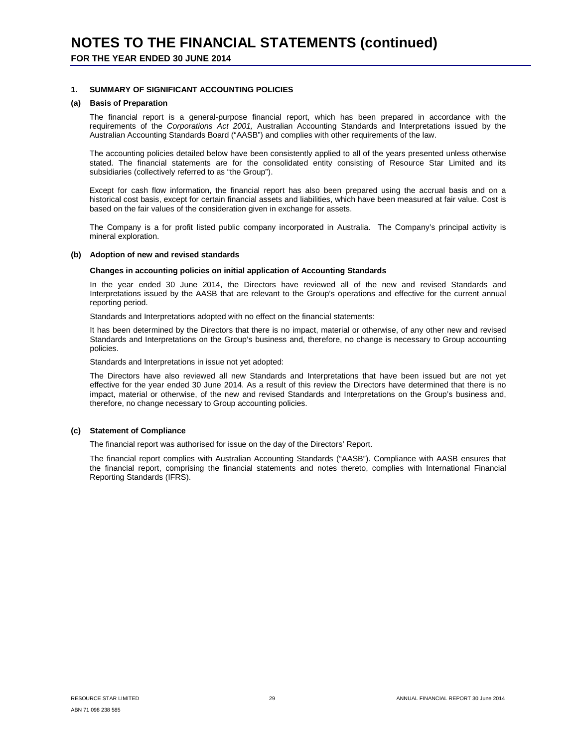### **1. SUMMARY OF SIGNIFICANT ACCOUNTING POLICIES**

#### **(a) Basis of Preparation**

The financial report is a general-purpose financial report, which has been prepared in accordance with the requirements of the Corporations Act 2001, Australian Accounting Standards and Interpretations issued by the Australian Accounting Standards Board ("AASB") and complies with other requirements of the law.

The accounting policies detailed below have been consistently applied to all of the years presented unless otherwise stated. The financial statements are for the consolidated entity consisting of Resource Star Limited and its subsidiaries (collectively referred to as "the Group").

Except for cash flow information, the financial report has also been prepared using the accrual basis and on a historical cost basis, except for certain financial assets and liabilities, which have been measured at fair value. Cost is based on the fair values of the consideration given in exchange for assets.

The Company is a for profit listed public company incorporated in Australia. The Company's principal activity is mineral exploration.

#### **(b) Adoption of new and revised standards**

#### **Changes in accounting policies on initial application of Accounting Standards**

In the year ended 30 June 2014, the Directors have reviewed all of the new and revised Standards and Interpretations issued by the AASB that are relevant to the Group's operations and effective for the current annual reporting period.

Standards and Interpretations adopted with no effect on the financial statements:

It has been determined by the Directors that there is no impact, material or otherwise, of any other new and revised Standards and Interpretations on the Group's business and, therefore, no change is necessary to Group accounting policies.

Standards and Interpretations in issue not yet adopted:

The Directors have also reviewed all new Standards and Interpretations that have been issued but are not yet effective for the year ended 30 June 2014. As a result of this review the Directors have determined that there is no impact, material or otherwise, of the new and revised Standards and Interpretations on the Group's business and, therefore, no change necessary to Group accounting policies.

#### **(c) Statement of Compliance**

The financial report was authorised for issue on the day of the Directors' Report.

The financial report complies with Australian Accounting Standards ("AASB"). Compliance with AASB ensures that the financial report, comprising the financial statements and notes thereto, complies with International Financial Reporting Standards (IFRS).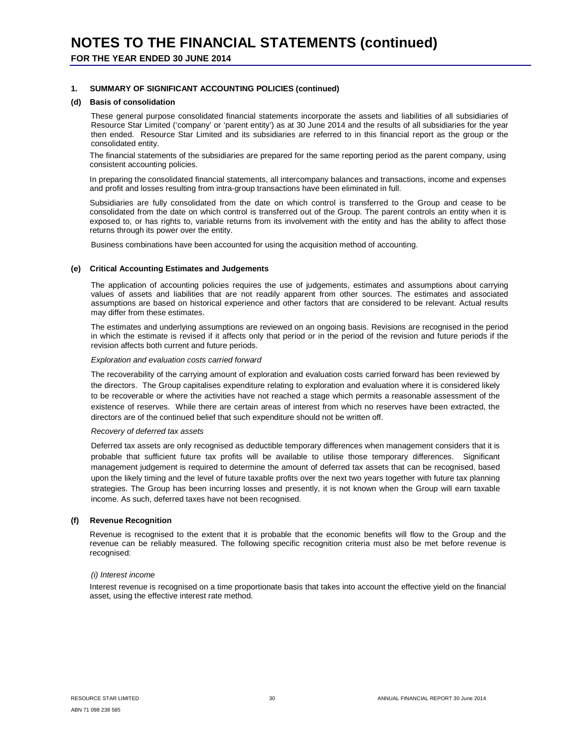#### **(d) Basis of consolidation**

These general purpose consolidated financial statements incorporate the assets and liabilities of all subsidiaries of Resource Star Limited ('company' or 'parent entity') as at 30 June 2014 and the results of all subsidiaries for the year then ended. Resource Star Limited and its subsidiaries are referred to in this financial report as the group or the consolidated entity.

The financial statements of the subsidiaries are prepared for the same reporting period as the parent company, using consistent accounting policies.

In preparing the consolidated financial statements, all intercompany balances and transactions, income and expenses and profit and losses resulting from intra-group transactions have been eliminated in full.

Subsidiaries are fully consolidated from the date on which control is transferred to the Group and cease to be consolidated from the date on which control is transferred out of the Group. The parent controls an entity when it is exposed to, or has rights to, variable returns from its involvement with the entity and has the ability to affect those returns through its power over the entity.

Business combinations have been accounted for using the acquisition method of accounting.

#### **(e) Critical Accounting Estimates and Judgements**

The application of accounting policies requires the use of judgements, estimates and assumptions about carrying values of assets and liabilities that are not readily apparent from other sources. The estimates and associated assumptions are based on historical experience and other factors that are considered to be relevant. Actual results may differ from these estimates.

The estimates and underlying assumptions are reviewed on an ongoing basis. Revisions are recognised in the period in which the estimate is revised if it affects only that period or in the period of the revision and future periods if the revision affects both current and future periods.

#### Exploration and evaluation costs carried forward

The recoverability of the carrying amount of exploration and evaluation costs carried forward has been reviewed by the directors. The Group capitalises expenditure relating to exploration and evaluation where it is considered likely to be recoverable or where the activities have not reached a stage which permits a reasonable assessment of the existence of reserves. While there are certain areas of interest from which no reserves have been extracted, the directors are of the continued belief that such expenditure should not be written off.

#### Recovery of deferred tax assets

Deferred tax assets are only recognised as deductible temporary differences when management considers that it is probable that sufficient future tax profits will be available to utilise those temporary differences. Significant management judgement is required to determine the amount of deferred tax assets that can be recognised, based upon the likely timing and the level of future taxable profits over the next two years together with future tax planning strategies. The Group has been incurring losses and presently, it is not known when the Group will earn taxable income. As such, deferred taxes have not been recognised.

#### **(f) Revenue Recognition**

Revenue is recognised to the extent that it is probable that the economic benefits will flow to the Group and the revenue can be reliably measured. The following specific recognition criteria must also be met before revenue is recognised:

#### (i) Interest income

Interest revenue is recognised on a time proportionate basis that takes into account the effective yield on the financial asset, using the effective interest rate method.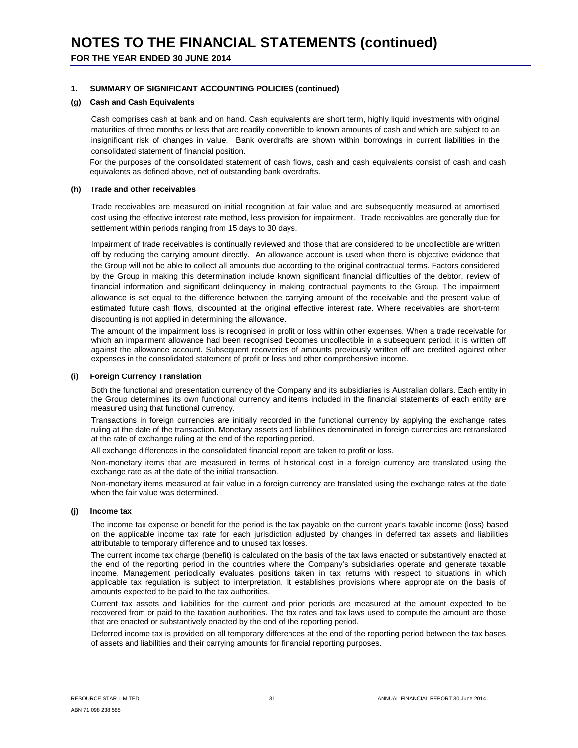#### **(g) Cash and Cash Equivalents**

Cash comprises cash at bank and on hand. Cash equivalents are short term, highly liquid investments with original maturities of three months or less that are readily convertible to known amounts of cash and which are subject to an insignificant risk of changes in value. Bank overdrafts are shown within borrowings in current liabilities in the consolidated statement of financial position.

For the purposes of the consolidated statement of cash flows, cash and cash equivalents consist of cash and cash equivalents as defined above, net of outstanding bank overdrafts.

#### **(h) Trade and other receivables**

Trade receivables are measured on initial recognition at fair value and are subsequently measured at amortised cost using the effective interest rate method, less provision for impairment. Trade receivables are generally due for settlement within periods ranging from 15 days to 30 days.

Impairment of trade receivables is continually reviewed and those that are considered to be uncollectible are written off by reducing the carrying amount directly. An allowance account is used when there is objective evidence that the Group will not be able to collect all amounts due according to the original contractual terms. Factors considered by the Group in making this determination include known significant financial difficulties of the debtor, review of financial information and significant delinquency in making contractual payments to the Group. The impairment allowance is set equal to the difference between the carrying amount of the receivable and the present value of estimated future cash flows, discounted at the original effective interest rate. Where receivables are short-term discounting is not applied in determining the allowance.

The amount of the impairment loss is recognised in profit or loss within other expenses. When a trade receivable for which an impairment allowance had been recognised becomes uncollectible in a subsequent period, it is written off against the allowance account. Subsequent recoveries of amounts previously written off are credited against other expenses in the consolidated statement of profit or loss and other comprehensive income.

#### **(i) Foreign Currency Translation**

Both the functional and presentation currency of the Company and its subsidiaries is Australian dollars. Each entity in the Group determines its own functional currency and items included in the financial statements of each entity are measured using that functional currency.

Transactions in foreign currencies are initially recorded in the functional currency by applying the exchange rates ruling at the date of the transaction. Monetary assets and liabilities denominated in foreign currencies are retranslated at the rate of exchange ruling at the end of the reporting period.

All exchange differences in the consolidated financial report are taken to profit or loss.

Non-monetary items that are measured in terms of historical cost in a foreign currency are translated using the exchange rate as at the date of the initial transaction.

Non-monetary items measured at fair value in a foreign currency are translated using the exchange rates at the date when the fair value was determined.

#### **(j) Income tax**

The income tax expense or benefit for the period is the tax payable on the current year's taxable income (loss) based on the applicable income tax rate for each jurisdiction adjusted by changes in deferred tax assets and liabilities attributable to temporary difference and to unused tax losses.

The current income tax charge (benefit) is calculated on the basis of the tax laws enacted or substantively enacted at the end of the reporting period in the countries where the Company's subsidiaries operate and generate taxable income. Management periodically evaluates positions taken in tax returns with respect to situations in which applicable tax regulation is subject to interpretation. It establishes provisions where appropriate on the basis of amounts expected to be paid to the tax authorities.

Current tax assets and liabilities for the current and prior periods are measured at the amount expected to be recovered from or paid to the taxation authorities. The tax rates and tax laws used to compute the amount are those that are enacted or substantively enacted by the end of the reporting period.

Deferred income tax is provided on all temporary differences at the end of the reporting period between the tax bases of assets and liabilities and their carrying amounts for financial reporting purposes.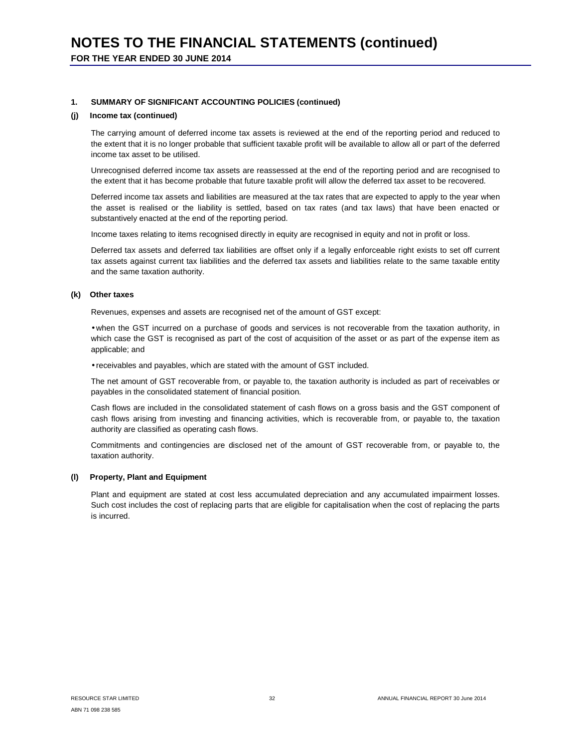#### **(j) Income tax (continued)**

The carrying amount of deferred income tax assets is reviewed at the end of the reporting period and reduced to the extent that it is no longer probable that sufficient taxable profit will be available to allow all or part of the deferred income tax asset to be utilised.

Unrecognised deferred income tax assets are reassessed at the end of the reporting period and are recognised to the extent that it has become probable that future taxable profit will allow the deferred tax asset to be recovered.

Deferred income tax assets and liabilities are measured at the tax rates that are expected to apply to the year when the asset is realised or the liability is settled, based on tax rates (and tax laws) that have been enacted or substantively enacted at the end of the reporting period.

Income taxes relating to items recognised directly in equity are recognised in equity and not in profit or loss.

Deferred tax assets and deferred tax liabilities are offset only if a legally enforceable right exists to set off current tax assets against current tax liabilities and the deferred tax assets and liabilities relate to the same taxable entity and the same taxation authority.

#### **(k) Other taxes**

Revenues, expenses and assets are recognised net of the amount of GST except:

• when the GST incurred on a purchase of goods and services is not recoverable from the taxation authority, in which case the GST is recognised as part of the cost of acquisition of the asset or as part of the expense item as applicable; and

• receivables and payables, which are stated with the amount of GST included.

The net amount of GST recoverable from, or payable to, the taxation authority is included as part of receivables or payables in the consolidated statement of financial position.

Cash flows are included in the consolidated statement of cash flows on a gross basis and the GST component of cash flows arising from investing and financing activities, which is recoverable from, or payable to, the taxation authority are classified as operating cash flows.

Commitments and contingencies are disclosed net of the amount of GST recoverable from, or payable to, the taxation authority.

#### **(l) Property, Plant and Equipment**

Plant and equipment are stated at cost less accumulated depreciation and any accumulated impairment losses. Such cost includes the cost of replacing parts that are eligible for capitalisation when the cost of replacing the parts is incurred.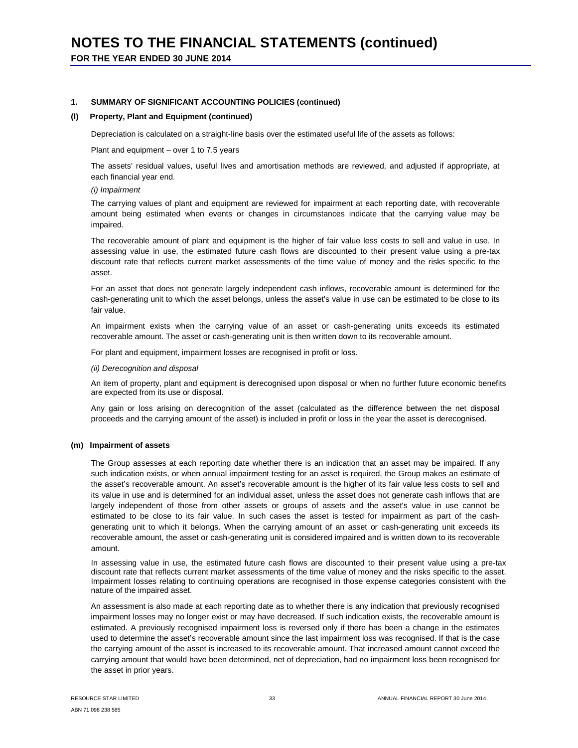#### **1. SUMMARY OF SIGNIFICANT ACCOUNTING POLICIES (continued)**

#### **(l) Property, Plant and Equipment (continued)**

Depreciation is calculated on a straight-line basis over the estimated useful life of the assets as follows:

#### Plant and equipment – over 1 to 7.5 years

The assets' residual values, useful lives and amortisation methods are reviewed, and adjusted if appropriate, at each financial year end.

#### (i) Impairment

The carrying values of plant and equipment are reviewed for impairment at each reporting date, with recoverable amount being estimated when events or changes in circumstances indicate that the carrying value may be impaired.

The recoverable amount of plant and equipment is the higher of fair value less costs to sell and value in use. In assessing value in use, the estimated future cash flows are discounted to their present value using a pre-tax discount rate that reflects current market assessments of the time value of money and the risks specific to the asset.

For an asset that does not generate largely independent cash inflows, recoverable amount is determined for the cash-generating unit to which the asset belongs, unless the asset's value in use can be estimated to be close to its fair value.

An impairment exists when the carrying value of an asset or cash-generating units exceeds its estimated recoverable amount. The asset or cash-generating unit is then written down to its recoverable amount.

For plant and equipment, impairment losses are recognised in profit or loss.

#### (ii) Derecognition and disposal

An item of property, plant and equipment is derecognised upon disposal or when no further future economic benefits are expected from its use or disposal.

Any gain or loss arising on derecognition of the asset (calculated as the difference between the net disposal proceeds and the carrying amount of the asset) is included in profit or loss in the year the asset is derecognised.

#### **(m) Impairment of assets**

The Group assesses at each reporting date whether there is an indication that an asset may be impaired. If any such indication exists, or when annual impairment testing for an asset is required, the Group makes an estimate of the asset's recoverable amount. An asset's recoverable amount is the higher of its fair value less costs to sell and its value in use and is determined for an individual asset, unless the asset does not generate cash inflows that are largely independent of those from other assets or groups of assets and the asset's value in use cannot be estimated to be close to its fair value. In such cases the asset is tested for impairment as part of the cashgenerating unit to which it belongs. When the carrying amount of an asset or cash-generating unit exceeds its recoverable amount, the asset or cash-generating unit is considered impaired and is written down to its recoverable amount.

In assessing value in use, the estimated future cash flows are discounted to their present value using a pre-tax discount rate that reflects current market assessments of the time value of money and the risks specific to the asset. Impairment losses relating to continuing operations are recognised in those expense categories consistent with the nature of the impaired asset.

An assessment is also made at each reporting date as to whether there is any indication that previously recognised impairment losses may no longer exist or may have decreased. If such indication exists, the recoverable amount is estimated. A previously recognised impairment loss is reversed only if there has been a change in the estimates used to determine the asset's recoverable amount since the last impairment loss was recognised. If that is the case the carrying amount of the asset is increased to its recoverable amount. That increased amount cannot exceed the carrying amount that would have been determined, net of depreciation, had no impairment loss been recognised for the asset in prior years.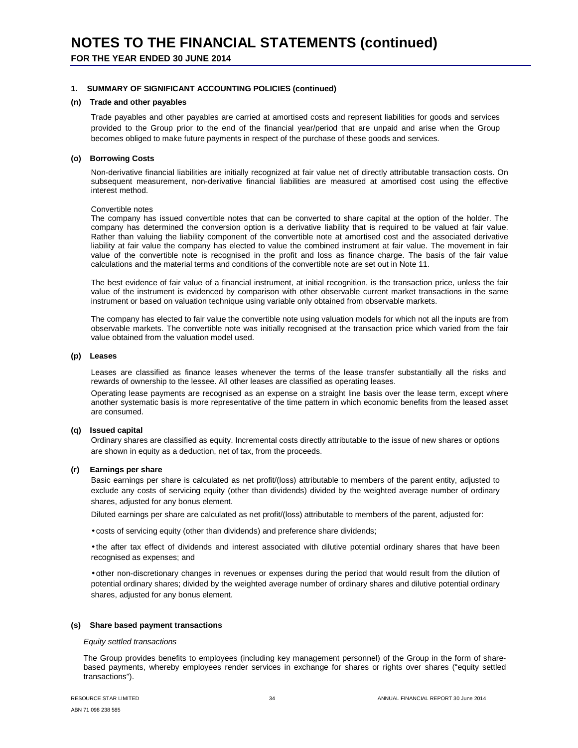### **1. SUMMARY OF SIGNIFICANT ACCOUNTING POLICIES (continued)**

#### **(n) Trade and other payables**

Trade payables and other payables are carried at amortised costs and represent liabilities for goods and services provided to the Group prior to the end of the financial year/period that are unpaid and arise when the Group becomes obliged to make future payments in respect of the purchase of these goods and services.

#### **(o) Borrowing Costs**

Non-derivative financial liabilities are initially recognized at fair value net of directly attributable transaction costs. On subsequent measurement, non-derivative financial liabilities are measured at amortised cost using the effective interest method.

#### Convertible notes

The company has issued convertible notes that can be converted to share capital at the option of the holder. The company has determined the conversion option is a derivative liability that is required to be valued at fair value. Rather than valuing the liability component of the convertible note at amortised cost and the associated derivative liability at fair value the company has elected to value the combined instrument at fair value. The movement in fair value of the convertible note is recognised in the profit and loss as finance charge. The basis of the fair value calculations and the material terms and conditions of the convertible note are set out in Note 11.

The best evidence of fair value of a financial instrument, at initial recognition, is the transaction price, unless the fair value of the instrument is evidenced by comparison with other observable current market transactions in the same instrument or based on valuation technique using variable only obtained from observable markets.

The company has elected to fair value the convertible note using valuation models for which not all the inputs are from observable markets. The convertible note was initially recognised at the transaction price which varied from the fair value obtained from the valuation model used.

#### **(p) Leases**

Leases are classified as finance leases whenever the terms of the lease transfer substantially all the risks and rewards of ownership to the lessee. All other leases are classified as operating leases.

Operating lease payments are recognised as an expense on a straight line basis over the lease term, except where another systematic basis is more representative of the time pattern in which economic benefits from the leased asset are consumed.

#### **(q) Issued capital**

Ordinary shares are classified as equity. Incremental costs directly attributable to the issue of new shares or options are shown in equity as a deduction, net of tax, from the proceeds.

#### **(r) Earnings per share**

Basic earnings per share is calculated as net profit/(loss) attributable to members of the parent entity, adjusted to exclude any costs of servicing equity (other than dividends) divided by the weighted average number of ordinary shares, adjusted for any bonus element.

Diluted earnings per share are calculated as net profit/(loss) attributable to members of the parent, adjusted for:

• costs of servicing equity (other than dividends) and preference share dividends;

• the after tax effect of dividends and interest associated with dilutive potential ordinary shares that have been recognised as expenses; and

• other non-discretionary changes in revenues or expenses during the period that would result from the dilution of potential ordinary shares; divided by the weighted average number of ordinary shares and dilutive potential ordinary shares, adjusted for any bonus element.

#### **(s) Share based payment transactions**

#### Equity settled transactions

The Group provides benefits to employees (including key management personnel) of the Group in the form of sharebased payments, whereby employees render services in exchange for shares or rights over shares ("equity settled transactions").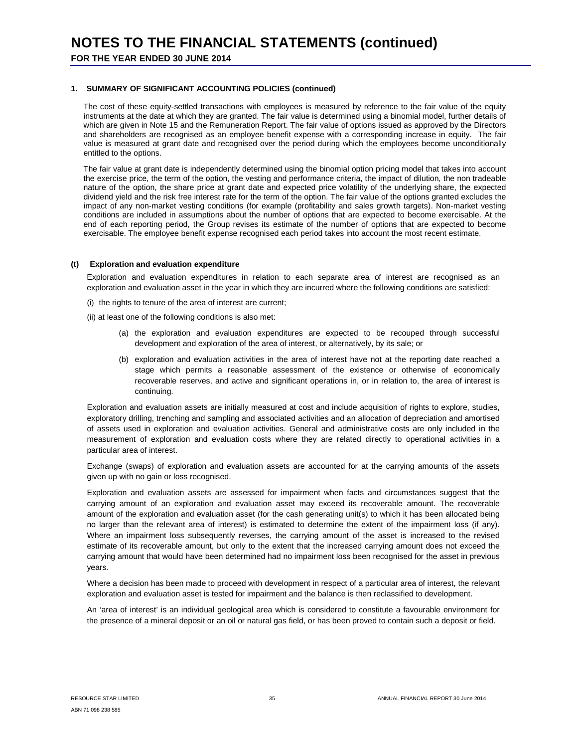### **1. SUMMARY OF SIGNIFICANT ACCOUNTING POLICIES (continued)**

The cost of these equity-settled transactions with employees is measured by reference to the fair value of the equity instruments at the date at which they are granted. The fair value is determined using a binomial model, further details of which are given in Note 15 and the Remuneration Report. The fair value of options issued as approved by the Directors and shareholders are recognised as an employee benefit expense with a corresponding increase in equity. The fair value is measured at grant date and recognised over the period during which the employees become unconditionally entitled to the options.

The fair value at grant date is independently determined using the binomial option pricing model that takes into account the exercise price, the term of the option, the vesting and performance criteria, the impact of dilution, the non tradeable nature of the option, the share price at grant date and expected price volatility of the underlying share, the expected dividend yield and the risk free interest rate for the term of the option. The fair value of the options granted excludes the impact of any non-market vesting conditions (for example (profitability and sales growth targets). Non-market vesting conditions are included in assumptions about the number of options that are expected to become exercisable. At the end of each reporting period, the Group revises its estimate of the number of options that are expected to become exercisable. The employee benefit expense recognised each period takes into account the most recent estimate.

#### **(t) Exploration and evaluation expenditure**

Exploration and evaluation expenditures in relation to each separate area of interest are recognised as an exploration and evaluation asset in the year in which they are incurred where the following conditions are satisfied:

- (i) the rights to tenure of the area of interest are current;
- (ii) at least one of the following conditions is also met:
	- (a) the exploration and evaluation expenditures are expected to be recouped through successful development and exploration of the area of interest, or alternatively, by its sale; or
	- (b) exploration and evaluation activities in the area of interest have not at the reporting date reached a stage which permits a reasonable assessment of the existence or otherwise of economically recoverable reserves, and active and significant operations in, or in relation to, the area of interest is continuing.

Exploration and evaluation assets are initially measured at cost and include acquisition of rights to explore, studies, exploratory drilling, trenching and sampling and associated activities and an allocation of depreciation and amortised of assets used in exploration and evaluation activities. General and administrative costs are only included in the measurement of exploration and evaluation costs where they are related directly to operational activities in a particular area of interest.

Exchange (swaps) of exploration and evaluation assets are accounted for at the carrying amounts of the assets given up with no gain or loss recognised.

Exploration and evaluation assets are assessed for impairment when facts and circumstances suggest that the carrying amount of an exploration and evaluation asset may exceed its recoverable amount. The recoverable amount of the exploration and evaluation asset (for the cash generating unit(s) to which it has been allocated being no larger than the relevant area of interest) is estimated to determine the extent of the impairment loss (if any). Where an impairment loss subsequently reverses, the carrying amount of the asset is increased to the revised estimate of its recoverable amount, but only to the extent that the increased carrying amount does not exceed the carrying amount that would have been determined had no impairment loss been recognised for the asset in previous years.

Where a decision has been made to proceed with development in respect of a particular area of interest, the relevant exploration and evaluation asset is tested for impairment and the balance is then reclassified to development.

An 'area of interest' is an individual geological area which is considered to constitute a favourable environment for the presence of a mineral deposit or an oil or natural gas field, or has been proved to contain such a deposit or field.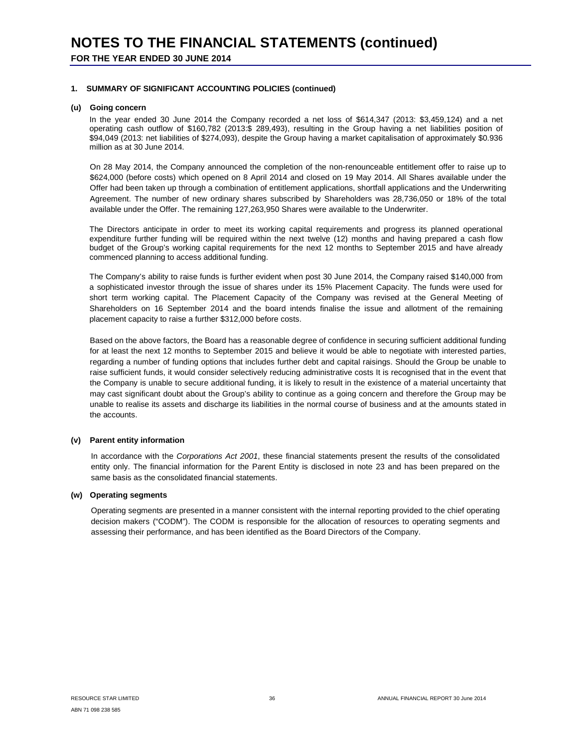### **(u) Going concern**

In the year ended 30 June 2014 the Company recorded a net loss of \$614,347 (2013: \$3,459,124) and a net operating cash outflow of \$160,782 (2013:\$ 289,493), resulting in the Group having a net liabilities position of \$94,049 (2013: net liabilities of \$274,093), despite the Group having a market capitalisation of approximately \$0.936 million as at 30 June 2014.

On 28 May 2014, the Company announced the completion of the non-renounceable entitlement offer to raise up to \$624,000 (before costs) which opened on 8 April 2014 and closed on 19 May 2014. All Shares available under the Offer had been taken up through a combination of entitlement applications, shortfall applications and the Underwriting Agreement. The number of new ordinary shares subscribed by Shareholders was 28,736,050 or 18% of the total available under the Offer. The remaining 127,263,950 Shares were available to the Underwriter.

The Directors anticipate in order to meet its working capital requirements and progress its planned operational expenditure further funding will be required within the next twelve (12) months and having prepared a cash flow budget of the Group's working capital requirements for the next 12 months to September 2015 and have already commenced planning to access additional funding.

The Company's ability to raise funds is further evident when post 30 June 2014, the Company raised \$140,000 from a sophisticated investor through the issue of shares under its 15% Placement Capacity. The funds were used for short term working capital. The Placement Capacity of the Company was revised at the General Meeting of Shareholders on 16 September 2014 and the board intends finalise the issue and allotment of the remaining placement capacity to raise a further \$312,000 before costs.

Based on the above factors, the Board has a reasonable degree of confidence in securing sufficient additional funding for at least the next 12 months to September 2015 and believe it would be able to negotiate with interested parties, regarding a number of funding options that includes further debt and capital raisings. Should the Group be unable to raise sufficient funds, it would consider selectively reducing administrative costs It is recognised that in the event that the Company is unable to secure additional funding, it is likely to result in the existence of a material uncertainty that may cast significant doubt about the Group's ability to continue as a going concern and therefore the Group may be unable to realise its assets and discharge its liabilities in the normal course of business and at the amounts stated in the accounts.

### **(v) Parent entity information**

In accordance with the Corporations Act 2001, these financial statements present the results of the consolidated entity only. The financial information for the Parent Entity is disclosed in note 23 and has been prepared on the same basis as the consolidated financial statements.

#### **(w) Operating segments**

Operating segments are presented in a manner consistent with the internal reporting provided to the chief operating decision makers ("CODM"). The CODM is responsible for the allocation of resources to operating segments and assessing their performance, and has been identified as the Board Directors of the Company.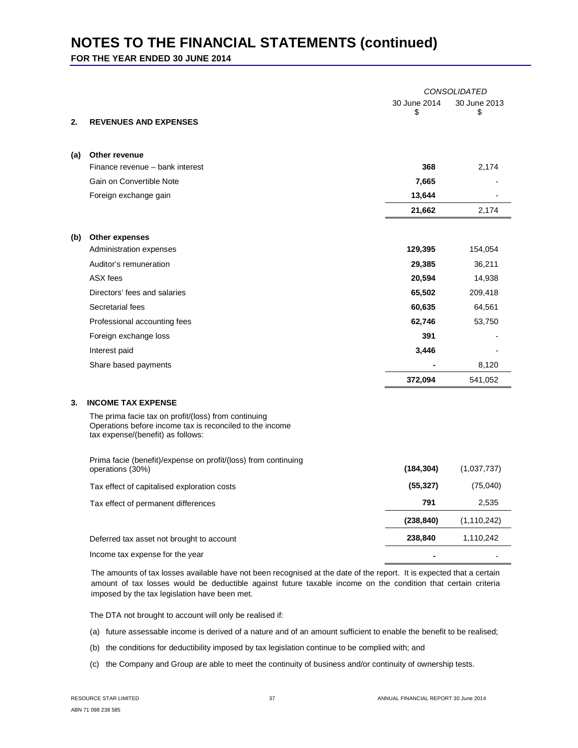**FOR THE YEAR ENDED 30 JUNE 2014**

|     |                                                                                                                                                       | CONSOLIDATED |                    |
|-----|-------------------------------------------------------------------------------------------------------------------------------------------------------|--------------|--------------------|
|     |                                                                                                                                                       | 30 June 2014 | 30 June 2013<br>\$ |
| 2.  | <b>REVENUES AND EXPENSES</b>                                                                                                                          | \$           |                    |
|     |                                                                                                                                                       |              |                    |
| (a) | Other revenue                                                                                                                                         |              |                    |
|     | Finance revenue - bank interest                                                                                                                       | 368          | 2,174              |
|     | Gain on Convertible Note                                                                                                                              | 7,665        |                    |
|     | Foreign exchange gain                                                                                                                                 | 13,644       |                    |
|     |                                                                                                                                                       | 21,662       | 2,174              |
| (b) | <b>Other expenses</b>                                                                                                                                 |              |                    |
|     | Administration expenses                                                                                                                               | 129,395      | 154,054            |
|     | Auditor's remuneration                                                                                                                                | 29,385       | 36,211             |
|     | ASX fees                                                                                                                                              | 20,594       | 14,938             |
|     | Directors' fees and salaries                                                                                                                          | 65,502       | 209,418            |
|     | Secretarial fees                                                                                                                                      | 60,635       | 64,561             |
|     | Professional accounting fees                                                                                                                          | 62,746       | 53,750             |
|     | Foreign exchange loss                                                                                                                                 | 391          |                    |
|     | Interest paid                                                                                                                                         | 3,446        |                    |
|     | Share based payments                                                                                                                                  |              | 8,120              |
|     |                                                                                                                                                       | 372,094      | 541,052            |
| 3.  | <b>INCOME TAX EXPENSE</b>                                                                                                                             |              |                    |
|     | The prima facie tax on profit/(loss) from continuing<br>Operations before income tax is reconciled to the income<br>tax expense/(benefit) as follows: |              |                    |
|     | Prima facie (benefit)/expense on profit/(loss) from continuing<br>operations (30%)                                                                    | (184, 304)   | (1,037,737)        |
|     | Tax effect of capitalised exploration costs                                                                                                           | (55, 327)    | (75,040)           |
|     | Tax effect of permanent differences                                                                                                                   | 791          | 2,535              |
|     |                                                                                                                                                       | (238, 840)   | (1, 110, 242)      |
|     | Deferred tax asset not brought to account                                                                                                             | 238,840      | 1,110,242          |
|     | Income tax expense for the year                                                                                                                       |              |                    |

The amounts of tax losses available have not been recognised at the date of the report. It is expected that a certain amount of tax losses would be deductible against future taxable income on the condition that certain criteria imposed by the tax legislation have been met.

The DTA not brought to account will only be realised if:

(a) future assessable income is derived of a nature and of an amount sufficient to enable the benefit to be realised;

(b) the conditions for deductibility imposed by tax legislation continue to be complied with; and

(c) the Company and Group are able to meet the continuity of business and/or continuity of ownership tests.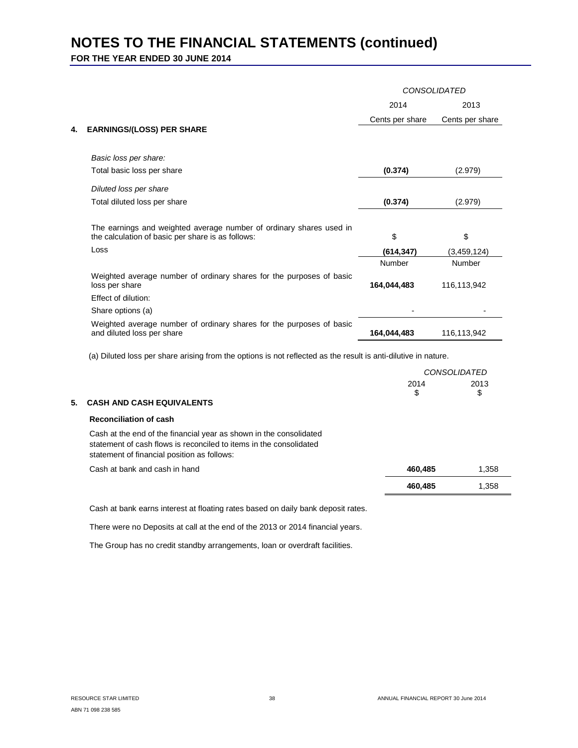**FOR THE YEAR ENDED 30 JUNE 2014**

|                                                                                                                          | <b>CONSOLIDATED</b> |                 |
|--------------------------------------------------------------------------------------------------------------------------|---------------------|-----------------|
|                                                                                                                          | 2014                | 2013            |
|                                                                                                                          | Cents per share     | Cents per share |
| <b>EARNINGS/(LOSS) PER SHARE</b>                                                                                         |                     |                 |
| Basic loss per share:                                                                                                    |                     |                 |
| Total basic loss per share                                                                                               | (0.374)             | (2.979)         |
| Diluted loss per share                                                                                                   |                     |                 |
| Total diluted loss per share                                                                                             | (0.374)             | (2.979)         |
| The earnings and weighted average number of ordinary shares used in<br>the calculation of basic per share is as follows: | \$                  | \$              |
| Loss                                                                                                                     | (614,347)           | (3,459,124)     |
|                                                                                                                          | Number              | Number          |
| Weighted average number of ordinary shares for the purposes of basic<br>loss per share                                   | 164,044,483         | 116,113,942     |
| Effect of dilution:                                                                                                      |                     |                 |
| Share options (a)                                                                                                        |                     |                 |
| Weighted average number of ordinary shares for the purposes of basic<br>and diluted loss per share                       | 164,044,483         | 116,113,942     |

|            | <b>CONSOLIDATED</b> |
|------------|---------------------|
| 2014<br>\$ | 2013<br>\$          |
|            |                     |
|            |                     |
| 460,485    | 1,358               |
| 460,485    | 1,358               |
|            |                     |

Cash at bank earns interest at floating rates based on daily bank deposit rates.

There were no Deposits at call at the end of the 2013 or 2014 financial years.

The Group has no credit standby arrangements, loan or overdraft facilities.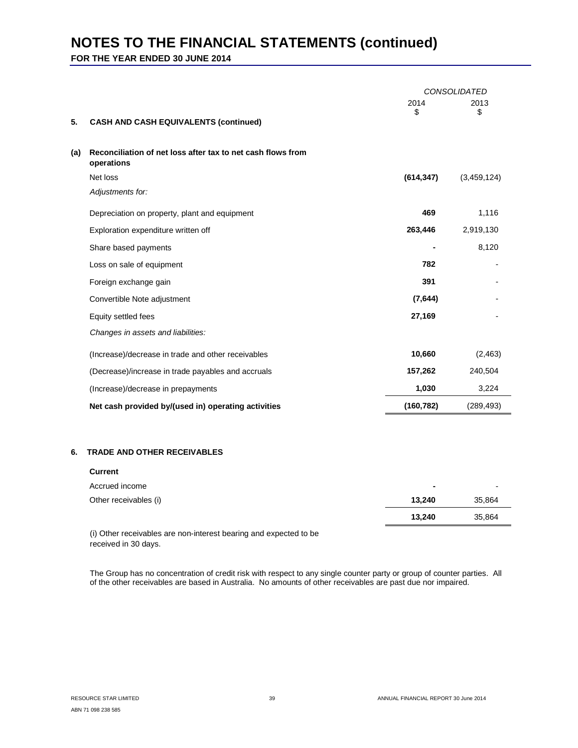**FOR THE YEAR ENDED 30 JUNE 2014**

|     |                                                                           | <b>CONSOLIDATED</b> |               |
|-----|---------------------------------------------------------------------------|---------------------|---------------|
|     |                                                                           | 2014<br>\$          | 2013<br>\$    |
| 5.  | <b>CASH AND CASH EQUIVALENTS (continued)</b>                              |                     |               |
|     |                                                                           |                     |               |
| (a) | Reconciliation of net loss after tax to net cash flows from<br>operations |                     |               |
|     | Net loss                                                                  | (614, 347)          | (3, 459, 124) |
|     | Adjustments for:                                                          |                     |               |
|     | Depreciation on property, plant and equipment                             | 469                 | 1,116         |
|     | Exploration expenditure written off                                       | 263,446             | 2,919,130     |
|     | Share based payments                                                      | $\blacksquare$      | 8,120         |
|     | Loss on sale of equipment                                                 | 782                 |               |
|     | Foreign exchange gain                                                     | 391                 |               |
|     | Convertible Note adjustment                                               | (7,644)             |               |
|     | Equity settled fees                                                       | 27,169              |               |
|     | Changes in assets and liabilities:                                        |                     |               |
|     | (Increase)/decrease in trade and other receivables                        | 10,660              | (2,463)       |
|     | (Decrease)/increase in trade payables and accruals                        | 157,262             | 240,504       |
|     | (Increase)/decrease in prepayments                                        | 1,030               | 3,224         |
|     | Net cash provided by/(used in) operating activities                       | (160, 782)          | (289, 493)    |
|     |                                                                           |                     |               |
|     |                                                                           |                     |               |
| 6.  | <b>TRADE AND OTHER RECEIVABLES</b>                                        |                     |               |
|     | <b>Current</b>                                                            |                     |               |
|     | Accrued income                                                            |                     |               |

|                       | 13.240 | 35,864                   |
|-----------------------|--------|--------------------------|
| Other receivables (i) | 13.240 | 35.864                   |
| Accrued income        |        | $\overline{\phantom{0}}$ |

(i) Other receivables are non-interest bearing and expected to be received in 30 days.

The Group has no concentration of credit risk with respect to any single counter party or group of counter parties. All of the other receivables are based in Australia. No amounts of other receivables are past due nor impaired.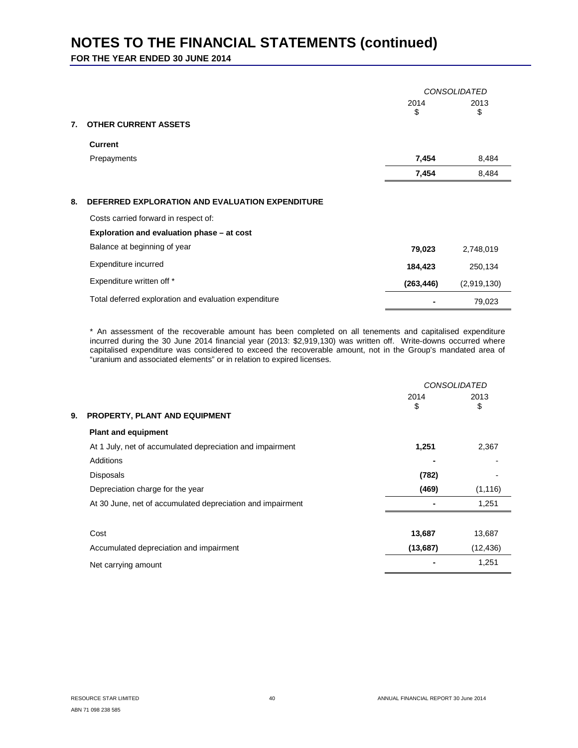**FOR THE YEAR ENDED 30 JUNE 2014**

|    |                                                       | <b>CONSOLIDATED</b> |             |
|----|-------------------------------------------------------|---------------------|-------------|
|    |                                                       | 2014                | 2013        |
| 7. | <b>OTHER CURRENT ASSETS</b>                           | \$                  | \$          |
|    | Current                                               |                     |             |
|    | Prepayments                                           | 7,454               | 8,484       |
|    |                                                       | 7,454               | 8,484       |
| 8. | DEFERRED EXPLORATION AND EVALUATION EXPENDITURE       |                     |             |
|    |                                                       |                     |             |
|    | Costs carried forward in respect of:                  |                     |             |
|    | Exploration and evaluation phase – at cost            |                     |             |
|    | Balance at beginning of year                          | 79,023              | 2,748,019   |
|    | Expenditure incurred                                  | 184,423             | 250,134     |
|    | Expenditure written off *                             | (263, 446)          | (2,919,130) |
|    | Total deferred exploration and evaluation expenditure |                     | 79,023      |

\* An assessment of the recoverable amount has been completed on all tenements and capitalised expenditure incurred during the 30 June 2014 financial year (2013: \$2,919,130) was written off. Write-downs occurred where capitalised expenditure was considered to exceed the recoverable amount, not in the Group's mandated area of "uranium and associated elements" or in relation to expired licenses.

|                                                            | <b>CONSOLIDATED</b> |           |
|------------------------------------------------------------|---------------------|-----------|
|                                                            | 2014                | 2013      |
| PROPERTY, PLANT AND EQUIPMENT<br>9.                        | \$                  | \$        |
| <b>Plant and equipment</b>                                 |                     |           |
| At 1 July, net of accumulated depreciation and impairment  | 1,251               | 2,367     |
| Additions                                                  |                     |           |
| <b>Disposals</b>                                           | (782)               |           |
| Depreciation charge for the year                           | (469)               | (1, 116)  |
| At 30 June, net of accumulated depreciation and impairment |                     | 1,251     |
| Cost                                                       | 13,687              | 13,687    |
| Accumulated depreciation and impairment                    | (13,687)            | (12, 436) |
| Net carrying amount                                        |                     | 1,251     |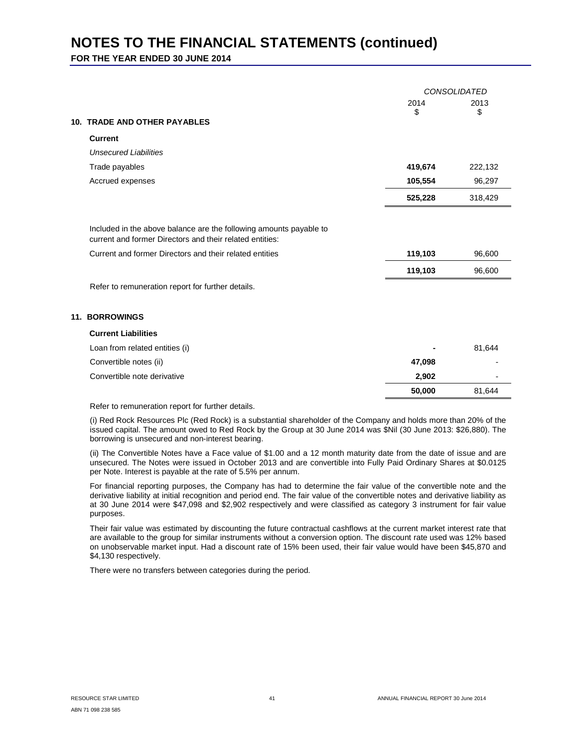**FOR THE YEAR ENDED 30 JUNE 2014**

|                                                                                                                                                                                           |            | <b>CONSOLIDATED</b> |
|-------------------------------------------------------------------------------------------------------------------------------------------------------------------------------------------|------------|---------------------|
|                                                                                                                                                                                           | 2014<br>\$ | 2013<br>\$          |
| 10. TRADE AND OTHER PAYABLES                                                                                                                                                              |            |                     |
| <b>Current</b>                                                                                                                                                                            |            |                     |
| <b>Unsecured Liabilities</b>                                                                                                                                                              |            |                     |
| Trade payables                                                                                                                                                                            | 419,674    | 222,132             |
| Accrued expenses                                                                                                                                                                          | 105,554    | 96,297              |
|                                                                                                                                                                                           | 525,228    | 318,429             |
| Included in the above balance are the following amounts payable to<br>current and former Directors and their related entities:<br>Current and former Directors and their related entities | 119,103    | 96,600              |
|                                                                                                                                                                                           | 119,103    | 96,600              |
| Refer to remuneration report for further details.                                                                                                                                         |            |                     |
| <b>11. BORROWINGS</b>                                                                                                                                                                     |            |                     |
| <b>Current Liabilities</b>                                                                                                                                                                |            |                     |
| Loan from related entities (i)                                                                                                                                                            |            | 81,644              |
| Convertible notes (ii)                                                                                                                                                                    | 47,098     |                     |
| Convertible note derivative                                                                                                                                                               | 2,902      |                     |
|                                                                                                                                                                                           | 50,000     | 81,644              |

Refer to remuneration report for further details.

(i) Red Rock Resources Plc (Red Rock) is a substantial shareholder of the Company and holds more than 20% of the issued capital. The amount owed to Red Rock by the Group at 30 June 2014 was \$Nil (30 June 2013: \$26,880). The borrowing is unsecured and non-interest bearing.

(ii) The Convertible Notes have a Face value of \$1.00 and a 12 month maturity date from the date of issue and are unsecured. The Notes were issued in October 2013 and are convertible into Fully Paid Ordinary Shares at \$0.0125 per Note. Interest is payable at the rate of 5.5% per annum.

For financial reporting purposes, the Company has had to determine the fair value of the convertible note and the derivative liability at initial recognition and period end. The fair value of the convertible notes and derivative liability as at 30 June 2014 were \$47,098 and \$2,902 respectively and were classified as category 3 instrument for fair value purposes.

Their fair value was estimated by discounting the future contractual cashflows at the current market interest rate that are available to the group for similar instruments without a conversion option. The discount rate used was 12% based on unobservable market input. Had a discount rate of 15% been used, their fair value would have been \$45,870 and \$4,130 respectively.

There were no transfers between categories during the period.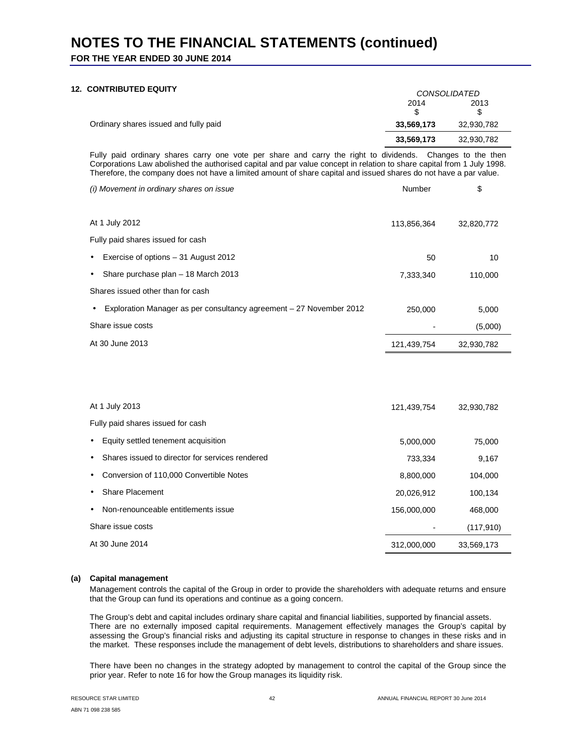#### **12. CONTRIBUTED EQUITY CONSOLIDATED**

|                                       |            | <u>CUNSULIDATED</u> |  |
|---------------------------------------|------------|---------------------|--|
|                                       | 2014       | 2013                |  |
|                                       |            |                     |  |
| Ordinary shares issued and fully paid | 33.569.173 | 32,930,782          |  |
|                                       | 33,569,173 | 32,930,782          |  |

Fully paid ordinary shares carry one vote per share and carry the right to dividends. Changes to the then Corporations Law abolished the authorised capital and par value concept in relation to share capital from 1 July 1998. Therefore, the company does not have a limited amount of share capital and issued shares do not have a par value.

| (i) Movement in ordinary shares on issue                            | Number      | \$         |
|---------------------------------------------------------------------|-------------|------------|
|                                                                     |             |            |
| At 1 July 2012                                                      | 113,856,364 | 32,820,772 |
| Fully paid shares issued for cash                                   |             |            |
| Exercise of options - 31 August 2012<br>$\bullet$                   | 50          | 10         |
| Share purchase plan - 18 March 2013<br>$\bullet$                    | 7,333,340   | 110,000    |
| Shares issued other than for cash                                   |             |            |
| Exploration Manager as per consultancy agreement - 27 November 2012 | 250,000     | 5,000      |
| Share issue costs                                                   |             | (5,000)    |
| At 30 June 2013                                                     | 121,439,754 | 32,930,782 |

| At 1 July 2013                                               | 121,439,754 | 32,930,782 |
|--------------------------------------------------------------|-------------|------------|
| Fully paid shares issued for cash                            |             |            |
| Equity settled tenement acquisition                          | 5,000,000   | 75,000     |
| Shares issued to director for services rendered<br>$\bullet$ | 733.334     | 9,167      |
| Conversion of 110,000 Convertible Notes                      | 8,800,000   | 104.000    |
| Share Placement                                              | 20,026,912  | 100.134    |
| Non-renounceable entitlements issue                          | 156,000,000 | 468,000    |
| Share issue costs                                            |             | (117, 910) |
| At 30 June 2014                                              | 312,000,000 | 33,569,173 |

#### **(a) Capital management**

Management controls the capital of the Group in order to provide the shareholders with adequate returns and ensure that the Group can fund its operations and continue as a going concern.

The Group's debt and capital includes ordinary share capital and financial liabilities, supported by financial assets. There are no externally imposed capital requirements. Management effectively manages the Group's capital by assessing the Group's financial risks and adjusting its capital structure in response to changes in these risks and in the market. These responses include the management of debt levels, distributions to shareholders and share issues.

There have been no changes in the strategy adopted by management to control the capital of the Group since the prior year. Refer to note 16 for how the Group manages its liquidity risk.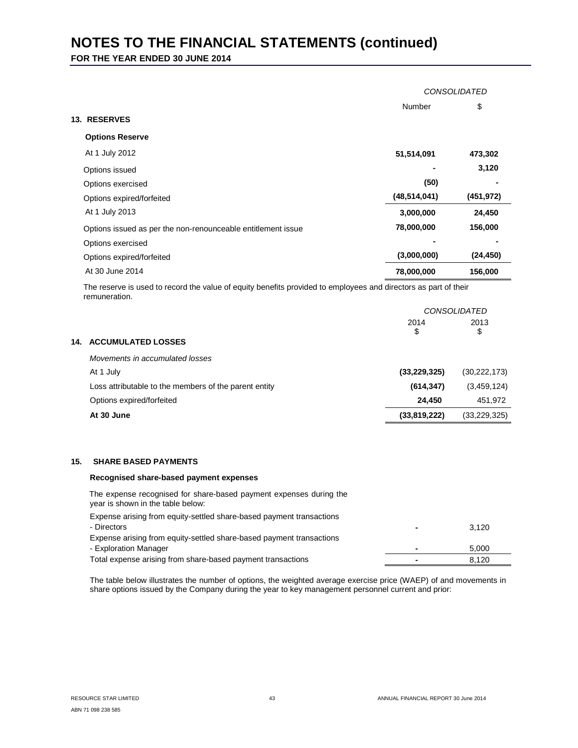**FOR THE YEAR ENDED 30 JUNE 2014**

|                                                                                                                                  | <b>CONSOLIDATED</b> |                     |
|----------------------------------------------------------------------------------------------------------------------------------|---------------------|---------------------|
|                                                                                                                                  | Number              | \$                  |
| <b>13. RESERVES</b>                                                                                                              |                     |                     |
| <b>Options Reserve</b>                                                                                                           |                     |                     |
| At 1 July 2012                                                                                                                   | 51,514,091          | 473,302             |
| Options issued                                                                                                                   |                     | 3,120               |
| Options exercised                                                                                                                | (50)                |                     |
| Options expired/forfeited                                                                                                        | (48, 514, 041)      | (451, 972)          |
| At 1 July 2013                                                                                                                   | 3,000,000           | 24,450              |
| Options issued as per the non-renounceable entitlement issue                                                                     | 78,000,000          | 156,000             |
| Options exercised                                                                                                                |                     |                     |
| Options expired/forfeited                                                                                                        | (3,000,000)         | (24, 450)           |
| At 30 June 2014                                                                                                                  | 78,000,000          | 156,000             |
| The reserve is used to record the value of equity benefits provided to employees and directors as part of their<br>remuneration. |                     |                     |
|                                                                                                                                  |                     | <b>CONSOLIDATED</b> |
|                                                                                                                                  | 2014<br>\$          | 2013                |
| <b>ACCUMULATED LOSSES</b><br>14.                                                                                                 |                     | \$                  |

| Movements in accumulated losses                       |                |                |
|-------------------------------------------------------|----------------|----------------|
| At 1 July                                             | (33, 229, 325) | (30, 222, 173) |
| Loss attributable to the members of the parent entity | (614, 347)     | (3,459,124)    |
| Options expired/forfeited                             | 24.450         | 451,972        |
| At 30 June                                            | (33,819,222)   | (33, 229, 325) |

### **15. SHARE BASED PAYMENTS**

| Recognised share-based payment expenses                                                                 |       |
|---------------------------------------------------------------------------------------------------------|-------|
| The expense recognised for share-based payment expenses during the<br>year is shown in the table below: |       |
| Expense arising from equity-settled share-based payment transactions<br>- Directors                     | 3.120 |
| Expense arising from equity-settled share-based payment transactions                                    |       |
| - Exploration Manager                                                                                   | 5.000 |
| Total expense arising from share-based payment transactions                                             | 8.120 |

The table below illustrates the number of options, the weighted average exercise price (WAEP) of and movements in share options issued by the Company during the year to key management personnel current and prior: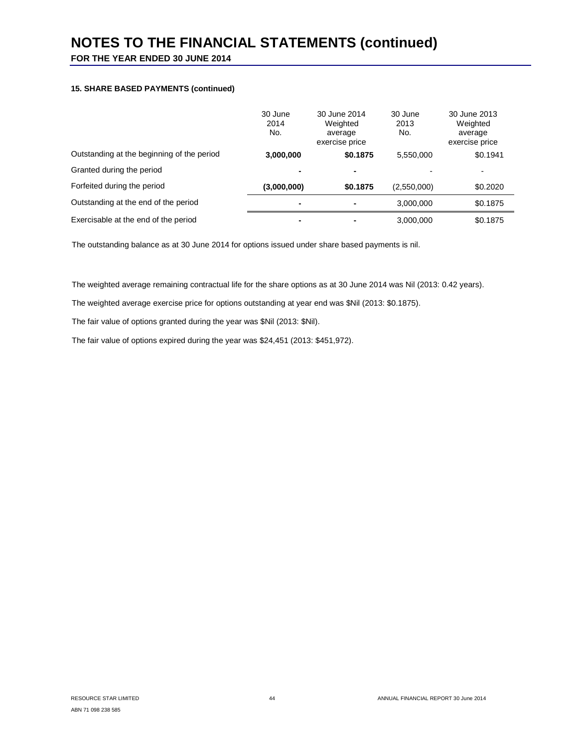### **15. SHARE BASED PAYMENTS (continued)**

|                                            | 30 June<br>2014<br>No. | 30 June 2014<br>Weighted<br>average<br>exercise price | 30 June<br>2013<br>No. | 30 June 2013<br>Weighted<br>average<br>exercise price |
|--------------------------------------------|------------------------|-------------------------------------------------------|------------------------|-------------------------------------------------------|
| Outstanding at the beginning of the period | 3,000,000              | \$0.1875                                              | 5.550.000              | \$0.1941                                              |
| Granted during the period                  | ۰                      |                                                       |                        |                                                       |
| Forfeited during the period                | (3,000,000)            | \$0.1875                                              | (2,550,000)            | \$0.2020                                              |
| Outstanding at the end of the period       | ۰                      |                                                       | 3,000,000              | \$0.1875                                              |
| Exercisable at the end of the period       | ۰                      |                                                       | 3,000,000              | \$0.1875                                              |

The outstanding balance as at 30 June 2014 for options issued under share based payments is nil.

The weighted average remaining contractual life for the share options as at 30 June 2014 was Nil (2013: 0.42 years).

The weighted average exercise price for options outstanding at year end was \$Nil (2013: \$0.1875).

The fair value of options granted during the year was \$Nil (2013: \$Nil).

The fair value of options expired during the year was \$24,451 (2013: \$451,972).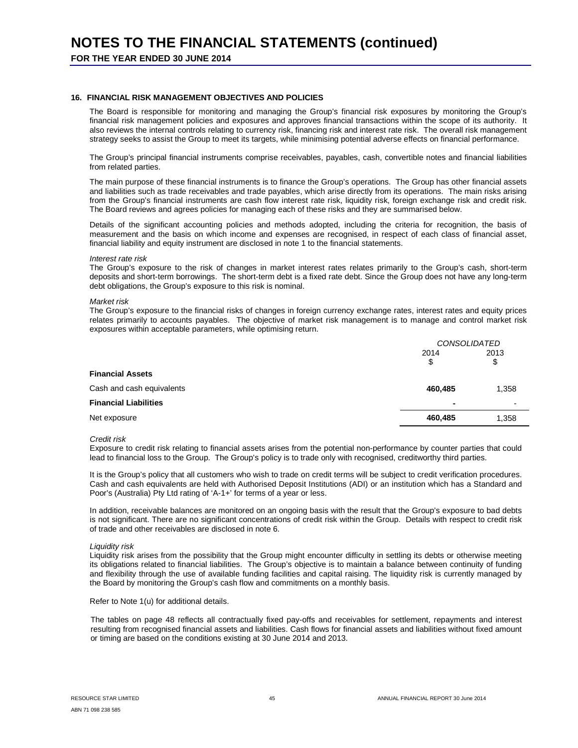#### **16. FINANCIAL RISK MANAGEMENT OBJECTIVES AND POLICIES**

The Board is responsible for monitoring and managing the Group's financial risk exposures by monitoring the Group's financial risk management policies and exposures and approves financial transactions within the scope of its authority. It also reviews the internal controls relating to currency risk, financing risk and interest rate risk. The overall risk management strategy seeks to assist the Group to meet its targets, while minimising potential adverse effects on financial performance.

The Group's principal financial instruments comprise receivables, payables, cash, convertible notes and financial liabilities from related parties.

The main purpose of these financial instruments is to finance the Group's operations. The Group has other financial assets and liabilities such as trade receivables and trade payables, which arise directly from its operations. The main risks arising from the Group's financial instruments are cash flow interest rate risk, liquidity risk, foreign exchange risk and credit risk. The Board reviews and agrees policies for managing each of these risks and they are summarised below.

Details of the significant accounting policies and methods adopted, including the criteria for recognition, the basis of measurement and the basis on which income and expenses are recognised, in respect of each class of financial asset, financial liability and equity instrument are disclosed in note 1 to the financial statements.

#### Interest rate risk

The Group's exposure to the risk of changes in market interest rates relates primarily to the Group's cash, short-term deposits and short-term borrowings. The short-term debt is a fixed rate debt. Since the Group does not have any long-term debt obligations, the Group's exposure to this risk is nominal.

#### Market risk

The Group's exposure to the financial risks of changes in foreign currency exchange rates, interest rates and equity prices relates primarily to accounts payables. The objective of market risk management is to manage and control market risk exposures within acceptable parameters, while optimising return.

|                              | <b>CONSOLIDATED</b> |                          |  |
|------------------------------|---------------------|--------------------------|--|
|                              | 2014<br>\$          | 2013<br>\$               |  |
| <b>Financial Assets</b>      |                     |                          |  |
| Cash and cash equivalents    | 460,485             | 1,358                    |  |
| <b>Financial Liabilities</b> | ٠                   | $\overline{\phantom{0}}$ |  |
| Net exposure                 | 460,485             | 1,358                    |  |
|                              |                     |                          |  |

#### Credit risk

Exposure to credit risk relating to financial assets arises from the potential non-performance by counter parties that could lead to financial loss to the Group. The Group's policy is to trade only with recognised, creditworthy third parties.

It is the Group's policy that all customers who wish to trade on credit terms will be subject to credit verification procedures. Cash and cash equivalents are held with Authorised Deposit Institutions (ADI) or an institution which has a Standard and Poor's (Australia) Pty Ltd rating of 'A-1+' for terms of a year or less.

In addition, receivable balances are monitored on an ongoing basis with the result that the Group's exposure to bad debts is not significant. There are no significant concentrations of credit risk within the Group. Details with respect to credit risk of trade and other receivables are disclosed in note 6.

#### Liquidity risk

Liquidity risk arises from the possibility that the Group might encounter difficulty in settling its debts or otherwise meeting its obligations related to financial liabilities. The Group's objective is to maintain a balance between continuity of funding and flexibility through the use of available funding facilities and capital raising. The liquidity risk is currently managed by the Board by monitoring the Group's cash flow and commitments on a monthly basis.

Refer to Note 1(u) for additional details.

The tables on page 48 reflects all contractually fixed pay-offs and receivables for settlement, repayments and interest resulting from recognised financial assets and liabilities. Cash flows for financial assets and liabilities without fixed amount or timing are based on the conditions existing at 30 June 2014 and 2013.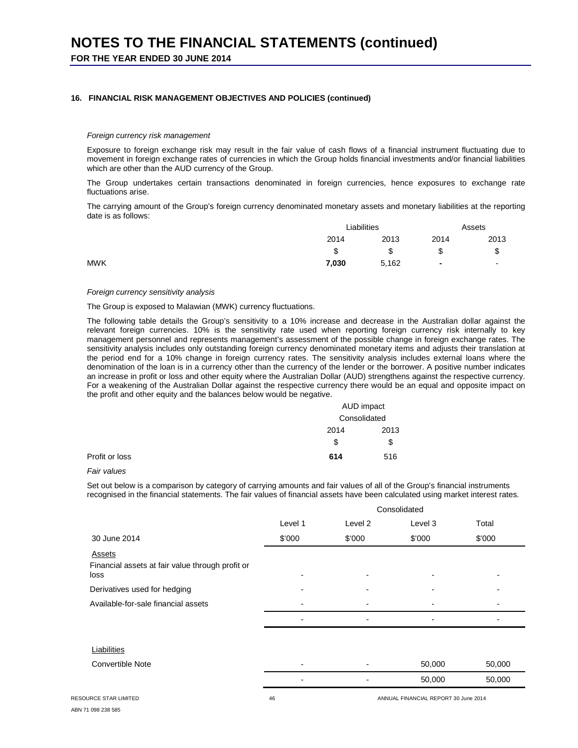#### **16. FINANCIAL RISK MANAGEMENT OBJECTIVES AND POLICIES (continued)**

#### Foreign currency risk management

Exposure to foreign exchange risk may result in the fair value of cash flows of a financial instrument fluctuating due to movement in foreign exchange rates of currencies in which the Group holds financial investments and/or financial liabilities which are other than the AUD currency of the Group.

The Group undertakes certain transactions denominated in foreign currencies, hence exposures to exchange rate fluctuations arise.

The carrying amount of the Group's foreign currency denominated monetary assets and monetary liabilities at the reporting date is as follows:

|            | Liabilities |       | Assets         |                |
|------------|-------------|-------|----------------|----------------|
|            | 2014        | 2013  | 2014           | 2013           |
|            | ۰D          | \$    | S              | \$             |
| <b>MWK</b> | 7,030       | 5,162 | $\blacksquare$ | $\blacksquare$ |

#### Foreign currency sensitivity analysis

#### The Group is exposed to Malawian (MWK) currency fluctuations.

The following table details the Group's sensitivity to a 10% increase and decrease in the Australian dollar against the relevant foreign currencies. 10% is the sensitivity rate used when reporting foreign currency risk internally to key management personnel and represents management's assessment of the possible change in foreign exchange rates. The sensitivity analysis includes only outstanding foreign currency denominated monetary items and adjusts their translation at the period end for a 10% change in foreign currency rates. The sensitivity analysis includes external loans where the denomination of the loan is in a currency other than the currency of the lender or the borrower. A positive number indicates an increase in profit or loss and other equity where the Australian Dollar (AUD) strengthens against the respective currency. For a weakening of the Australian Dollar against the respective currency there would be an equal and opposite impact on the profit and other equity and the balances below would be negative.

|                |              | AUD impact |  |
|----------------|--------------|------------|--|
|                | Consolidated |            |  |
|                | 2014         | 2013       |  |
|                | S            | \$         |  |
| Profit or loss | 614          | 516        |  |

#### Fair values

Set out below is a comparison by category of carrying amounts and fair values of all of the Group's financial instruments recognised in the financial statements. The fair values of financial assets have been calculated using market interest rates.

|                                                                           | Consolidated             |                |                                      |        |  |
|---------------------------------------------------------------------------|--------------------------|----------------|--------------------------------------|--------|--|
|                                                                           | Level 1                  | Level 2        | Level 3                              | Total  |  |
| 30 June 2014                                                              | \$'000                   | \$'000         | \$'000                               | \$'000 |  |
| <b>Assets</b><br>Financial assets at fair value through profit or<br>loss |                          | $\blacksquare$ | $\blacksquare$                       |        |  |
| Derivatives used for hedging                                              |                          | $\blacksquare$ | $\blacksquare$                       |        |  |
| Available-for-sale financial assets                                       |                          |                |                                      |        |  |
|                                                                           | $\overline{\phantom{0}}$ |                | $\blacksquare$                       |        |  |
| <b>Liabilities</b>                                                        |                          |                |                                      |        |  |
| Convertible Note                                                          |                          |                | 50,000                               | 50,000 |  |
|                                                                           | $\overline{\phantom{0}}$ |                | 50,000                               | 50,000 |  |
| RESOURCE STAR LIMITED                                                     | 46                       |                | ANNUAL FINANCIAL REPORT 30 June 2014 |        |  |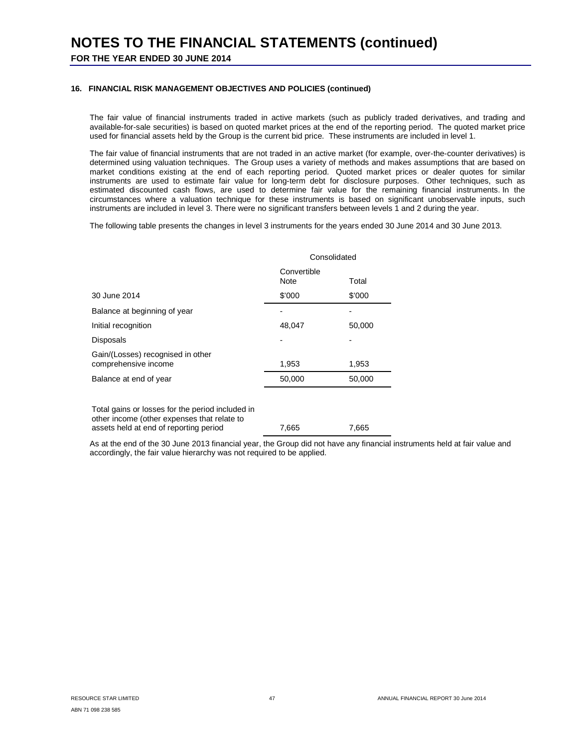### **16. FINANCIAL RISK MANAGEMENT OBJECTIVES AND POLICIES (continued)**

The fair value of financial instruments traded in active markets (such as publicly traded derivatives, and trading and available-for-sale securities) is based on quoted market prices at the end of the reporting period. The quoted market price used for financial assets held by the Group is the current bid price. These instruments are included in level 1.

The fair value of financial instruments that are not traded in an active market (for example, over-the-counter derivatives) is determined using valuation techniques. The Group uses a variety of methods and makes assumptions that are based on market conditions existing at the end of each reporting period. Quoted market prices or dealer quotes for similar instruments are used to estimate fair value for long-term debt for disclosure purposes. Other techniques, such as estimated discounted cash flows, are used to determine fair value for the remaining financial instruments. In the circumstances where a valuation technique for these instruments is based on significant unobservable inputs, such instruments are included in level 3. There were no significant transfers between levels 1 and 2 during the year.

The following table presents the changes in level 3 instruments for the years ended 30 June 2014 and 30 June 2013.

|                                                           | Consolidated               |        |  |
|-----------------------------------------------------------|----------------------------|--------|--|
|                                                           | Convertible<br><b>Note</b> | Total  |  |
| 30 June 2014                                              | \$'000                     | \$'000 |  |
| Balance at beginning of year                              |                            |        |  |
| Initial recognition                                       | 48,047                     | 50,000 |  |
| <b>Disposals</b>                                          |                            |        |  |
| Gain/(Losses) recognised in other<br>comprehensive income | 1,953                      | 1,953  |  |
| Balance at end of year                                    | 50,000                     | 50,000 |  |
|                                                           |                            |        |  |

Total gains or losses for the period included in other income (other expenses that relate to assets held at end of reporting period 7,665 7,665

As at the end of the 30 June 2013 financial year, the Group did not have any financial instruments held at fair value and accordingly, the fair value hierarchy was not required to be applied.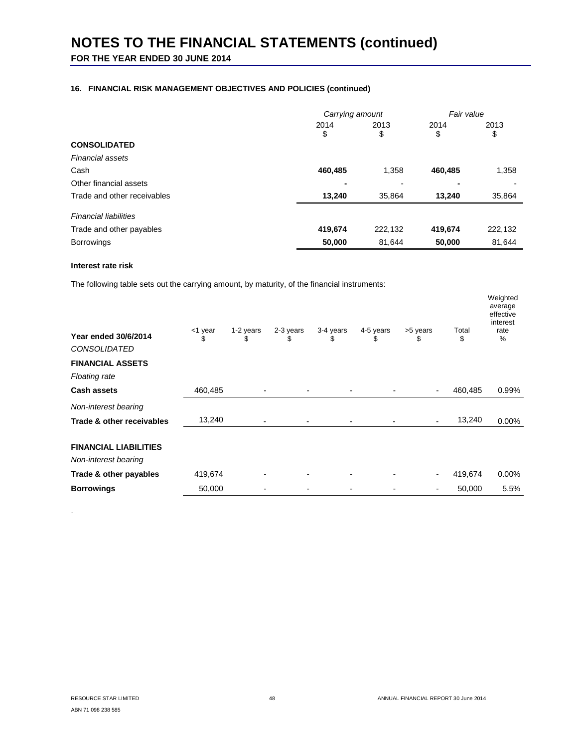## **116. FINANCIAL RISK MANAGEMENT OBJECTIVES AND POLICIES (continued)**

|                              | Carrying amount |            | Fair value |            |
|------------------------------|-----------------|------------|------------|------------|
|                              | 2014<br>\$      | 2013<br>\$ | 2014<br>\$ | 2013<br>\$ |
| <b>CONSOLIDATED</b>          |                 |            |            |            |
| Financial assets             |                 |            |            |            |
| Cash                         | 460,485         | 1,358      | 460,485    | 1,358      |
| Other financial assets       | ۰               |            |            |            |
| Trade and other receivables  | 13,240          | 35,864     | 13,240     | 35,864     |
| <b>Financial liabilities</b> |                 |            |            |            |
| Trade and other payables     | 419,674         | 222,132    | 419,674    | 222,132    |
| <b>Borrowings</b>            | 50,000          | 81,644     | 50,000     | 81,644     |

## **Interest rate risk**

The following table sets out the carrying amount, by maturity, of the financial instruments:

| Year ended 30/6/2014<br><b>CONSOLIDATED</b><br><b>FINANCIAL ASSETS</b><br><b>Floating rate</b> | <1 year<br>\$ | 1-2 years<br>\$ | 2-3 years<br>\$          | 3-4 years<br>\$ | 4-5 years<br>\$ | >5 years<br>\$           | Total<br>\$ | Weighted<br>average<br>effective<br>interest<br>rate<br>% |
|------------------------------------------------------------------------------------------------|---------------|-----------------|--------------------------|-----------------|-----------------|--------------------------|-------------|-----------------------------------------------------------|
| <b>Cash assets</b>                                                                             | 460,485       |                 |                          |                 |                 | $\overline{\phantom{a}}$ | 460,485     | 0.99%                                                     |
| Non-interest bearing                                                                           |               |                 |                          |                 |                 |                          |             |                                                           |
| Trade & other receivables                                                                      | 13,240        |                 | $\overline{\phantom{0}}$ | $\blacksquare$  |                 | $\overline{\phantom{a}}$ | 13,240      | $0.00\%$                                                  |
| <b>FINANCIAL LIABILITIES</b><br>Non-interest bearing                                           |               |                 |                          |                 |                 |                          |             |                                                           |
| Trade & other payables                                                                         | 419,674       | $\overline{a}$  |                          | -               |                 | -                        | 419,674     | $0.00\%$                                                  |
| <b>Borrowings</b>                                                                              | 50,000        | $\overline{a}$  |                          | -               | $\blacksquare$  | $\overline{\phantom{a}}$ | 50,000      | 5.5%                                                      |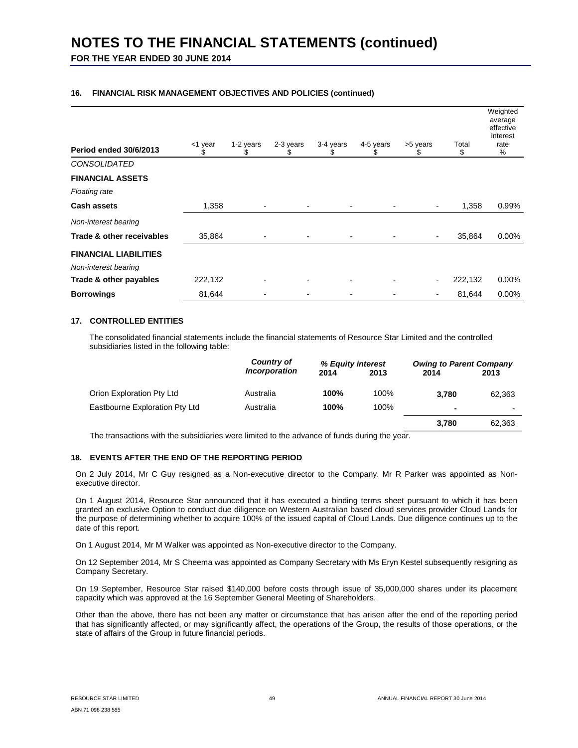**FOR THE YEAR ENDED 30 JUNE 2014**

## **16. FINANCIAL RISK MANAGEMENT OBJECTIVES AND POLICIES (continued)**

| <b>Period ended 30/6/2013</b> | <1 year<br>S. | 1-2 years<br>Ж | 2-3 years<br>\$ | 3-4 years<br>Ъ | 4-5 years<br>æ.          | >5 years<br>SS.          | Total<br>\$ | Weighted<br>average<br>effective<br>interest<br>rate<br>% |
|-------------------------------|---------------|----------------|-----------------|----------------|--------------------------|--------------------------|-------------|-----------------------------------------------------------|
| <b>CONSOLIDATED</b>           |               |                |                 |                |                          |                          |             |                                                           |
| <b>FINANCIAL ASSETS</b>       |               |                |                 |                |                          |                          |             |                                                           |
| <b>Floating rate</b>          |               |                |                 |                |                          |                          |             |                                                           |
| <b>Cash assets</b>            | 1,358         |                | $\blacksquare$  | $\blacksquare$ | $\overline{\phantom{a}}$ | $\blacksquare$           | 1,358       | 0.99%                                                     |
| Non-interest bearing          |               |                |                 |                |                          |                          |             |                                                           |
| Trade & other receivables     | 35,864        |                |                 |                |                          | $\overline{\phantom{a}}$ | 35,864      | 0.00%                                                     |
| <b>FINANCIAL LIABILITIES</b>  |               |                |                 |                |                          |                          |             |                                                           |
| Non-interest bearing          |               |                |                 |                |                          |                          |             |                                                           |
| Trade & other payables        | 222,132       |                |                 |                |                          | $\overline{\phantom{a}}$ | 222,132     | 0.00%                                                     |
| <b>Borrowings</b>             | 81,644        |                |                 |                |                          | $\overline{\phantom{a}}$ | 81,644      | $0.00\%$                                                  |

#### **17. CONTROLLED ENTITIES**

The consolidated financial statements include the financial statements of Resource Star Limited and the controlled subsidiaries listed in the following table:

|                                | Country of<br>Incorporation | % Equity interest<br>2014 | 2013 | <b>Owing to Parent Company</b><br>2014 | 2013           |
|--------------------------------|-----------------------------|---------------------------|------|----------------------------------------|----------------|
| Orion Exploration Pty Ltd      | Australia                   | 100%                      | 100% | 3.780                                  | 62,363         |
| Eastbourne Exploration Pty Ltd | Australia                   | 100%                      | 100% | ٠                                      | $\blacksquare$ |
|                                |                             |                           |      | 3.780                                  | 62,363         |

The transactions with the subsidiaries were limited to the advance of funds during the year.

### **18. EVENTS AFTER THE END OF THE REPORTING PERIOD**

On 2 July 2014, Mr C Guy resigned as a Non-executive director to the Company. Mr R Parker was appointed as Nonexecutive director.

On 1 August 2014, Resource Star announced that it has executed a binding terms sheet pursuant to which it has been granted an exclusive Option to conduct due diligence on Western Australian based cloud services provider Cloud Lands for the purpose of determining whether to acquire 100% of the issued capital of Cloud Lands. Due diligence continues up to the date of this report.

On 1 August 2014, Mr M Walker was appointed as Non-executive director to the Company.

On 12 September 2014, Mr S Cheema was appointed as Company Secretary with Ms Eryn Kestel subsequently resigning as Company Secretary.

On 19 September, Resource Star raised \$140,000 before costs through issue of 35,000,000 shares under its placement capacity which was approved at the 16 September General Meeting of Shareholders.

Other than the above, there has not been any matter or circumstance that has arisen after the end of the reporting period that has significantly affected, or may significantly affect, the operations of the Group, the results of those operations, or the state of affairs of the Group in future financial periods.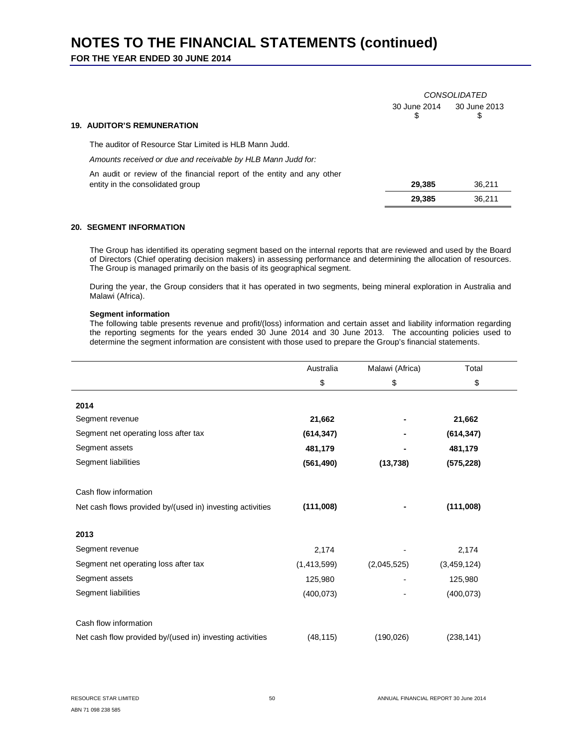|                                                                                                            | <i>CONSOLIDATED</i> |                   |
|------------------------------------------------------------------------------------------------------------|---------------------|-------------------|
| <b>19. AUDITOR'S REMUNERATION</b>                                                                          | 30 June 2014<br>\$  | 30 June 2013<br>S |
| The auditor of Resource Star Limited is HLB Mann Judd.                                                     |                     |                   |
| Amounts received or due and receivable by HLB Mann Judd for:                                               |                     |                   |
| An audit or review of the financial report of the entity and any other<br>entity in the consolidated group | 29,385              | 36,211            |
|                                                                                                            | 29,385              | 36.211            |

#### **20. SEGMENT INFORMATION**

The Group has identified its operating segment based on the internal reports that are reviewed and used by the Board of Directors (Chief operating decision makers) in assessing performance and determining the allocation of resources. The Group is managed primarily on the basis of its geographical segment.

During the year, the Group considers that it has operated in two segments, being mineral exploration in Australia and Malawi (Africa).

#### **Segment information**

The following table presents revenue and profit/(loss) information and certain asset and liability information regarding the reporting segments for the years ended 30 June 2014 and 30 June 2013. The accounting policies used to determine the segment information are consistent with those used to prepare the Group's financial statements.

|                                                                                    | Australia   | Malawi (Africa) | Total       |  |
|------------------------------------------------------------------------------------|-------------|-----------------|-------------|--|
|                                                                                    | \$          | \$              | \$          |  |
| 2014                                                                               |             |                 |             |  |
| Segment revenue                                                                    | 21,662      |                 | 21,662      |  |
| Segment net operating loss after tax                                               | (614, 347)  |                 | (614, 347)  |  |
| Segment assets                                                                     | 481,179     |                 | 481,179     |  |
| Segment liabilities                                                                | (561, 490)  | (13, 738)       | (575, 228)  |  |
| Cash flow information<br>Net cash flows provided by/(used in) investing activities | (111,008)   |                 | (111,008)   |  |
| 2013                                                                               |             |                 |             |  |
| Segment revenue                                                                    | 2,174       |                 | 2,174       |  |
| Segment net operating loss after tax                                               | (1,413,599) | (2,045,525)     | (3,459,124) |  |
| Segment assets                                                                     | 125,980     |                 | 125,980     |  |
| Segment liabilities                                                                | (400, 073)  |                 | (400, 073)  |  |
| Cash flow information                                                              |             |                 |             |  |
| Net cash flow provided by/(used in) investing activities                           | (48, 115)   | (190, 026)      | (238, 141)  |  |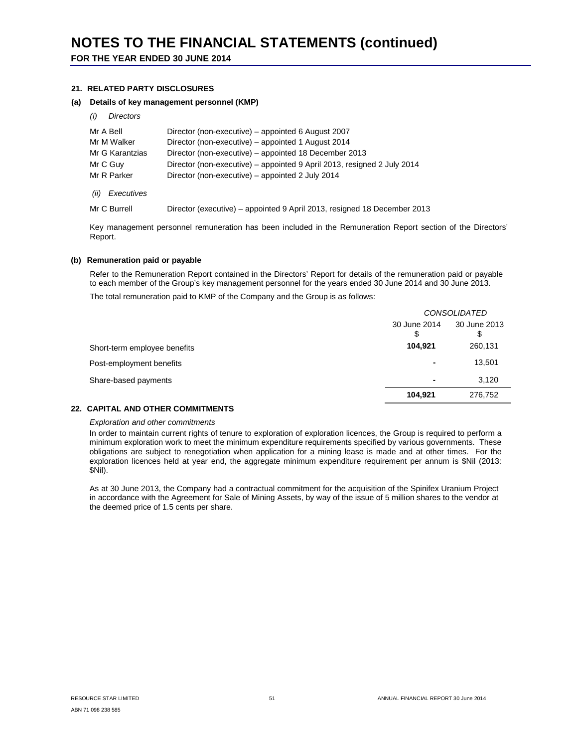### **21. RELATED PARTY DISCLOSURES**

#### **(a) Details of key management personnel (KMP)**

|             | Directors       |                                                                         |
|-------------|-----------------|-------------------------------------------------------------------------|
| Mr A Bell   |                 | Director (non-executive) – appointed 6 August 2007                      |
| Mr M Walker |                 | Director (non-executive) – appointed 1 August 2014                      |
|             | Mr G Karantzias | Director (non-executive) – appointed 18 December 2013                   |
| Mr C Guy    |                 | Director (non-executive) – appointed 9 April 2013, resigned 2 July 2014 |
| Mr R Parker |                 | Director (non-executive) – appointed 2 July 2014                        |
|             |                 |                                                                         |

(ii) Executives

 $\mathbf{u}$   $\mathbf{v}$ 

Mr C Burrell Director (executive) – appointed 9 April 2013, resigned 18 December 2013

Key management personnel remuneration has been included in the Remuneration Report section of the Directors' Report.

#### **(b) Remuneration paid or payable**

Refer to the Remuneration Report contained in the Directors' Report for details of the remuneration paid or payable to each member of the Group's key management personnel for the years ended 30 June 2014 and 30 June 2013. The total remuneration paid to KMP of the Company and the Group is as follows:

|                              | <b>CONSOLIDATED</b> |                   |
|------------------------------|---------------------|-------------------|
|                              | 30 June 2014<br>\$  | 30 June 2013<br>S |
| Short-term employee benefits | 104,921             | 260,131           |
| Post-employment benefits     | ۰                   | 13,501            |
| Share-based payments         |                     | 3,120             |
|                              | 104,921             | 276,752           |

#### **22. CAPITAL AND OTHER COMMITMENTS**

#### Exploration and other commitments

In order to maintain current rights of tenure to exploration of exploration licences, the Group is required to perform a minimum exploration work to meet the minimum expenditure requirements specified by various governments. These obligations are subject to renegotiation when application for a mining lease is made and at other times. For the exploration licences held at year end, the aggregate minimum expenditure requirement per annum is \$Nil (2013: \$Nil).

As at 30 June 2013, the Company had a contractual commitment for the acquisition of the Spinifex Uranium Project in accordance with the Agreement for Sale of Mining Assets, by way of the issue of 5 million shares to the vendor at the deemed price of 1.5 cents per share.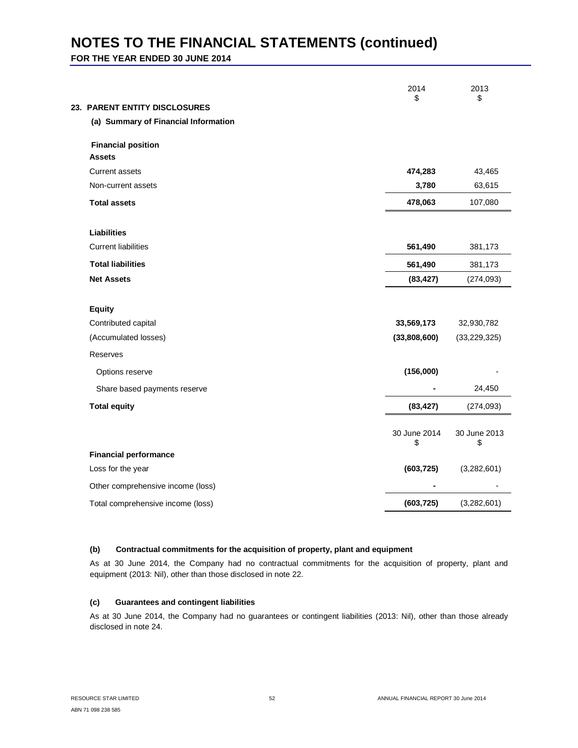**FOR THE YEAR ENDED 30 JUNE 2014**

| 23. PARENT ENTITY DISCLOSURES              | 2014<br>\$         | 2013<br>\$         |
|--------------------------------------------|--------------------|--------------------|
| (a) Summary of Financial Information       |                    |                    |
| <b>Financial position</b><br><b>Assets</b> |                    |                    |
| <b>Current assets</b>                      | 474,283            | 43,465             |
| Non-current assets                         | 3,780              | 63,615             |
| <b>Total assets</b>                        | 478,063            | 107,080            |
| <b>Liabilities</b>                         |                    |                    |
| <b>Current liabilities</b>                 | 561,490            | 381,173            |
| <b>Total liabilities</b>                   | 561,490            | 381,173            |
| <b>Net Assets</b>                          | (83, 427)          | (274, 093)         |
| <b>Equity</b>                              |                    |                    |
| Contributed capital                        | 33,569,173         | 32,930,782         |
| (Accumulated losses)                       | (33,808,600)       | (33, 229, 325)     |
| Reserves                                   |                    |                    |
| Options reserve                            | (156,000)          |                    |
| Share based payments reserve               |                    | 24,450             |
| <b>Total equity</b>                        | (83, 427)          | (274, 093)         |
|                                            | 30 June 2014<br>\$ | 30 June 2013<br>\$ |
| <b>Financial performance</b>               |                    |                    |
| Loss for the year                          | (603, 725)         | (3,282,601)        |
| Other comprehensive income (loss)          | ۰                  |                    |
| Total comprehensive income (loss)          | (603, 725)         | (3,282,601)        |
|                                            |                    |                    |

#### **(b) Contractual commitments for the acquisition of property, plant and equipment**

As at 30 June 2014, the Company had no contractual commitments for the acquisition of property, plant and equipment (2013: Nil), other than those disclosed in note 22.

## **(c) Guarantees and contingent liabilities**

As at 30 June 2014, the Company had no guarantees or contingent liabilities (2013: Nil), other than those already disclosed in note 24.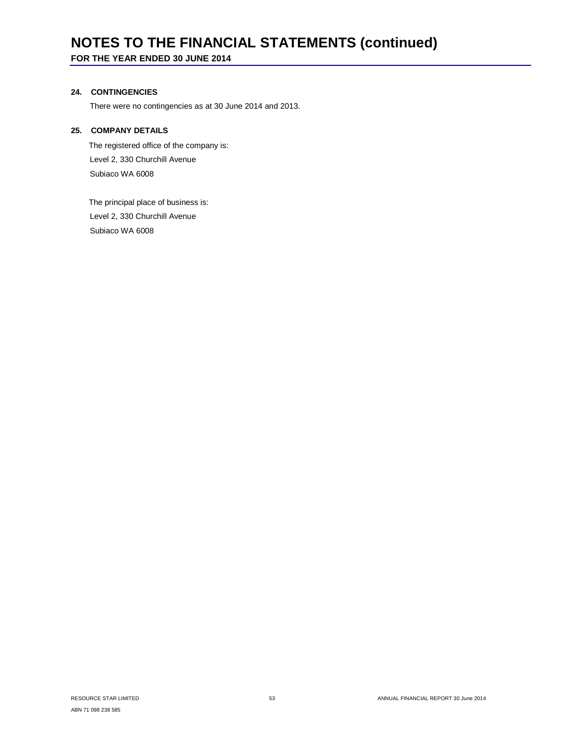## **24. CONTINGENCIES**

There were no contingencies as at 30 June 2014 and 2013.

### **25. COMPANY DETAILS**

 The registered office of the company is: Level 2, 330 Churchill Avenue Subiaco WA 6008

 The principal place of business is: Level 2, 330 Churchill Avenue Subiaco WA 6008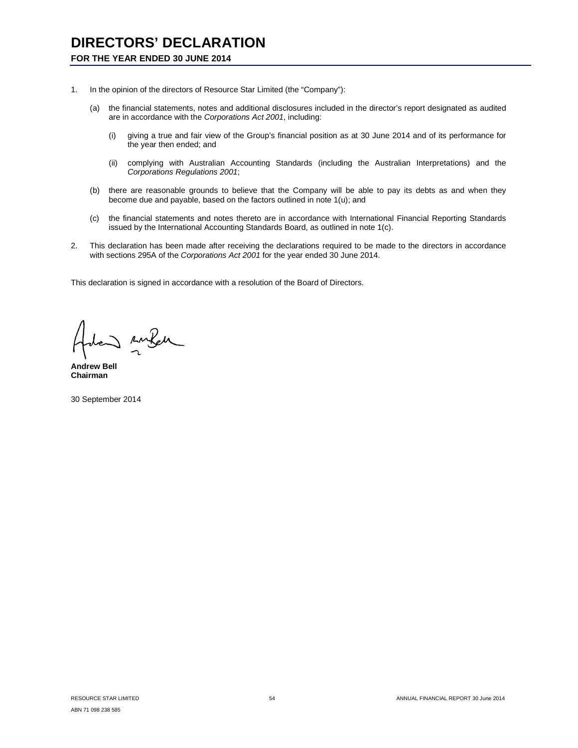## **DIRECTORS' DECLARATION**

## **FOR THE YEAR ENDED 30 JUNE 2014**

- 1. In the opinion of the directors of Resource Star Limited (the "Company"):
	- (a) the financial statements, notes and additional disclosures included in the director's report designated as audited are in accordance with the Corporations Act 2001, including:
		- (i) giving a true and fair view of the Group's financial position as at 30 June 2014 and of its performance for the year then ended; and
		- (ii) complying with Australian Accounting Standards (including the Australian Interpretations) and the Corporations Regulations 2001;
	- (b) there are reasonable grounds to believe that the Company will be able to pay its debts as and when they become due and payable, based on the factors outlined in note 1(u); and
	- (c) the financial statements and notes thereto are in accordance with International Financial Reporting Standards issued by the International Accounting Standards Board, as outlined in note 1(c).
- 2. This declaration has been made after receiving the declarations required to be made to the directors in accordance with sections 295A of the Corporations Act 2001 for the year ended 30 June 2014.

This declaration is signed in accordance with a resolution of the Board of Directors.

lew surfer

**Andrew Bell Chairman** 

30 September 2014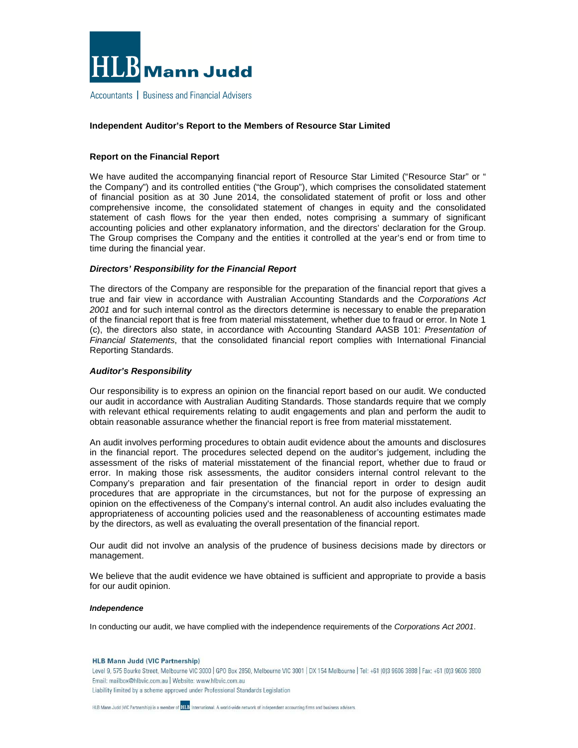

Accountants | Business and Financial Advisers

#### **Independent Auditor's Report to the Members of Resource Star Limited**

### **Report on the Financial Report**

We have audited the accompanying financial report of Resource Star Limited ("Resource Star" or " the Company") and its controlled entities ("the Group"), which comprises the consolidated statement of financial position as at 30 June 2014, the consolidated statement of profit or loss and other comprehensive income, the consolidated statement of changes in equity and the consolidated statement of cash flows for the year then ended, notes comprising a summary of significant accounting policies and other explanatory information, and the directors' declaration for the Group. The Group comprises the Company and the entities it controlled at the year's end or from time to time during the financial year.

#### **Directors' Responsibility for the Financial Report**

The directors of the Company are responsible for the preparation of the financial report that gives a true and fair view in accordance with Australian Accounting Standards and the Corporations Act 2001 and for such internal control as the directors determine is necessary to enable the preparation of the financial report that is free from material misstatement, whether due to fraud or error. In Note 1 (c), the directors also state, in accordance with Accounting Standard AASB 101: Presentation of Financial Statements, that the consolidated financial report complies with International Financial Reporting Standards.

#### **Auditor's Responsibility**

Our responsibility is to express an opinion on the financial report based on our audit. We conducted our audit in accordance with Australian Auditing Standards. Those standards require that we comply with relevant ethical requirements relating to audit engagements and plan and perform the audit to obtain reasonable assurance whether the financial report is free from material misstatement.

An audit involves performing procedures to obtain audit evidence about the amounts and disclosures in the financial report. The procedures selected depend on the auditor's judgement, including the assessment of the risks of material misstatement of the financial report, whether due to fraud or error. In making those risk assessments, the auditor considers internal control relevant to the Company's preparation and fair presentation of the financial report in order to design audit procedures that are appropriate in the circumstances, but not for the purpose of expressing an opinion on the effectiveness of the Company's internal control. An audit also includes evaluating the appropriateness of accounting policies used and the reasonableness of accounting estimates made by the directors, as well as evaluating the overall presentation of the financial report.

Our audit did not involve an analysis of the prudence of business decisions made by directors or management.

We believe that the audit evidence we have obtained is sufficient and appropriate to provide a basis for our audit opinion.

#### **Independence**

In conducting our audit, we have complied with the independence requirements of the Corporations Act 2001.

#### **HLB Mann Judd (VIC Partnership)**

Level 9, 575 Bourke Street, Melbourne VIC 3000 | GPO Box 2850, Melbourne VIC 3001 | DX 154 Melbourne | Tel: +61 (0)3 9606 3888 | Fax: +61 (0)3 9606 3888 Email: mailbox@hlbvic.com.au | Website: www.hlbvic.com.au

Liability limited by a scheme approved under Professional Standards Legislation

HLB Mann Judd (VIC Partnership) is a member of **HLB** International. A world-wide network of independent accounting firms and business advisers.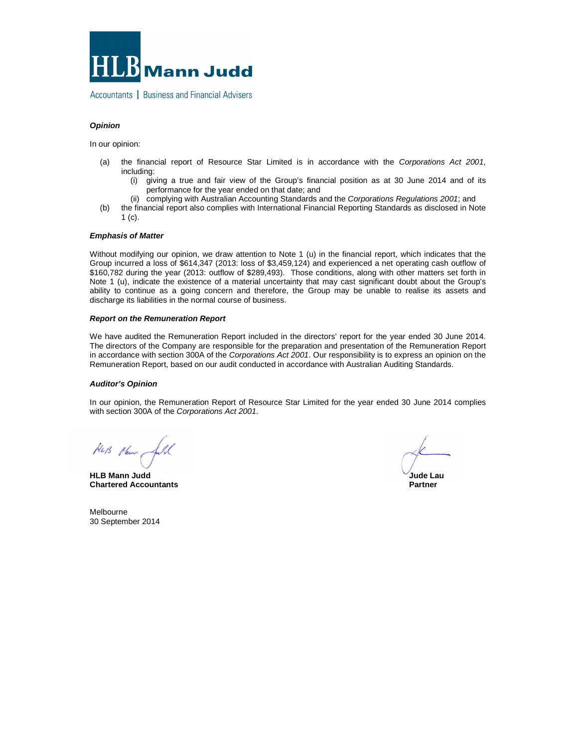

Accountants | Business and Financial Advisers

#### **Opinion**

In our opinion:

- (a) the financial report of Resource Star Limited is in accordance with the Corporations Act 2001, including:
	- (i) giving a true and fair view of the Group's financial position as at 30 June 2014 and of its performance for the year ended on that date; and
	- (ii) complying with Australian Accounting Standards and the Corporations Regulations 2001; and
- (b) the financial report also complies with International Financial Reporting Standards as disclosed in Note 1 (c).

#### **Emphasis of Matter**

Without modifying our opinion, we draw attention to Note 1 (u) in the financial report, which indicates that the Group incurred a loss of \$614,347 (2013: loss of \$3,459,124) and experienced a net operating cash outflow of \$160,782 during the year (2013: outflow of \$289,493). Those conditions, along with other matters set forth in Note 1 (u), indicate the existence of a material uncertainty that may cast significant doubt about the Group's ability to continue as a going concern and therefore, the Group may be unable to realise its assets and discharge its liabilities in the normal course of business.

#### **Report on the Remuneration Report**

We have audited the Remuneration Report included in the directors' report for the year ended 30 June 2014. The directors of the Company are responsible for the preparation and presentation of the Remuneration Report in accordance with section 300A of the Corporations Act 2001. Our responsibility is to express an opinion on the Remuneration Report, based on our audit conducted in accordance with Australian Auditing Standards.

#### **Auditor's Opinion**

In our opinion, the Remuneration Report of Resource Star Limited for the year ended 30 June 2014 complies with section 300A of the Corporations Act 2001.

HUB Han fold

**HLB Mann Judd** Jude Lau and Superior Control of the Superior Control of the Superior Control of Tude Lau and Superior Control of Tude Lau and Superior Control of Tude Lau and Superior Control of Tude Lau and Superior Cont **Chartered Accountants** 

Melbourne 30 September 2014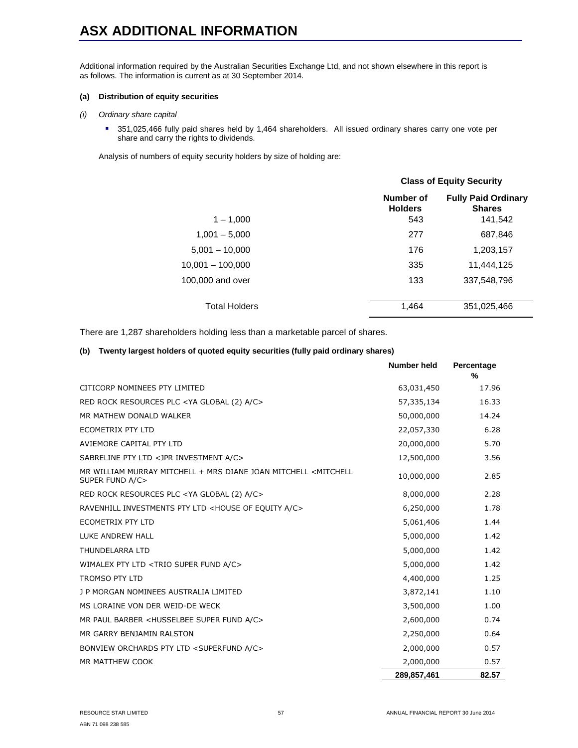## **ASX ADDITIONAL INFORMATION**

Additional information required by the Australian Securities Exchange Ltd, and not shown elsewhere in this report is as follows. The information is current as at 30 September 2014.

#### **(a) Distribution of equity securities**

- (i) Ordinary share capital
	- 351,025,466 fully paid shares held by 1,464 shareholders. All issued ordinary shares carry one vote per share and carry the rights to dividends.

Analysis of numbers of equity security holders by size of holding are:

|                      | <b>Class of Equity Security</b> |                                             |  |
|----------------------|---------------------------------|---------------------------------------------|--|
|                      | Number of<br><b>Holders</b>     | <b>Fully Paid Ordinary</b><br><b>Shares</b> |  |
| $1 - 1,000$          | 543                             | 141,542                                     |  |
| $1,001 - 5,000$      | 277                             | 687,846                                     |  |
| $5,001 - 10,000$     | 176                             | 1,203,157                                   |  |
| $10,001 - 100,000$   | 335                             | 11,444,125                                  |  |
| 100,000 and over     | 133                             | 337,548,796                                 |  |
| <b>Total Holders</b> | 1,464                           | 351,025,466                                 |  |

There are 1,287 shareholders holding less than a marketable parcel of shares.

#### **(b) Twenty largest holders of quoted equity securities (fully paid ordinary shares)**

|                                                                                                    | Number held | Percentage<br>$\frac{9}{6}$ |
|----------------------------------------------------------------------------------------------------|-------------|-----------------------------|
| CITICORP NOMINEES PTY LIMITED                                                                      | 63,031,450  | 17.96                       |
| RED ROCK RESOURCES PLC <ya (2)="" a="" c="" global=""></ya>                                        | 57,335,134  | 16.33                       |
| MR MATHEW DONALD WALKER                                                                            | 50,000,000  | 14.24                       |
| <b>ECOMETRIX PTY LTD</b>                                                                           | 22,057,330  | 6.28                        |
| AVIEMORE CAPITAL PTY LTD                                                                           | 20,000,000  | 5.70                        |
| SABRELINE PTY LTD <jpr a="" c="" investment=""></jpr>                                              | 12,500,000  | 3.56                        |
| MR WILLIAM MURRAY MITCHELL + MRS DIANE JOAN MITCHELL <mitchell<br>SUPER FUND A/C&gt;</mitchell<br> | 10,000,000  | 2.85                        |
| RED ROCK RESOURCES PLC <ya (2)="" a="" c="" global=""></ya>                                        | 8,000,000   | 2.28                        |
| RAVENHILL INVESTMENTS PTY LTD <house a="" c="" equity="" of=""></house>                            | 6,250,000   | 1.78                        |
| <b>ECOMETRIX PTY LTD</b>                                                                           | 5,061,406   | 1.44                        |
| LUKE ANDREW HALL                                                                                   | 5,000,000   | 1.42                        |
| THUNDELARRA LTD                                                                                    | 5,000,000   | 1.42                        |
| WIMALEX PTY LTD <trio a="" c="" fund="" super=""></trio>                                           | 5,000,000   | 1.42                        |
| <b>TROMSO PTY LTD</b>                                                                              | 4,400,000   | 1.25                        |
| J P MORGAN NOMINEES AUSTRALIA LIMITED                                                              | 3,872,141   | 1.10                        |
| MS LORAINE VON DER WEID-DE WECK                                                                    | 3,500,000   | 1.00                        |
| MR PAUL BARBER <husselbee a="" c="" fund="" super=""></husselbee>                                  | 2,600,000   | 0.74                        |
| MR GARRY BENJAMIN RALSTON                                                                          | 2,250,000   | 0.64                        |
| BONVIEW ORCHARDS PTY LTD <superfund a="" c=""></superfund>                                         | 2,000,000   | 0.57                        |
| MR MATTHEW COOK                                                                                    | 2,000,000   | 0.57                        |
|                                                                                                    | 289,857,461 | 82.57                       |